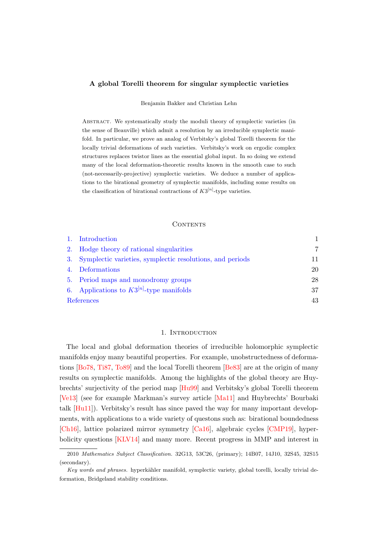# <span id="page-0-1"></span>A global Torelli theorem for singular symplectic varieties

Benjamin Bakker and Christian Lehn

Abstract. We systematically study the moduli theory of symplectic varieties (in the sense of Beauville) which admit a resolution by an irreducible symplectic manifold. In particular, we prove an analog of Verbitsky's global Torelli theorem for the locally trivial deformations of such varieties. Verbitsky's work on ergodic complex structures replaces twistor lines as the essential global input. In so doing we extend many of the local deformation-theoretic results known in the smooth case to such (not-necessarily-projective) symplectic varieties. We deduce a number of applications to the birational geometry of symplectic manifolds, including some results on the classification of birational contractions of  $K3^{[n]}$ -type varieties.

### CONTENTS

|            | 1. Introduction                                              |    |
|------------|--------------------------------------------------------------|----|
|            | 2. Hodge theory of rational singularities                    | 7  |
|            | 3. Symplectic varieties, symplectic resolutions, and periods | 11 |
|            | 4. Deformations                                              | 20 |
|            | 5. Period maps and monodromy groups                          | 28 |
|            | 6. Applications to $K3^{[n]}$ -type manifolds                | 37 |
| References |                                                              | 43 |

### 1. INTRODUCTION

<span id="page-0-0"></span>The local and global deformation theories of irreducible holomorphic symplectic manifolds enjoy many beautiful properties. For example, unobstructedness of deformations [\[Bo78,](#page-43-0) [Ti87,](#page-46-0) [To89\]](#page-46-1) and the local Torelli theorem [\[Be83\]](#page-43-1) are at the origin of many results on symplectic manifolds. Among the highlights of the global theory are Huybrechts' surjectivity of the period map [\[Hu99\]](#page-44-0) and Verbitsky's global Torelli theorem [\[Ve13\]](#page-47-0) (see for example Markman's survey article [\[Ma11\]](#page-46-2) and Huybrechts' Bourbaki talk [\[Hu11\]](#page-44-1)). Verbitsky's result has since paved the way for many important developments, with applications to a wide variety of questons such as: birational boundedness [\[Ch16\]](#page-43-2), lattice polarized mirror symmetry [\[Ca16\]](#page-43-3), algebraic cycles [\[CMP19\]](#page-43-4), hyperbolicity questions [\[KLV14\]](#page-45-0) and many more. Recent progress in MMP and interest in

<sup>2010</sup> Mathematics Subject Classification. 32G13, 53C26, (primary); 14B07, 14J10, 32S45, 32S15 (secondary).

Key words and phrases. hyperkähler manifold, symplectic variety, global torelli, locally trivial deformation, Bridgeland stability conditions.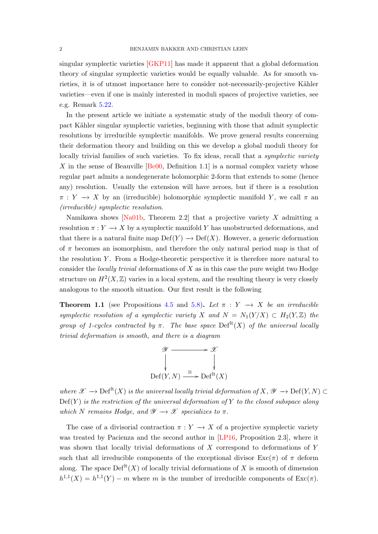<span id="page-1-1"></span>singular symplectic varieties [\[GKP11\]](#page-44-2) has made it apparent that a global deformation theory of singular symplectic varieties would be equally valuable. As for smooth varieties, it is of utmost importance here to consider not-necessarily-projective Kähler varieties—even if one is mainly interested in moduli spaces of projective varieties, see e.g. Remark [5.22.](#page-36-1)

In the present article we initiate a systematic study of the moduli theory of compact Kähler singular symplectic varieties, beginning with those that admit symplectic resolutions by irreducible symplectic manifolds. We prove general results concerning their deformation theory and building on this we develop a global moduli theory for locally trivial families of such varieties. To fix ideas, recall that a *symplectic variety* X in the sense of Beauville  $[Be00,$  Definition 1.1 is a normal complex variety whose regular part admits a nondegenerate holomorphic 2-form that extends to some (hence any) resolution. Usually the extension will have zeroes, but if there is a resolution  $\pi: Y \to X$  by an (irreducible) holomorphic symplectic manifold Y, we call  $\pi$  an (irreducible) symplectic resolution.

Namikawa shows [\[Na01b,](#page-46-3) Theorem 2.2] that a projective variety  $X$  admitting a resolution  $\pi: Y \to X$  by a symplectic manifold Y has unobstructed deformations, and that there is a natural finite map  $Def(Y) \to Def(X)$ . However, a generic deformation of  $\pi$  becomes an isomorphism, and therefore the only natural period map is that of the resolution  $Y$ . From a Hodge-theoretic perspective it is therefore more natural to consider the *locally trivial* deformations of  $X$  as in this case the pure weight two Hodge structure on  $H^2(X,\mathbb{Z})$  varies in a local system, and the resulting theory is very closely analogous to the smooth situation. Our first result is the following

<span id="page-1-0"></span>**Theorem 1.1** (see Propositions [4.5](#page-21-0) and [5.8\)](#page-30-0). Let  $\pi : Y \to X$  be an irreducible symplectic resolution of a symplectic variety X and  $N = N_1(Y/X) \subset H_2(Y,\mathbb{Z})$  the group of 1-cycles contracted by  $\pi$ . The base space  $\mathrm{Def}^{\mathrm{lt}}(X)$  of the universal locally trivial deformation is smooth, and there is a diagram



where  $\mathscr{X} \longrightarrow \mathrm{Def}^{\mathrm{lt}}(X)$  is the universal locally trivial deformation of  $X, \mathscr{Y} \longrightarrow \mathrm{Def}(Y, N) \subset$  $Def(Y)$  is the restriction of the universal deformation of Y to the closed subspace along which N remains Hodge, and  $\mathscr{Y} \longrightarrow \mathscr{X}$  specializes to  $\pi$ .

The case of a divisorial contraction  $\pi: Y \to X$  of a projective symplectic variety was treated by Pacienza and the second author in [\[LP16,](#page-45-1) Proposition 2.3], where it was shown that locally trivial deformations of X correspond to deformations of Y such that all irreducible components of the exceptional divisor  $\text{Exc}(\pi)$  of  $\pi$  deform along. The space  $\mathrm{Def}^{\mathrm{lt}}(X)$  of locally trivial deformations of X is smooth of dimension  $h^{1,1}(X) = h^{1,1}(Y) - m$  where m is the number of irreducible components of  $\text{Exc}(\pi)$ .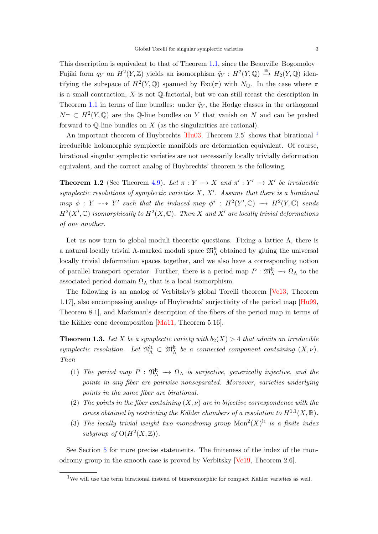<span id="page-2-2"></span>This description is equivalent to that of Theorem [1.1,](#page-1-0) since the Beauville–Bogomolov– Fujiki form  $q_Y$  on  $H^2(Y, \mathbb{Z})$  yields an isomorphism  $\widetilde{q}_Y : H^2(Y, \mathbb{Q}) \xrightarrow{\cong} H_2(Y, \mathbb{Q})$  identifying the subspace of  $H^2(Y, \mathbb{Q})$  spanned by  $\text{Exc}(\pi)$  with  $N_{\mathbb{Q}}$ . In the case where  $\pi$ is a small contraction,  $X$  is not  $\mathbb{Q}$ -factorial, but we can still recast the description in Theorem [1.1](#page-1-0) in terms of line bundles: under  $\tilde{q}_Y$ , the Hodge classes in the orthogonal  $N^{\perp} \subset H^2(Y,\mathbb{Q})$  are the Q-line bundles on Y that vanish on N and can be pushed forward to  $\mathbb Q$ -line bundles on  $X$  (as the singularities are rational).

An important theorem of Huybrechts [\[Hu03,](#page-44-3) Theorem 2.5] shows that birational <sup>[1](#page-2-0)</sup> irreducible holomorphic symplectic manifolds are deformation equivalent. Of course, birational singular symplectic varieties are not necessarily locally trivially deformation equivalent, and the correct analog of Huybrechts' theorem is the following.

**Theorem 1.2** (See Theorem [4.9\)](#page-22-0). Let  $\pi : Y \to X$  and  $\pi' : Y' \to X'$  be irreducible symplectic resolutions of symplectic varieties  $X, X'$ . Assume that there is a birational map  $\phi: Y \dashrightarrow Y'$  such that the induced map  $\phi^* : H^2(Y', \mathbb{C}) \longrightarrow H^2(Y, \mathbb{C})$  sends  $H^2(X',\mathbb{C})$  isomorphically to  $H^2(X,\mathbb{C})$ . Then X and X' are locally trivial deformations of one another.

Let us now turn to global moduli theoretic questions. Fixing a lattice  $\Lambda$ , there is a natural locally trivial  $\Lambda$ -marked moduli space  $\mathfrak{M}^{\rm lt}_\Lambda$  obtained by gluing the universal locally trivial deformation spaces together, and we also have a corresponding notion of parallel transport operator. Further, there is a period map  $P : \mathfrak{M}^{\text{lt}}_{\Lambda} \to \Omega_{\Lambda}$  to the associated period domain  $\Omega_{\Lambda}$  that is a local isomorphism.

The following is an analog of Verbitsky's global Torelli theorem [\[Ve13,](#page-47-0) Theorem 1.17], also encompassing analogs of Huybrechts' surjectivity of the period map [\[Hu99,](#page-44-0) Theorem 8.1], and Markman's description of the fibers of the period map in terms of the Kähler cone decomposition  $[Ma11, Theorem 5.16]$ .

<span id="page-2-1"></span>**Theorem 1.3.** Let X be a symplectic variety with  $b_2(X) > 4$  that admits an irreducible symplectic resolution. Let  $\mathfrak{N}_{\Lambda}^{\text{lt}} \subset \mathfrak{M}_{\Lambda}^{\text{lt}}$  be a connected component containing  $(X, \nu)$ . Then

- (1) The period map  $P : \mathfrak{N}_{\Lambda}^{\mathfrak{lt}} \to \Omega_{\Lambda}$  is surjective, generically injective, and the points in any fiber are pairwise nonseparated. Moreover, varieties underlying points in the same fiber are birational.
- (2) The points in the fiber containing  $(X, \nu)$  are in bijective correspondence with the cones obtained by restricting the Kähler chambers of a resolution to  $H^{1,1}(X,\mathbb{R})$ .
- (3) The locally trivial weight two monodromy group  $Mon^2(X)^{lt}$  is a finite index subgroup of  $O(H^2(X,\mathbb{Z}))$ .

See Section [5](#page-27-0) for more precise statements. The finiteness of the index of the monodromy group in the smooth case is proved by Verbitsky [\[Ve19,](#page-47-1) Theorem 2.6].

<span id="page-2-0"></span><sup>&</sup>lt;sup>1</sup>We will use the term birational instead of bimeromorphic for compact Kähler varieties as well.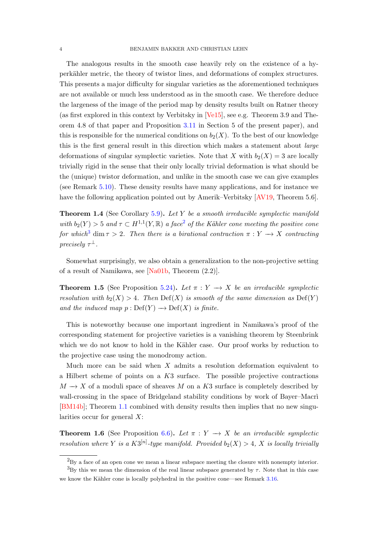<span id="page-3-2"></span>The analogous results in the smooth case heavily rely on the existence of a hyperkähler metric, the theory of twistor lines, and deformations of complex structures. This presents a major difficulty for singular varieties as the aforementioned techniques are not available or much less understood as in the smooth case. We therefore deduce the largeness of the image of the period map by density results built on Ratner theory (as first explored in this context by Verbitsky in [\[Ve15\]](#page-47-2), see e.g. Theorem 3.9 and Theorem 4.8 of that paper and Proposition [3.11](#page-15-0) in Section 5 of the present paper), and this is responsible for the numerical conditions on  $b_2(X)$ . To the best of our knowledge this is the first general result in this direction which makes a statement about large deformations of singular symplectic varieties. Note that X with  $b_2(X) = 3$  are locally trivially rigid in the sense that their only locally trivial deformation is what should be the (unique) twistor deformation, and unlike in the smooth case we can give examples (see Remark [5.10\)](#page-31-0). These density results have many applications, and for instance we have the following application pointed out by Amerik–Verbitsky [\[AV19,](#page-43-6) Theorem 5.6].

**Theorem 1.4** (See Corollary [5.9\)](#page-31-1). Let Y be a smooth irreducible symplectic manifold with  $b_2(Y) > 5$  $b_2(Y) > 5$  $b_2(Y) > 5$  and  $\tau \subset H^{1,1}(Y,\mathbb{R})$  a face<sup>2</sup> of the Kähler cone meeting the positive cone for which<sup>[3](#page-3-1)</sup> dim  $\tau > 2$ . Then there is a birational contraction  $\pi : Y \to X$  contracting precisely  $\tau^{\perp}$ .

Somewhat surprisingly, we also obtain a generalization to the non-projective setting of a result of Namikawa, see [\[Na01b,](#page-46-3) Theorem (2.2)].

**Theorem 1.5** (See Proposition [5.24\)](#page-36-2). Let  $\pi : Y \to X$  be an irreducible symplectic resolution with  $b_2(X) > 4$ . Then  $\mathrm{Def}(X)$  is smooth of the same dimension as  $\mathrm{Def}(Y)$ and the induced map  $p : Def(Y) \longrightarrow Def(X)$  is finite.

This is noteworthy because one important ingredient in Namikawa's proof of the corresponding statement for projective varieties is a vanishing theorem by Steenbrink which we do not know to hold in the Kähler case. Our proof works by reduction to the projective case using the monodromy action.

Much more can be said when  $X$  admits a resolution deformation equivalent to a Hilbert scheme of points on a  $K3$  surface. The possible projective contractions  $M \to X$  of a moduli space of sheaves M on a K3 surface is completely described by wall-crossing in the space of Bridgeland stability conditions by work of Bayer–Macri [\[BM14b\]](#page-43-7); Theorem [1.1](#page-1-0) combined with density results then implies that no new singularities occur for general  $X$ :

**Theorem 1.6** (See Proposition [6.6\)](#page-38-0). Let  $\pi : Y \to X$  be an irreducible symplectic resolution where Y is a  $K3^{[n]}$ -type manifold. Provided  $b_2(X) > 4$ , X is locally trivially

<span id="page-3-1"></span><span id="page-3-0"></span><sup>&</sup>lt;sup>2</sup>By a face of an open cone we mean a linear subspace meeting the closure with nonempty interior.

 ${}^{3}$ By this we mean the dimension of the real linear subspace generated by  $\tau$ . Note that in this case we know the Kähler cone is locally polyhedral in the positive cone—see Remark [3.16.](#page-16-0)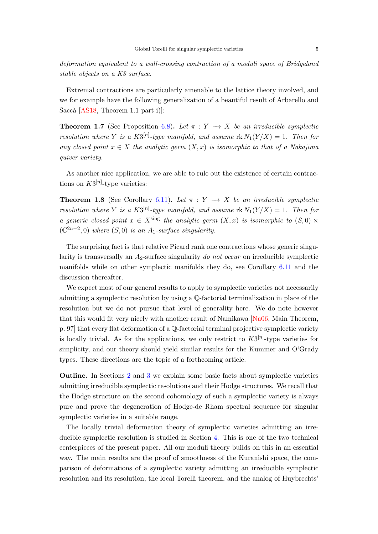<span id="page-4-0"></span>deformation equivalent to a wall-crossing contraction of a moduli space of Bridgeland stable objects on a K3 surface.

Extremal contractions are particularly amenable to the lattice theory involved, and we for example have the following generalization of a beautiful result of Arbarello and Saccà  $[AS18, Theorem 1.1 part i]$ :

**Theorem 1.7** (See Proposition [6.8\)](#page-40-0). Let  $\pi : Y \to X$  be an irreducible symplectic resolution where Y is a  $K3^{[n]}$ -type manifold, and assume  $rk N_1(Y/X) = 1$ . Then for any closed point  $x \in X$  the analytic germ  $(X, x)$  is isomorphic to that of a Nakajima quiver variety.

As another nice application, we are able to rule out the existence of certain contractions on  $K3^{[n]}$ -type varieties:

**Theorem 1.8** (See Corollary [6.11\)](#page-42-1). Let  $\pi : Y \to X$  be an irreducible symplectic resolution where Y is a  $K3^{[n]}$ -type manifold, and assume  $rk N_1(Y/X) = 1$ . Then for a generic closed point  $x \in X^{\text{sing}}$  the analytic germ  $(X, x)$  is isomorphic to  $(S, 0) \times$  $(\mathbb{C}^{2n-2},0)$  where  $(S,0)$  is an  $A_1$ -surface singularity.

The surprising fact is that relative Picard rank one contractions whose generic singularity is transversally an  $A_2$ -surface singularity do not occur on irreducible symplectic manifolds while on other symplectic manifolds they do, see Corollary [6.11](#page-42-1) and the discussion thereafter.

We expect most of our general results to apply to symplectic varieties not necessarily admitting a symplectic resolution by using a Q-factorial terminalization in place of the resolution but we do not pursue that level of generality here. We do note however that this would fit very nicely with another result of Namikawa [\[Na06,](#page-46-4) Main Theorem, p. 97] that every flat deformation of a Q-factorial terminal projective symplectic variety is locally trivial. As for the applications, we only restrict to  $K3^{[n]}$ -type varieties for simplicity, and our theory should yield similar results for the Kummer and O'Grady types. These directions are the topic of a forthcoming article.

Outline. In Sections [2](#page-6-0) and [3](#page-10-0) we explain some basic facts about symplectic varieties admitting irreducible symplectic resolutions and their Hodge structures. We recall that the Hodge structure on the second cohomology of such a symplectic variety is always pure and prove the degeneration of Hodge-de Rham spectral sequence for singular symplectic varieties in a suitable range.

The locally trivial deformation theory of symplectic varieties admitting an irreducible symplectic resolution is studied in Section [4.](#page-19-0) This is one of the two technical centerpieces of the present paper. All our moduli theory builds on this in an essential way. The main results are the proof of smoothness of the Kuranishi space, the comparison of deformations of a symplectic variety admitting an irreducible symplectic resolution and its resolution, the local Torelli theorem, and the analog of Huybrechts'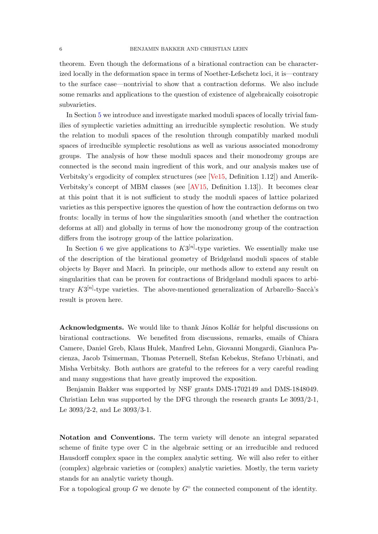<span id="page-5-0"></span>theorem. Even though the deformations of a birational contraction can be characterized locally in the deformation space in terms of Noether-Lefschetz loci, it is—contrary to the surface case—nontrivial to show that a contraction deforms. We also include some remarks and applications to the question of existence of algebraically coisotropic subvarieties.

In Section [5](#page-27-0) we introduce and investigate marked moduli spaces of locally trivial families of symplectic varieties admitting an irreducible symplectic resolution. We study the relation to moduli spaces of the resolution through compatibly marked moduli spaces of irreducible symplectic resolutions as well as various associated monodromy groups. The analysis of how these moduli spaces and their monodromy groups are connected is the second main ingredient of this work, and our analysis makes use of Verbitsky's ergodicity of complex structures (see [\[Ve15,](#page-47-2) Definition 1.12]) and Amerik-Verbitsky's concept of MBM classes (see [\[AV15,](#page-42-2) Definition 1.13]). It becomes clear at this point that it is not sufficient to study the moduli spaces of lattice polarized varieties as this perspective ignores the question of how the contraction deforms on two fronts: locally in terms of how the singularities smooth (and whether the contraction deforms at all) and globally in terms of how the monodromy group of the contraction differs from the isotropy group of the lattice polarization.

In Section [6](#page-36-0) we give applications to  $K3^{[n]}$ -type varieties. We essentially make use of the description of the birational geometry of Bridgeland moduli spaces of stable objects by Bayer and Macr`ı. In principle, our methods allow to extend any result on singularities that can be proven for contractions of Bridgeland moduli spaces to arbitrary  $K3^{[n]}$ -type varieties. The above-mentioned generalization of Arbarello–Saccà's result is proven here.

Acknowledgments. We would like to thank János Kollár for helpful discussions on birational contractions. We benefited from discussions, remarks, emails of Chiara Camere, Daniel Greb, Klaus Hulek, Manfred Lehn, Giovanni Mongardi, Gianluca Pacienza, Jacob Tsimerman, Thomas Peternell, Stefan Kebekus, Stefano Urbinati, and Misha Verbitsky. Both authors are grateful to the referees for a very careful reading and many suggestions that have greatly improved the exposition.

Benjamin Bakker was supported by NSF grants DMS-1702149 and DMS-1848049. Christian Lehn was supported by the DFG through the research grants Le 3093/2-1, Le 3093/2-2, and Le 3093/3-1.

Notation and Conventions. The term variety will denote an integral separated scheme of finite type over C in the algebraic setting or an irreducible and reduced Hausdorff complex space in the complex analytic setting. We will also refer to either (complex) algebraic varieties or (complex) analytic varieties. Mostly, the term variety stands for an analytic variety though.

For a topological group  $G$  we denote by  $G^{\circ}$  the connected component of the identity.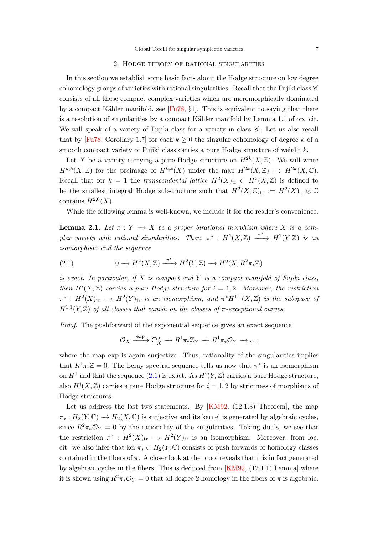### 2. Hodge theory of rational singularities

<span id="page-6-3"></span><span id="page-6-0"></span>In this section we establish some basic facts about the Hodge structure on low degree cohomology groups of varieties with rational singularities. Recall that the Fujiki class  $\mathscr C$ consists of all those compact complex varieties which are meromorphically dominated by a compact Kähler manifold, see  $[Fu78, §1]$ . This is equivalent to saying that there is a resolution of singularities by a compact Kähler manifold by Lemma 1.1 of op. cit. We will speak of a variety of Fujiki class for a variety in class  $\mathscr{C}$ . Let us also recall that by [\[Fu78,](#page-44-4) Corollary 1.7] for each  $k \geq 0$  the singular cohomology of degree k of a smooth compact variety of Fujiki class carries a pure Hodge structure of weight  $k$ .

Let X be a variety carrying a pure Hodge structure on  $H^{2k}(X,\mathbb{Z})$ . We will write  $H^{k,k}(X,\mathbb{Z})$  for the preimage of  $H^{k,k}(X)$  under the map  $H^{2k}(X,\mathbb{Z}) \longrightarrow H^{2k}(X,\mathbb{C})$ . Recall that for  $k = 1$  the transcendental lattice  $H^2(X)_{\text{tr}} \subset H^2(X, \mathbb{Z})$  is defined to be the smallest integral Hodge substructure such that  $H^2(X, \mathbb{C})_{\text{tr}} := H^2(X)_{\text{tr}} \otimes \mathbb{C}$ contains  $H^{2,0}(X)$ .

While the following lemma is well-known, we include it for the reader's convenience.

<span id="page-6-2"></span>**Lemma 2.1.** Let  $\pi: Y \to X$  be a proper birational morphism where X is a complex variety with rational singularities. Then,  $\pi^*$ :  $H^1(X,\mathbb{Z}) \xrightarrow{\pi^*} H^1(Y,\mathbb{Z})$  is an isomorphism and the sequence

<span id="page-6-1"></span>(2.1) 
$$
0 \longrightarrow H^2(X,\mathbb{Z}) \xrightarrow{\pi^*} H^2(Y,\mathbb{Z}) \longrightarrow H^0(X,R^2\pi_*\mathbb{Z})
$$

is exact. In particular, if  $X$  is compact and  $Y$  is a compact manifold of Fujiki class, then  $H^{i}(X,\mathbb{Z})$  carries a pure Hodge structure for  $i=1,2$ . Moreover, the restriction  $\pi^*: H^2(X)_{\rm tr} \to H^2(Y)_{\rm tr}$  is an isomorphism, and  $\pi^* H^{1,1}(X,\mathbb{Z})$  is the subspace of  $H^{1,1}(Y,\mathbb{Z})$  of all classes that vanish on the classes of  $\pi$ -exceptional curves.

Proof. The pushforward of the exponential sequence gives an exact sequence

$$
\mathcal{O}_X \xrightarrow{\exp} \mathcal{O}_X^{\times} \to R^1 \pi_* \mathbb{Z}_Y \to R^1 \pi_* \mathcal{O}_Y \to \dots
$$

where the map exp is again surjective. Thus, rationality of the singularities implies that  $R^1 \pi_* \mathbb{Z} = 0$ . The Leray spectral sequence tells us now that  $\pi^*$  is an isomorphism on  $H^1$  and that the sequence  $(2.1)$  is exact. As  $H^i(Y, \mathbb{Z})$  carries a pure Hodge structure, also  $H^{i}(X,\mathbb{Z})$  carries a pure Hodge structure for  $i=1,2$  by strictness of morphisms of Hodge structures.

Let us address the last two statements. By [\[KM92,](#page-45-2) (12.1.3) Theorem], the map  $\pi_*: H_2(Y, \mathbb{C}) \to H_2(X, \mathbb{C})$  is surjective and its kernel is generated by algebraic cycles, since  $R^2\pi_*\mathcal{O}_Y = 0$  by the rationality of the singularities. Taking duals, we see that the restriction  $\pi^* : H^2(X)_{tr} \to H^2(Y)_{tr}$  is an isomorphism. Moreover, from loc. cit. we also infer that ker  $\pi_* \subset H_2(Y, \mathbb{C})$  consists of push forwards of homology classes contained in the fibers of  $\pi$ . A closer look at the proof reveals that it is in fact generated by algebraic cycles in the fibers. This is deduced from [\[KM92,](#page-45-2) (12.1.1) Lemma] where it is shown using  $R^2\pi_*\mathcal{O}_Y = 0$  that all degree 2 homology in the fibers of  $\pi$  is algebraic.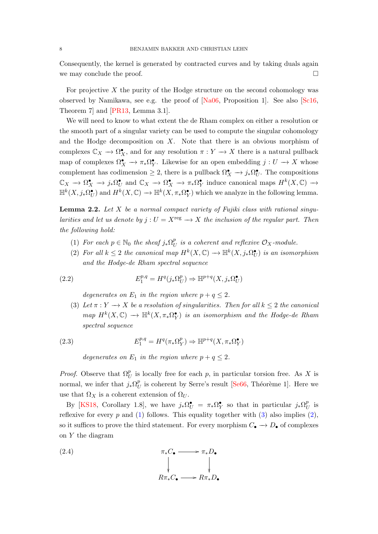<span id="page-7-5"></span>Consequently, the kernel is generated by contracted curves and by taking duals again we may conclude the proof.  $\Box$ 

For projective  $X$  the purity of the Hodge structure on the second cohomology was observed by Namikawa, see e.g. the proof of [\[Na06,](#page-46-4) Proposition 1]. See also [\[Sc16,](#page-46-5) Theorem 7] and [\[PR13,](#page-46-6) Lemma 3.1].

We will need to know to what extent the de Rham complex on either a resolution or the smooth part of a singular variety can be used to compute the singular cohomology and the Hodge decomposition on  $X$ . Note that there is an obvious morphism of complexes  $\mathbb{C}_X \to \Omega_X^{\bullet}$ , and for any resolution  $\pi : Y \to X$  there is a natural pullback map of complexes  $\Omega_X^{\bullet} \to \pi_* \Omega_Y^{\bullet}$ . Likewise for an open embedding  $j: U \to X$  whose complement has codimension  $\geq 2$ , there is a pullback  $\Omega_X^{\bullet} \to j_* \Omega_U^{\bullet}$ . The compositions  $\mathbb{C}_X \to \Omega_X^{\bullet} \to j_*\Omega_U^{\bullet}$  and  $\mathbb{C}_X \to \Omega_X^{\bullet} \to \pi_*\Omega_Y^{\bullet}$  induce canonical maps  $H^k(X,\mathbb{C}) \to$  $\mathbb{H}^k(X, j_*\Omega_U^{\bullet})$  and  $H^k(X,\mathbb{C}) \to \mathbb{H}^k(X, \pi_*\Omega_Y^{\bullet})$  which we analyze in the following lemma.

<span id="page-7-4"></span>**Lemma 2.2.** Let  $X$  be a normal compact variety of Fujiki class with rational singularities and let us denote by  $j: U = X^{\text{reg}} \longrightarrow X$  the inclusion of the regular part. Then the following hold:

- <span id="page-7-0"></span>(1) For each  $p \in \mathbb{N}_0$  the sheaf  $j_*\Omega_l^p$  $^p_U$  is a coherent and reflexive  $\mathcal{O}_X\text{-module}.$
- <span id="page-7-2"></span>(2) For all  $k \leq 2$  the canonical map  $H^k(X, \mathbb{C}) \to \mathbb{H}^k(X, j_*\Omega_U^{\bullet})$  is an isomorphism and the Hodge-de Rham spectral sequence

(2.2) 
$$
E_1^{p,q} = H^q(j_*\Omega_U^p) \Rightarrow \mathbb{H}^{p+q}(X, j_*\Omega_U^{\bullet})
$$

degenerates on  $E_1$  in the region where  $p + q \leq 2$ .

<span id="page-7-1"></span>(3) Let  $\pi: Y \to X$  be a resolution of singularities. Then for all  $k \leq 2$  the canonical map  $H^k(X, \mathbb{C}) \longrightarrow \mathbb{H}^k(X, \pi_*\Omega_Y^{\bullet})$  is an isomorphism and the Hodge-de Rham spectral sequence

(2.3) 
$$
E_1^{p,q} = H^q(\pi_* \Omega_Y^p) \Rightarrow \mathbb{H}^{p+q}(X, \pi_* \Omega_Y^{\bullet})
$$

<span id="page-7-3"></span>degenerates on  $E_1$  in the region where  $p + q \leq 2$ .

*Proof.* Observe that  $\Omega_U^p$  is locally free for each p, in particular torsion free. As X is normal, we infer that  $j_*\Omega_l^p$  $U<sub>U</sub>$  is coherent by Serre's result [\[Se66,](#page-46-7) Théorème 1]. Here we use that  $\Omega_X$  is a coherent extension of  $\Omega_U$ .

By [\[KS18,](#page-45-3) Corollary 1.8], we have  $j_*\Omega^{\bullet}_U = \pi_*\Omega^{\bullet}_Y$  so that in particular  $j_*\Omega^p_U$  $\frac{p}{U}$  is reflexive for every p and [\(1\)](#page-7-0) follows. This equality together with [\(3\)](#page-7-1) also implies [\(2\)](#page-7-2), so it suffices to prove the third statement. For every morphism  $C_{\bullet} \to D_{\bullet}$  of complexes on Y the diagram

(2.4) 
$$
\pi_* C_{\bullet} \longrightarrow \pi_* D_{\bullet}
$$

$$
\downarrow \qquad \qquad \downarrow
$$

$$
R\pi_* C_{\bullet} \longrightarrow R\pi_* D_{\bullet}
$$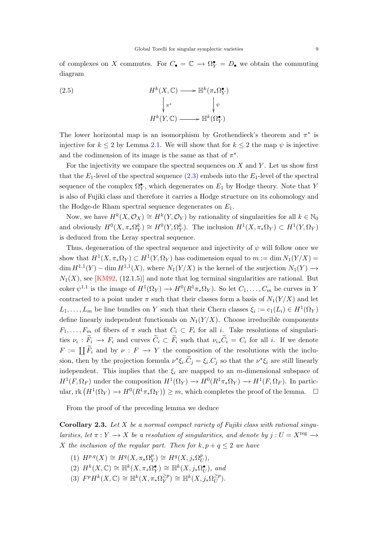<span id="page-8-1"></span>of complexes on X commutes. For  $C_{\bullet} = \mathbb{C} \to \Omega^{\bullet}_{Y} = D_{\bullet}$  we obtain the commuting diagram

(2.5) 
$$
H^{k}(X, \mathbb{C}) \longrightarrow \mathbb{H}^{k}(\pi_{*}\Omega_{Y}^{\bullet})
$$

$$
\downarrow_{\pi^{*}} \qquad \qquad \downarrow_{\psi}
$$

$$
H^{k}(Y, \mathbb{C}) \longrightarrow \mathbb{H}^{k}(\Omega_{Y}^{\bullet})
$$

The lower horizontal map is an isomorphism by Grothendieck's theorem and  $\pi^*$  is injective for  $k \leq 2$  by Lemma [2.1.](#page-6-2) We will show that for  $k \leq 2$  the map  $\psi$  is injective and the codimension of its image is the same as that of  $\pi^*$ .

For the injectivity we compare the spectral sequences on  $X$  and  $Y$ . Let us show first that the  $E_1$ -level of the spectral sequence  $(2.3)$  embeds into the  $E_1$ -level of the spectral sequence of the complex  $\Omega_Y^{\bullet}$ , which degenerates on  $E_1$  by Hodge theory. Note that Y is also of Fujiki class and therefore it carries a Hodge structure on its cohomology and the Hodge-de Rham spectral sequence degenerates on  $E_1$ .

Now, we have  $H^k(X, \mathcal{O}_X) \cong H^k(Y, \mathcal{O}_Y)$  by rationality of singularities for all  $k \in \mathbb{N}_0$ and obviously  $H^0(X, \pi_*\Omega_Y^k) \cong H^0(Y, \Omega_Y^k)$ . The inclusion  $H^1(X, \pi_*\Omega_Y) \subset H^1(Y, \Omega_Y)$ is deduced from the Leray spectral sequence.

Thus, degeneration of the spectral sequence and injectivity of  $\psi$  will follow once we show that  $H^1(X, \pi_*\Omega_Y) \subset H^1(Y, \Omega_Y)$  has codimension equal to  $m := \dim N_1(Y/X) =$  $\dim H^{1,1}(Y) - \dim H^{1,1}(X)$ , where  $N_1(Y/X)$  is the kernel of the surjection  $N_1(Y) \to$  $N_1(X)$ , see [\[KM92,](#page-45-2) (12.1.5)] and note that log terminal singularities are rational. But coker  $\psi^{1,1}$  is the image of  $H^1(\Omega_Y) \to H^0(R^1\pi_*\Omega_Y)$ . So let  $C_1,\ldots,C_m$  be curves in Y contracted to a point under  $\pi$  such that their classes form a basis of  $N_1(Y/X)$  and let  $L_1, \ldots, L_m$  be line bundles on Y such that their Chern classes  $\xi_i := c_1(L_i) \in H^1(\Omega_Y)$ define linearly independent functionals on  $N_1(Y/X)$ . Choose irreducible components  $F_1, \ldots, F_m$  of fibers of  $\pi$  such that  $C_i \subset F_i$  for all i. Take resolutions of singularities  $\nu_i : F_i \to F_i$  and curves  $C_i \subset F_i$  such that  $\nu_{i*}C_i = C_i$  for all i. If we denote  $F := \coprod F_i$  and by  $\nu : F \longrightarrow Y$  the composition of the resolutions with the inclusion, then by the projection formula  $\nu^*\xi_i \cdot \tilde{C}_j = \xi_i C_j$  so that the  $\nu^*\xi_i$  are still linearly independent. This implies that the  $\xi_i$  are mapped to an m-dimensional subspace of  $H^1(F, \Omega_F)$  under the composition  $H^1(\Omega_Y) \to H^0(R^1\pi_*\Omega_Y) \to H^1(F, \Omega_F)$ . In particular, rk  $(H^1(\Omega_Y) \to H^0(R^1\pi_*\Omega_Y)) \geq m$ , which completes the proof of the lemma.  $\square$ 

From the proof of the preceding lemma we deduce

<span id="page-8-0"></span>Corollary 2.3. Let  $X$  be a normal compact variety of Fujiki class with rational singularities, let  $\pi : Y \longrightarrow X$  be a resolution of singularities, and denote by  $j : U = X^{\text{reg}} \longrightarrow$ X the inclusion of the regular part. Then for  $k, p + q \leq 2$  we have

- (1)  $H^{p,q}(X) \cong H^q(X, \pi_*\Omega^p)$  $Y^p(Y) \cong H^q(X, j_*\Omega_U^p)$  $_U^p),$
- (2)  $H^k(X, \mathbb{C}) \cong \mathbb{H}^k(X, \pi_*\Omega_Y^{\bullet}) \cong \mathbb{H}^k(X, j_*\Omega_U^{\bullet}),$  and
- (3)  $F^p H^k(X, \mathbb{C}) \cong \mathbb{H}^k(X, \pi_*\Omega^{\geq p}_Y)$  $(\sum_{Y}^{\geq p}) \cong \mathbb{H}^{k}(X, j_*\Omega_U^{\geq p})$  $\tilde{\bar U}^p$ ).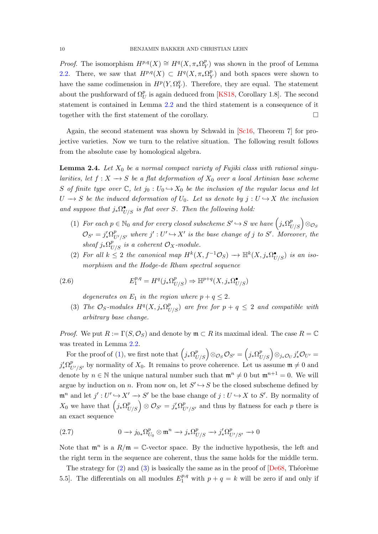<span id="page-9-5"></span>*Proof.* The isomorphism  $H^{p,q}(X) \cong H^q(X, \pi_*\Omega_Y^p)$  $_Y^p$ ) was shown in the proof of Lemma [2.2.](#page-7-4) There, we saw that  $H^{p,q}(X) \subset H^q(X, \pi_*\Omega_Y^p)$  $_Y^p$ ) and both spaces were shown to have the same codimension in  $H^p(Y, \Omega^q_Y)$  $_Y^q$ ). Therefore, they are equal. The statement about the pushforward of  $\Omega_U^p$  is again deduced from [\[KS18,](#page-45-3) Corollary 1.8]. The second statement is contained in Lemma [2.2](#page-7-4) and the third statement is a consequence of it together with the first statement of the corollary.

Again, the second statement was shown by Schwald in [\[Sc16,](#page-46-5) Theorem 7] for projective varieties. Now we turn to the relative situation. The following result follows from the absolute case by homological algebra.

<span id="page-9-4"></span>**Lemma 2.4.** Let  $X_0$  be a normal compact variety of Fujiki class with rational singularities, let  $f: X \longrightarrow S$  be a flat deformation of  $X_0$  over a local Artinian base scheme S of finite type over  $\mathbb{C}$ , let  $j_0 : U_0 \hookrightarrow X_0$  be the inclusion of the regular locus and let  $U \rightarrow S$  be the induced deformation of  $U_0$ . Let us denote by  $j: U \hookrightarrow X$  the inclusion and suppose that  $j_*\Omega^{\bullet}_{U/S}$  is flat over S. Then the following hold:

- <span id="page-9-0"></span>(1) For each  $p \in \mathbb{N}_0$  and for every closed subscheme  $S' \hookrightarrow S$  we have  $(j_* \Omega^p_{U/S}) \otimes_{\mathcal{O}_S}$  $\mathcal{O}_{S'}=j'_*\Omega^p_{U'/S'}$  where  $j':U'\hookrightarrow X'$  is the base change of j to S'. Moreover, the sheaf  $j_*\Omega^p_{U/S}$  is a coherent  $\mathcal{O}_X$ -module.
- <span id="page-9-1"></span>(2) For all  $k \leq 2$  the canonical map  $H^k(X, f^{-1}\mathcal{O}_S) \longrightarrow \mathbb{H}^k(X, j_*\Omega_{U/S}^{\bullet})$  is an isomorphism and the Hodge-de Rham spectral sequence

(2.6) 
$$
E_1^{p,q} = H^q(j_*\Omega_{U/S}^p) \Rightarrow \mathbb{H}^{p+q}(X, j_*\Omega_{U/S}^{\bullet})
$$

degenerates on  $E_1$  in the region where  $p + q \leq 2$ .

<span id="page-9-2"></span>(3) The  $\mathcal{O}_S$ -modules  $H^q(X, j_*\Omega^p_{U/S})$  are free for  $p+q \leq 2$  and compatible with arbitrary base change.

*Proof.* We put  $R := \Gamma(S, \mathcal{O}_S)$  and denote by  $\mathfrak{m} \subset R$  its maximal ideal. The case  $R = \mathbb{C}$ was treated in Lemma [2.2.](#page-7-4)

For the proof of [\(1\)](#page-9-0), we first note that  $(j_* \Omega_{U/S}^p) \otimes_{\mathcal{O}_S} \mathcal{O}_{S'} = (j_* \Omega_{U/S}^p) \otimes_{j_*\mathcal{O}_U} j'_* \mathcal{O}_{U'} =$  $j'_* \Omega^p_{U'/S'}$  by normality of  $X_0$ . It remains to prove coherence. Let us assume  $\mathfrak{m} \neq 0$  and denote by  $n \in \mathbb{N}$  the unique natural number such that  $\mathfrak{m}^n \neq 0$  but  $\mathfrak{m}^{n+1} = 0$ . We will argue by induction on n. From now on, let  $S' \hookrightarrow S$  be the closed subscheme defined by  $\mathfrak{m}^n$  and let  $j': U' \hookrightarrow X' \longrightarrow S'$  be the base change of  $j: U \hookrightarrow X$  to  $S'$ . By normality of  $X_0$  we have that  $(j_* \Omega_{U/S}^p) \otimes \mathcal{O}_{S'} = j'_* \Omega_{U'/S'}^p$  and thus by flatness for each p there is an exact sequence

<span id="page-9-3"></span>(2.7) 
$$
0 \to j_{0*} \Omega_{U_0}^p \otimes \mathfrak{m}^n \to j_* \Omega_{U/S}^p \to j'_* \Omega_{U'/S'}^p \to 0
$$

Note that  $\mathfrak{m}^n$  is a  $R/\mathfrak{m} = \mathbb{C}$ -vector space. By the inductive hypothesis, the left and the right term in the sequence are coherent, thus the same holds for the middle term.

The strategy for  $(2)$  and  $(3)$  is basically the same as in the proof of  $\sqrt{2}$ . Theorème 5.5. The differentials on all modules  $E_1^{p,q}$  with  $p + q = k$  will be zero if and only if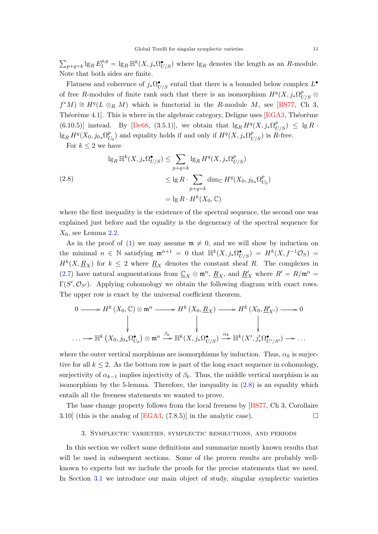<span id="page-10-2"></span> $\sum_{p+q=k} \lg_R E_1^{p,q} = \lg_R \mathbb{H}^k(X, j_* \Omega_{U/S}^{\bullet})$  where  $\lg_R$  denotes the length as an R-module. Note that both sides are finite.

Flatness and coherence of  $j_*\Omega^{\bullet}_{U/S}$  entail that there is a bounded below complex  $L^{\bullet}$ of free R-modules of finite rank such that there is an isomorphism  $H^q(X, j_*\Omega^p_{U/S} \otimes$  $f^*M \cong H^q(L \otimes_R M)$  which is functorial in the R-module M, see [\[BS77,](#page-43-10) Ch 3, Théorème 4.1]. This is where in the algebraic category, Deligne uses  $[EGA3, Théorème$  $(6.10.5)$ ] instead. By [\[De68,](#page-43-9) (3.5.1)], we obtain that  $\lg_R H^q(X, j_*\Omega^p_{U/S}) \leq \lg R$ .  $\lg_R H^q(X_0, j_{0*}\Omega_l^p)$  $U_U^{(p)}$  and equality holds if and only if  $H^q(X, j_*\Omega^p_{U/S})$  is R-free.

<span id="page-10-1"></span>For  $k \leq 2$  we have

(2.8)  
\n
$$
\lg_R \mathbb{H}^k(X, j_*\Omega_{U/S}^{\bullet}) \le \sum_{p+q=k} \lg_R H^q(X, j_*\Omega_{U/S}^p)
$$
\n
$$
\le \lg R \cdot \sum_{p+q=k} \dim_{\mathbb{C}} H^q(X_0, j_{0*}\Omega_{U_0}^p)
$$
\n
$$
= \lg R \cdot H^k(X_0, \mathbb{C})
$$

where the first inequality is the existence of the spectral sequence, the second one was explained just before and the equality is the degeneracy of the spectral sequence for  $X_0$ , see Lemma [2.2.](#page-7-4)

As in the proof of [\(1\)](#page-9-0) we may assume  $\mathfrak{m} \neq 0$ , and we will show by induction on the minimal  $n \in \mathbb{N}$  satisfying  $\mathfrak{m}^{n+1} = 0$  that  $\mathbb{H}^k(X, j_*\Omega_{U/S}^{\bullet}) = H^k(X, f^{-1}\mathcal{O}_S) =$  $H^k(X, \underline{R}_X)$  for  $k \leq 2$  where  $\underline{R}_X$  denotes the constant sheaf R. The complexes in [\(2.7\)](#page-9-3) have natural augmentations from  $\mathbb{C}_X \otimes \mathfrak{m}^n$ ,  $\underline{R}_X$ , and  $\underline{R}'_X$  where  $R' = R/\mathfrak{m}^n =$  $\Gamma(S', \mathcal{O}_{S'})$ . Applying cohomology we obtain the following diagram with exact rows. The upper row is exact by the universal coefficient theorem.

$$
0 \longrightarrow H^{k}(X_{0}, \mathbb{C}) \otimes \mathfrak{m}^{n} \longrightarrow H^{k}(X_{0}, \underline{R}_{X}) \longrightarrow H^{k}(X_{0}, \underline{R}'_{X'}) \longrightarrow 0
$$
  
\n
$$
\downarrow \qquad \qquad \downarrow \qquad \qquad \downarrow
$$
  
\n
$$
\cdots \longrightarrow \mathbb{H}^{k}(X_{0}, j_{0*}\Omega_{U_{0}}^{\bullet}) \otimes \mathfrak{m}^{n} \stackrel{\beta_{k}}{\longrightarrow} \mathbb{H}^{k}(X, j_{*}\Omega_{U/S}^{\bullet}) \stackrel{\alpha_{k}}{\longrightarrow} \mathbb{H}^{k}(X', j'_{*}\Omega_{U'/S'}^{\bullet}) \longrightarrow \cdots
$$

where the outer vertical morphisms are isomorphisms by induction. Thus,  $\alpha_k$  is surjective for all  $k \leq 2$ . As the bottom row is part of the long exact sequence in cohomology, surjectivity of  $\alpha_{k-1}$  implies injectivity of  $\beta_k$ . Thus, the middle vertical morphism is an isomorphism by the 5-lemma. Therefore, the inequality in  $(2.8)$  is an equality which entails all the freeness statements we wanted to prove.

The base change property follows from the local freeness by [\[BS77,](#page-43-10) Ch 3, Corollaire 3.10] (this is the analog of [\[EGA3,](#page-44-5)  $(7.8.5)$ ] in the analytic case).

# 3. Symplectic varieties, symplectic resolutions, and periods

<span id="page-10-0"></span>In this section we collect some definitions and summarize mostly known results that will be used in subsequent sections. Some of the proven results are probably wellknown to experts but we include the proofs for the precise statements that we need. In Section [3.1](#page-11-0) we introduce our main object of study, singular symplectic varieties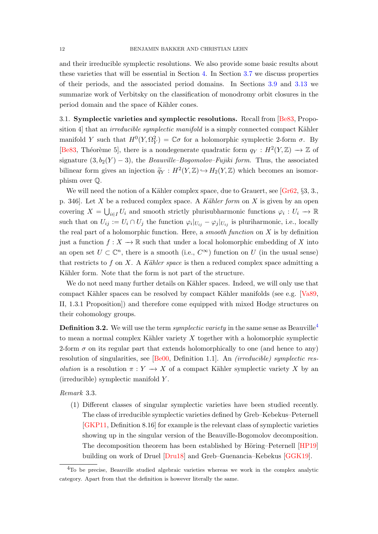<span id="page-11-2"></span>and their irreducible symplectic resolutions. We also provide some basic results about these varieties that will be essential in Section [4.](#page-19-0) In Section [3.7](#page-14-0) we discuss properties of their periods, and the associated period domains. In Sections [3.9](#page-14-1) and [3.13](#page-15-1) we summarize work of Verbitsky on the classification of monodromy orbit closures in the period domain and the space of Kähler cones.

<span id="page-11-0"></span>3.1. Symplectic varieties and symplectic resolutions. Recall from [\[Be83,](#page-43-1) Proposition 4 that an *irreducible symplectic manifold* is a simply connected compact Kähler manifold Y such that  $H^0(Y, \Omega_Y^2) = \mathbb{C}\sigma$  for a holomorphic symplectic 2-form  $\sigma$ . By [\[Be83,](#page-43-1) Théorème 5], there is a nondegenerate quadratic form  $q_Y : H^2(Y, \mathbb{Z}) \to \mathbb{Z}$  of signature  $(3, b_2(Y) - 3)$ , the *Beauville–Bogomolov–Fujiki form*. Thus, the associated bilinear form gives an injection  $\widetilde{q}_Y : H^2(Y, \mathbb{Z}) \hookrightarrow H_2(Y, \mathbb{Z})$  which becomes an isomorphism over Q.

We will need the notion of a Kähler complex space, due to Grauert, see  $\lbrack Gr62, \S 3, 3., \rbrack$ p. 346]. Let X be a reduced complex space. A Kähler form on X is given by an open covering  $X = \bigcup_{i \in I} U_i$  and smooth strictly plurisubharmonic functions  $\varphi_i : U_i \to \mathbb{R}$ such that on  $U_{ij} := U_i \cap U_j$  the function  $\varphi_i|_{U_{ij}} - \varphi_j|_{U_{ij}}$  is pluriharmonic, i.e., locally the real part of a holomorphic function. Here, a *smooth function* on  $X$  is by definition just a function  $f: X \to \mathbb{R}$  such that under a local holomorphic embedding of X into an open set  $U \subset \mathbb{C}^n$ , there is a smooth (i.e.,  $C^{\infty}$ ) function on U (in the usual sense) that restricts to f on X. A Kähler space is then a reduced complex space admitting a Kähler form. Note that the form is not part of the structure.

We do not need many further details on Kähler spaces. Indeed, we will only use that compact Kähler spaces can be resolved by compact Kähler manifolds (see e.g. [\[Va89,](#page-47-3) II, 1.3.1 Proposition]) and therefore come equipped with mixed Hodge structures on their cohomology groups.

**Definition 3.2.** We will use the term *symplectic variety* in the same sense as Beauville<sup>[4](#page-11-1)</sup> to mean a normal complex Kähler variety  $X$  together with a holomorphic symplectic 2-form  $\sigma$  on its regular part that extends holomorphically to one (and hence to any) resolution of singularities, see [\[Be00,](#page-43-5) Definition 1.1]. An (irreducible) symplectic resolution is a resolution  $\pi : Y \longrightarrow X$  of a compact Kähler symplectic variety X by an (irreducible) symplectic manifold Y .

Remark 3.3.

(1) Different classes of singular symplectic varieties have been studied recently. The class of irreducible symplectic varieties defined by Greb–Kebekus–Peternell [\[GKP11,](#page-44-2) Definition 8.16] for example is the relevant class of symplectic varieties showing up in the singular version of the Beauville-Bogomolov decomposition. The decomposition theorem has been established by Höring–Peternell [\[HP19\]](#page-44-7) building on work of Druel [\[Dru18\]](#page-43-11) and Greb–Guenancia–Kebekus [\[GGK19\]](#page-44-8).

<span id="page-11-1"></span><sup>4</sup>To be precise, Beauville studied algebraic varieties whereas we work in the complex analytic category. Apart from that the definition is however literally the same.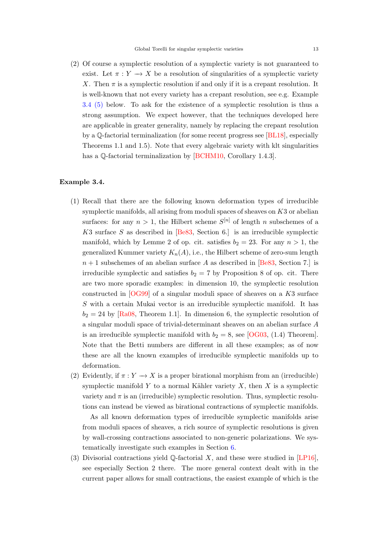<span id="page-12-1"></span>(2) Of course a symplectic resolution of a symplectic variety is not guaranteed to exist. Let  $\pi : Y \longrightarrow X$  be a resolution of singularities of a symplectic variety X. Then  $\pi$  is a symplectic resolution if and only if it is a crepant resolution. It is well-known that not every variety has a crepant resolution, see e.g. Example [3.4](#page-13-0) [\(5\)](#page-13-0) below. To ask for the existence of a symplectic resolution is thus a strong assumption. We expect however, that the techniques developed here are applicable in greater generality, namely by replacing the crepant resolution by a Q-factorial terminalization (for some recent progress see [\[BL18\]](#page-43-12), especially Theorems 1.1 and 1.5). Note that every algebraic variety with klt singularities has a Q-factorial terminalization by [\[BCHM10,](#page-43-13) Corollary 1.4.3].

### <span id="page-12-0"></span>Example 3.4.

- (1) Recall that there are the following known deformation types of irreducible symplectic manifolds, all arising from moduli spaces of sheaves on  $K3$  or abelian surfaces: for any  $n > 1$ , the Hilbert scheme  $S^{[n]}$  of length n subschemes of a  $K3$  surface S as described in [\[Be83,](#page-43-1) Section 6.] is an irreducible symplectic manifold, which by Lemme 2 of op. cit. satisfies  $b_2 = 23$ . For any  $n > 1$ , the generalized Kummer variety  $K_n(A)$ , i.e., the Hilbert scheme of zero-sum length  $n+1$  subschemes of an abelian surface A as described in [\[Be83,](#page-43-1) Section 7.] is irreducible symplectic and satisfies  $b_2 = 7$  by Proposition 8 of op. cit. There are two more sporadic examples: in dimension 10, the symplectic resolution constructed in  $[OG99]$  of a singular moduli space of sheaves on a K3 surface S with a certain Mukai vector is an irreducible symplectic manifold. It has  $b_2 = 24$  by [\[Ra08,](#page-46-9) Theorem 1.1]. In dimension 6, the symplectic resolution of a singular moduli space of trivial-determinant sheaves on an abelian surface A is an irreducible symplectic manifold with  $b_2 = 8$ , see [\[OG03,](#page-46-10) (1.4) Theorem]. Note that the Betti numbers are different in all these examples; as of now these are all the known examples of irreducible symplectic manifolds up to deformation.
- (2) Evidently, if  $\pi: Y \to X$  is a proper birational morphism from an (irreducible) symplectic manifold Y to a normal Kähler variety X, then X is a symplectic variety and  $\pi$  is an (irreducible) symplectic resolution. Thus, symplectic resolutions can instead be viewed as birational contractions of symplectic manifolds.

As all known deformation types of irreducible symplectic manifolds arise from moduli spaces of sheaves, a rich source of symplectic resolutions is given by wall-crossing contractions associated to non-generic polarizations. We systematically investigate such examples in Section [6.](#page-36-0)

(3) Divisorial contractions yield  $\mathbb Q$ -factorial X, and these were studied in [\[LP16\]](#page-45-1), see especially Section 2 there. The more general context dealt with in the current paper allows for small contractions, the easiest example of which is the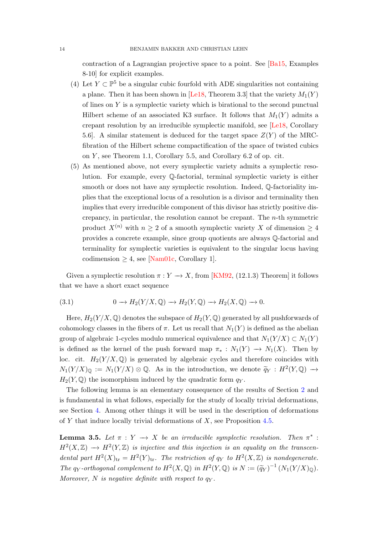<span id="page-13-3"></span>contraction of a Lagrangian projective space to a point. See [\[Ba15,](#page-43-14) Examples 8-10] for explicit examples.

- (4) Let  $Y \subset \mathbb{P}^5$  be a singular cubic fourfold with ADE singularities not containing a plane. Then it has been shown in [\[Le18,](#page-45-4) Theorem 3.3] that the variety  $M_1(Y)$ of lines on Y is a symplectic variety which is birational to the second punctual Hilbert scheme of an associated K3 surface. It follows that  $M_1(Y)$  admits a crepant resolution by an irreducible symplectic manifold, see [\[Le18,](#page-45-4) Corollary 5.6. A similar statement is deduced for the target space  $Z(Y)$  of the MRCfibration of the Hilbert scheme compactification of the space of twisted cubics on  $Y$ , see Theorem 1.1, Corollary 5.5, and Corollary 6.2 of op. cit.
- <span id="page-13-0"></span>(5) As mentioned above, not every symplectic variety admits a symplectic resolution. For example, every Q-factorial, terminal symplectic variety is either smooth or does not have any symplectic resolution. Indeed, Q-factoriality implies that the exceptional locus of a resolution is a divisor and terminality then implies that every irreducible component of this divisor has strictly positive discrepancy, in particular, the resolution cannot be crepant. The n-th symmetric product  $X^{(n)}$  with  $n \geq 2$  of a smooth symplectic variety X of dimension  $\geq 4$ provides a concrete example, since group quotients are always Q-factorial and terminality for symplectic varieties is equivalent to the singular locus having codimension  $\geq 4$ , see [\[Nam01c,](#page-46-11) Corollary 1].

Given a symplectic resolution  $\pi: Y \to X$ , from [\[KM92,](#page-45-2) (12.1.3) Theorem] it follows that we have a short exact sequence

<span id="page-13-1"></span>(3.1) 
$$
0 \to H_2(Y/X, \mathbb{Q}) \to H_2(Y, \mathbb{Q}) \to H_2(X, \mathbb{Q}) \to 0.
$$

Here,  $H_2(Y/X, \mathbb{Q})$  denotes the subspace of  $H_2(Y, \mathbb{Q})$  generated by all pushforwards of cohomology classes in the fibers of  $\pi$ . Let us recall that  $N_1(Y)$  is defined as the abelian group of algebraic 1-cycles modulo numerical equivalence and that  $N_1(Y/X) \subset N_1(Y)$ is defined as the kernel of the push forward map  $\pi_* : N_1(Y) \to N_1(X)$ . Then by loc. cit.  $H_2(Y/X, \mathbb{Q})$  is generated by algebraic cycles and therefore coincides with  $N_1(Y/X)_{\mathbb{Q}} := N_1(Y/X) \otimes \mathbb{Q}$ . As in the introduction, we denote  $\widetilde{q}_Y : H^2(Y,\mathbb{Q}) \to$  $H_2(Y, \mathbb{Q})$  the isomorphism induced by the quadratic form  $q_Y$ .

The following lemma is an elementary consequence of the results of Section [2](#page-6-0) and is fundamental in what follows, especially for the study of locally trivial deformations, see Section [4.](#page-19-0) Among other things it will be used in the description of deformations of Y that induce locally trivial deformations of  $X$ , see Proposition [4.5.](#page-21-0)

<span id="page-13-2"></span>**Lemma 3.5.** Let  $\pi : Y \to X$  be an irreducible symplectic resolution. Then  $\pi^*$ :  $H^2(X,\mathbb{Z}) \longrightarrow H^2(Y,\mathbb{Z})$  is injective and this injection is an equality on the transcendental part  $H^2(X)_{tr} = H^2(Y)_{tr}$ . The restriction of  $q_Y$  to  $H^2(X, \mathbb{Z})$  is nondegenerate. The qy-orthogonal complement to  $H^2(X, \mathbb{Q})$  in  $H^2(Y, \mathbb{Q})$  is  $N := (\widetilde{q}_Y)^{-1}(N_1(Y/X)_{\mathbb{Q}})$ . Moreover, N is negative definite with respect to  $q_V$ .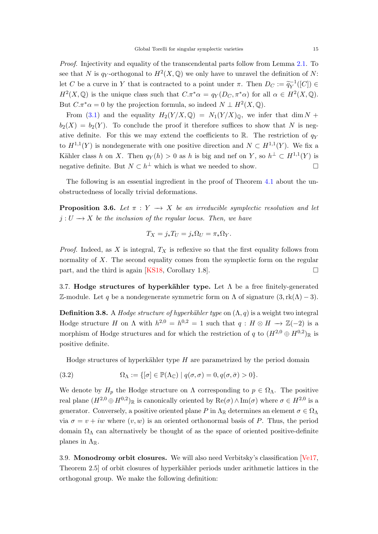<span id="page-14-4"></span>Proof. Injectivity and equality of the transcendental parts follow from Lemma [2.1.](#page-6-2) To see that N is q<sub>Y</sub>-orthogonal to  $H^2(X, \mathbb{Q})$  we only have to unravel the definition of N: let C be a curve in Y that is contracted to a point under  $\pi$ . Then  $D_C := \widetilde{q}_Y^{-1}$  $\widetilde{\gamma}^1([C]) \in$  $H^2(X, \mathbb{Q})$  is the unique class such that  $C.\pi^*\alpha = q_Y(D_C, \pi^*\alpha)$  for all  $\alpha \in H^2(X, \mathbb{Q})$ . But  $C.\pi^*\alpha = 0$  by the projection formula, so indeed  $N \perp H^2(X,\mathbb{Q})$ .

From [\(3.1\)](#page-13-1) and the equality  $H_2(Y/X,\mathbb{Q}) = N_1(Y/X)_0$ , we infer that dim N +  $b_2(X) = b_2(Y)$ . To conclude the proof it therefore suffices to show that N is negative definite. For this we may extend the coefficients to R. The restriction of  $q<sub>Y</sub>$ to  $H^{1,1}(Y)$  is nondegenerate with one positive direction and  $N \subset H^{1,1}(Y)$ . We fix a Kähler class h on X. Then  $q_Y(h) > 0$  as h is big and nef on Y, so  $h^{\perp} \subset H^{1,1}(Y)$  is negative definite. But  $N \subset h^{\perp}$  which is what we needed to show.

The following is an essential ingredient in the proof of Theorem [4.1](#page-19-1) about the unobstructedness of locally trivial deformations.

<span id="page-14-2"></span>**Proposition 3.6.** Let  $\pi : Y \to X$  be an irreducible symplectic resolution and let  $j: U \longrightarrow X$  be the inclusion of the regular locus. Then, we have

$$
T_X = j_* T_U = j_* \Omega_U = \pi_* \Omega_Y.
$$

*Proof.* Indeed, as X is integral,  $T_X$  is reflexive so that the first equality follows from normality of  $X$ . The second equality comes from the symplectic form on the regular part, and the third is again [\[KS18,](#page-45-3) Corollary 1.8].

<span id="page-14-0"></span>3.7. Hodge structures of hyperkähler type. Let  $\Lambda$  be a free finitely-generated Z-module. Let q be a nondegenerate symmetric form on  $\Lambda$  of signature  $(3, \text{rk}(\Lambda) - 3)$ .

**Definition 3.8.** A Hodge structure of hyperkähler type on  $(\Lambda, q)$  is a weight two integral Hodge structure H on  $\Lambda$  with  $h^{2,0} = h^{0,2} = 1$  such that  $q : H \otimes H \longrightarrow \mathbb{Z}(-2)$  is a morphism of Hodge structures and for which the restriction of q to  $(H^{2,0} \oplus H^{0,2})_{\mathbb{R}}$  is positive definite.

<span id="page-14-3"></span>Hodge structures of hyperkähler type  $H$  are parametrized by the period domain

(3.2) 
$$
\Omega_{\Lambda} := \{ [\sigma] \in \mathbb{P}(\Lambda_{\mathbb{C}}) \mid q(\sigma, \sigma) = 0, q(\sigma, \bar{\sigma}) > 0 \}.
$$

We denote by  $H_p$  the Hodge structure on  $\Lambda$  corresponding to  $p \in \Omega_{\Lambda}$ . The positive real plane  $(H^{2,0} \oplus H^{0,2})_{\mathbb{R}}$  is canonically oriented by  $\text{Re}(\sigma) \wedge \text{Im}(\sigma)$  where  $\sigma \in H^{2,0}$  is a generator. Conversely, a positive oriented plane P in  $\Lambda_{\mathbb{R}}$  determines an element  $\sigma \in \Omega_{\Lambda}$ via  $\sigma = v + iw$  where  $(v, w)$  is an oriented orthonormal basis of P. Thus, the period domain  $\Omega_{\Lambda}$  can alternatively be thought of as the space of oriented positive-definite planes in  $\Lambda_{\mathbb{R}}$ .

<span id="page-14-1"></span>3.9. Monodromy orbit closures. We will also need Verbitsky's classification [\[Ve17,](#page-47-4) Theorem 2.5 of orbit closures of hyperkähler periods under arithmetic lattices in the orthogonal group. We make the following definition: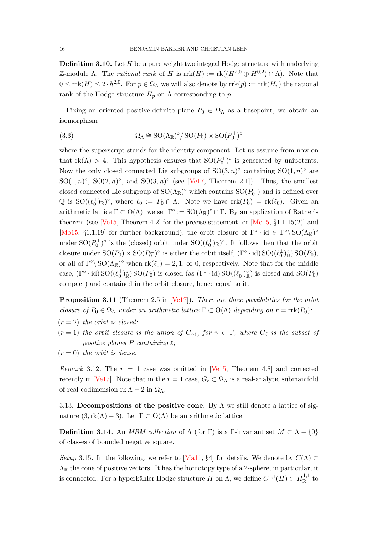<span id="page-15-4"></span>**Definition 3.10.** Let H be a pure weight two integral Hodge structure with underlying Z-module Λ. The *rational rank* of H is  $\text{rrk}(H) := \text{rk}((H^{2,0} \oplus H^{0,2}) \cap \Lambda)$ . Note that  $0 \leq \text{rrk}(H) \leq 2 \cdot h^{2,0}$ . For  $p \in \Omega_{\Lambda}$  we will also denote by  $\text{rrk}(p) := \text{rrk}(H_p)$  the rational rank of the Hodge structure  $H_p$  on  $\Lambda$  corresponding to p.

Fixing an oriented positive-definite plane  $P_0 \in \Omega_{\Lambda}$  as a basepoint, we obtain an isomorphism

(3.3) 
$$
\Omega_{\Lambda} \cong SO(\Lambda_{\mathbb{R}})^{\circ} / SO(P_0) \times SO(P_0^{\perp})^{\circ}
$$

where the superscript stands for the identity component. Let us assume from now on that  $rk(\Lambda) > 4$ . This hypothesis ensures that  $SO(P_0^{\perp})^{\circ}$  is generated by unipotents. Now the only closed connected Lie subgroups of  $SO(3, n)^\circ$  containing  $SO(1, n)^\circ$  are SO $(1, n)$ °, SO $(2, n)$ °, and SO $(3, n)$ ° (see [\[Ve17,](#page-47-4) Theorem 2.1]). Thus, the smallest closed connected Lie subgroup of  ${\rm SO}(\Lambda_{\mathbb{R}})^\circ$  which contains  ${\rm SO}(P_0^\perp)$  and is defined over  $\mathbb Q$  is  $\mathrm{SO}((\ell_0^{\perp})_{\mathbb R})^{\circ}$ , where  $\ell_0 := P_0 \cap \Lambda$ . Note we have  $\mathrm{rrk}(P_0) = \mathrm{rk}(\ell_0)$ . Given an arithmetic lattice  $\Gamma \subset O(\Lambda)$ , we set  $\Gamma^{\circ} := SO(\Lambda_{\mathbb{R}})^{\circ} \cap \Gamma$ . By an application of Ratner's theorem (see [\[Ve15,](#page-47-2) Theorem 4.2] for the precise statement, or  $[Mo15, §1.1.15(2)]$  and [\[Mo15,](#page-46-12) §1.1.19] for further background), the orbit closure of  $\Gamma^{\circ} \cdot id \in \Gamma^{\circ} \backslash SO(\Lambda_{\mathbb{R}})^{\circ}$ under  $SO(P_0^{\perp})^{\circ}$  is the (closed) orbit under  $SO((\ell_0^{\perp})_{\mathbb{R}})^{\circ}$ . It follows then that the orbit closure under  $SO(P_0) \times SO(P_0^{\perp})^{\circ}$  is either the orbit itself,  $(\Gamma^{\circ} \cdot id) SO((\ell_0^{\perp})^{\circ}_{\mathbb{R}}) SO(P_0)$ , or all of  $\Gamma^{\circ} \backslash SO(\Lambda_{\mathbb{R}})^{\circ}$  when  $rk(\ell_0) = 2, 1$ , or 0, respectively. Note that for the middle case,  $(\Gamma^{\circ} \cdot \text{id}) \text{SO}((\ell_0^{\perp})^{\circ}_{\mathbb{R}}) \text{SO}(P_0)$  is closed (as  $(\Gamma^{\circ} \cdot \text{id}) \text{SO}((\ell_0^{\perp})^{\circ}_{\mathbb{R}})$  is closed and  $\text{SO}(P_0)$ compact) and contained in the orbit closure, hence equal to it.

<span id="page-15-0"></span>**Proposition 3.11** (Theorem 2.5 in [\[Ve17\]](#page-47-4)). There are three possibilities for the orbit closure of  $P_0 \in \Omega_\Lambda$  under an arithmetic lattice  $\Gamma \subset O(\Lambda)$  depending on  $r = \text{rrk}(P_0)$ :

- $(r = 2)$  the orbit is closed;
- $(r = 1)$  the orbit closure is the union of  $G_{\gamma \ell_0}$  for  $\gamma \in \Gamma$ , where  $G_{\ell}$  is the subset of positive planes  $P$  containing  $\ell$ ;
- $(r = 0)$  the orbit is dense.

*Remark* 3.12. The  $r = 1$  case was omitted in [\[Ve15,](#page-47-2) Theorem 4.8] and corrected recently in [\[Ve17\]](#page-47-4). Note that in the  $r = 1$  case,  $G_\ell \subset \Omega_\Lambda$  is a real-analytic submanifold of real codimension  $rk \Lambda - 2$  in  $\Omega_{\Lambda}$ .

<span id="page-15-1"></span>3.13. Decompositions of the positive cone. By  $\Lambda$  we still denote a lattice of signature  $(3, \text{rk}(\Lambda) - 3)$ . Let  $\Gamma \subset O(\Lambda)$  be an arithmetic lattice.

<span id="page-15-2"></span>**Definition 3.14.** An MBM collection of  $\Lambda$  (for  $\Gamma$ ) is a Γ-invariant set  $M \subset \Lambda - \{0\}$ of classes of bounded negative square.

<span id="page-15-3"></span>Setup 3.15. In the following, we refer to [\[Ma11,](#page-46-2) §4] for details. We denote by  $C(\Lambda) \subset$  $\Lambda_{\mathbb{R}}$  the cone of positive vectors. It has the homotopy type of a 2-sphere, in particular, it is connected. For a hyperkähler Hodge structure H on  $\Lambda$ , we define  $C^{1,1}(H) \subset H^{1,1}_\mathbb{R}$  to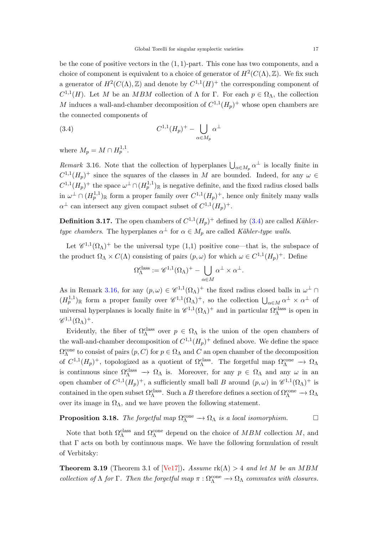<span id="page-16-5"></span>be the cone of positive vectors in the  $(1, 1)$ -part. This cone has two components, and a choice of component is equivalent to a choice of generator of  $H^2(C(\Lambda), \mathbb{Z})$ . We fix such a generator of  $H^2(C(\Lambda), \mathbb{Z})$  and denote by  $C^{1,1}(H)^+$  the corresponding component of  $C^{1,1}(H)$ . Let M be an MBM collection of  $\Lambda$  for  $\Gamma$ . For each  $p \in \Omega_{\Lambda}$ , the collection M induces a wall-and-chamber decomposition of  $C^{1,1}(H_p)^+$  whose open chambers are the connected components of

<span id="page-16-1"></span>
$$
(3.4) \tC1,1(Hp)+ - \bigcup_{\alpha \in M_p} \alpha^{\perp}
$$

where  $M_p = M \cap H_p^{1,1}$ .

<span id="page-16-0"></span>Remark 3.16. Note that the collection of hyperplanes  $\bigcup_{\alpha \in M_p} \alpha^{\perp}$  is locally finite in  $C^{1,1}(H_p)^+$  since the squares of the classes in M are bounded. Indeed, for any  $\omega \in$  $C^{1,1}(H_p)^+$  the space  $\omega^{\perp} \cap (H_p^{1,1})_{\mathbb{R}}$  is negative definite, and the fixed radius closed balls in  $\omega^{\perp} \cap (H_p^{1,1})_{\mathbb{R}}$  form a proper family over  $C^{1,1}(H_p)^+$ , hence only finitely many walls  $\alpha^{\perp}$  can intersect any given compact subset of  $C^{1,1}(H_p)^+$ .

<span id="page-16-3"></span>**Definition 3.17.** The open chambers of  $C^{1,1}(H_p)^+$  defined by [\(3.4\)](#page-16-1) are called Kählertype chambers. The hyperplanes  $\alpha^{\perp}$  for  $\alpha \in M_p$  are called Kähler-type walls.

Let  $\mathscr{C}^{1,1}(\Omega_\Lambda)^+$  be the universal type  $(1,1)$  positive cone—that is, the subspace of the product  $\Omega_{\Lambda} \times C(\Lambda)$  consisting of pairs  $(p,\omega)$  for which  $\omega \in C^{1,1}(H_p)^+$ . Define

$$
\Omega_{\Lambda}^{\rm class}:=\mathscr{C}^{1,1}(\Omega_\Lambda)^+ - \bigcup_{\alpha \in M} \alpha^\perp \times \alpha^\perp.
$$

As in Remark [3.16,](#page-16-0) for any  $(p, \omega) \in \mathscr{C}^{1,1}(\Omega_{\Lambda})^+$  the fixed radius closed balls in  $\omega^{\perp} \cap$  $(H_p^{1,1})_\mathbb{R}$  form a proper family over  $\mathscr{C}^{1,1}(\Omega_\Lambda)^+$ , so the collection  $\bigcup_{\alpha\in M}\alpha^\perp\times\alpha^\perp$  of universal hyperplanes is locally finite in  $\mathscr{C}^{1,1}(\Omega_\Lambda)^+$  and in particular  $\Omega_\Lambda^{class}$  is open in  $\mathscr{C}^{1,1}(\Omega_\Lambda)^+$ .

Evidently, the fiber of  $\Omega_{\Lambda}^{class}$  over  $p \in \Omega_{\Lambda}$  is the union of the open chambers of the wall-and-chamber decomposition of  $C^{1,1}(H_p)^+$  defined above. We define the space  $\Omega_{\Lambda}^{\text{cone}}$  to consist of pairs  $(p, C)$  for  $p \in \Omega_{\Lambda}$  and  $C$  an open chamber of the decomposition of  $C^{1,1}(H_p)^+$ , topologized as a quotient of  $\Omega_\Lambda^{\text{class}}$ . The forgetful map  $\Omega_\Lambda^{\text{cone}} \to \Omega_\Lambda$ is continuous since  $\Omega_{\Lambda}^{class} \to \Omega_{\Lambda}$  is. Moreover, for any  $p \in \Omega_{\Lambda}$  and any  $\omega$  in an open chamber of  $C^{1,1}(H_p)^+$ , a sufficiently small ball B around  $(p,\omega)$  in  $\mathscr{C}^{1,1}(\Omega_\Lambda)^+$  is contained in the open subset  $\Omega_A^{class}$ . Such a B therefore defines a section of  $\Omega_A^{cone} \to \Omega_A$ over its image in  $\Omega_{\Lambda}$ , and we have proven the following statement.

# <span id="page-16-4"></span>**Proposition 3.18.** The forgetful map  $\Omega_{\Lambda}^{\text{cone}} \to \Omega_{\Lambda}$  is a local isomorphism.

Note that both  $\Omega_{\Lambda}^{\text{class}}$  and  $\Omega_{\Lambda}^{\text{cone}}$  depend on the choice of  $MBM$  collection M, and that  $\Gamma$  acts on both by continuous maps. We have the following formulation of result of Verbitsky:

<span id="page-16-2"></span>**Theorem 3.19** (Theorem 3.1 of [\[Ve17\]](#page-47-4)). Assume  $rk(\Lambda) > 4$  and let M be an MBM collection of  $\Lambda$  for  $\Gamma$ . Then the forgetful map  $\pi : \Omega_{\Lambda}^{\text{cone}} \to \Omega_{\Lambda}$  commutes with closures.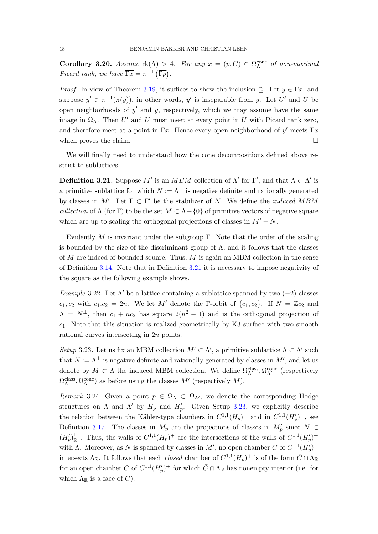<span id="page-17-2"></span>Corollary 3.20. Assume  $rk(\Lambda) > 4$ . For any  $x = (p, C) \in \Omega_\Lambda^{\text{cone}}$  of non-maximal Picard rank, we have  $\overline{\Gamma x} = \pi^{-1} (\overline{\Gamma p})$ .

*Proof.* In view of Theorem [3.19,](#page-16-2) it suffices to show the inclusion  $\supseteq$ . Let  $y \in \overline{\Gamma x}$ , and suppose  $y' \in \pi^{-1}(\pi(y))$ , in other words, y' is inseparable from y. Let U' and U be open neighborhoods of  $y'$  and  $y$ , respectively, which we may assume have the same image in  $\Omega_{\Lambda}$ . Then U' and U must meet at every point in U with Picard rank zero, and therefore meet at a point in  $\overline{\Gamma x}$ . Hence every open neighborhood of y' meets  $\overline{\Gamma x}$ which proves the claim.  $\Box$ 

We will finally need to understand how the cone decompositions defined above restrict to sublattices.

<span id="page-17-0"></span>**Definition 3.21.** Suppose M' is an MBM collection of  $\Lambda'$  for  $\Gamma'$ , and that  $\Lambda \subset \Lambda'$  is a primitive sublattice for which  $N := \Lambda^{\perp}$  is negative definite and rationally generated by classes in M'. Let  $\Gamma \subset \Gamma'$  be the stabilizer of N. We define the *induced MBM* collection of  $\Lambda$  (for Γ) to be the set  $M \subset \Lambda - \{0\}$  of primitive vectors of negative square which are up to scaling the orthogonal projections of classes in  $M' - N$ .

Evidently M is invariant under the subgroup Γ. Note that the order of the scaling is bounded by the size of the discriminant group of  $\Lambda$ , and it follows that the classes of  $M$  are indeed of bounded square. Thus,  $M$  is again an MBM collection in the sense of Definition [3.14.](#page-15-2) Note that in Definition [3.21](#page-17-0) it is necessary to impose negativity of the square as the following example shows.

Example 3.22. Let  $\Lambda'$  be a lattice containing a sublattice spanned by two (−2)-classes  $c_1, c_2$  with  $c_1.c_2 = 2n$ . We let M' denote the Γ-orbit of  $\{c_1, c_2\}$ . If  $N = \mathbb{Z}c_2$  and  $\Lambda = N^{\perp}$ , then  $c_1 + nc_2$  has square  $2(n^2 - 1)$  and is the orthogonal projection of  $c_1$ . Note that this situation is realized geometrically by K3 surface with two smooth rational curves intersecting in 2n points.

<span id="page-17-1"></span>Setup 3.23. Let us fix an MBM collection  $M' \subset \Lambda'$ , a primitive sublattice  $\Lambda \subset \Lambda'$  such that  $N := \Lambda^{\perp}$  is negative definite and rationally generated by classes in  $M'$ , and let us denote by  $M \subset \Lambda$  the induced MBM collection. We define  $\Omega_{\Lambda'}^{\text{class}}, \Omega_{\Lambda'}^{\text{cone}}$  (respectively  $\Omega_{\Lambda}^{\text{class}}, \Omega_{\Lambda}^{\text{cone}}$ ) as before using the classes  $M'$  (respectively  $M$ ).

Remark 3.24. Given a point  $p \in \Omega_{\Lambda} \subset \Omega_{\Lambda}$ , we denote the corresponding Hodge structures on  $\Lambda$  and  $\Lambda'$  by  $H_p$  and  $H'_p$ . Given Setup [3.23,](#page-17-1) we explicitly describe the relation between the Kähler-type chambers in  $C^{1,1}(H_p)^+$  and in  $C^{1,1}(H'_p)^+$ , see Definition [3.17.](#page-16-3) The classes in  $M_p$  are the projections of classes in  $M_p'$  since  $N \subset$  $(H_p')_{\mathbb{R}}^{1,1}$ . Thus, the walls of  $C^{1,1}(H_p)^+$  are the intersections of the walls of  $C^{1,1}(H_p')^+$ with  $\Lambda$ . Moreover, as N is spanned by classes in M', no open chamber C of  $C^{1,1}(H_p')^+$ intersects  $\Lambda_{\mathbb{R}}$ . It follows that each *closed* chamber of  $C^{1,1}(H_p)^+$  is of the form  $\bar{C} \cap \Lambda_{\mathbb{R}}$ for an open chamber C of  $C^{1,1}(H_p')^+$  for which  $\bar{C} \cap \Lambda_{\mathbb{R}}$  has nonempty interior (i.e. for which  $\Lambda_{\mathbb{R}}$  is a face of C).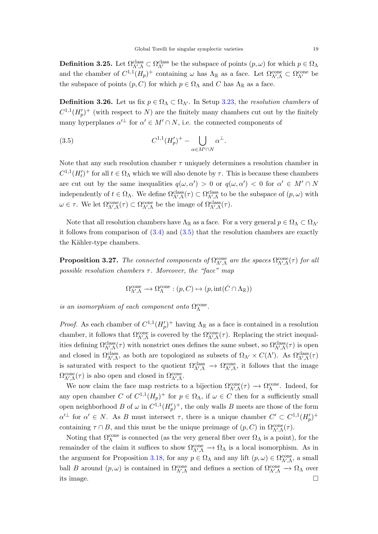**Definition 3.25.** Let  $\Omega_{\Lambda',\Lambda}^{class} \subset \Omega_{\Lambda'}^{class}$  be the subspace of points  $(p,\omega)$  for which  $p \in \Omega_{\Lambda}$ and the chamber of  $C^{1,1}(H_p)^+$  containing  $\omega$  has  $\Lambda_{\mathbb{R}}$  as a face. Let  $\Omega_{\Lambda',\Lambda}^{\text{cone}} \subset \Omega_{\Lambda'}^{\text{cone}}$  be the subspace of points  $(p, C)$  for which  $p \in \Omega_{\Lambda}$  and C has  $\Lambda_{\mathbb{R}}$  as a face.

<span id="page-18-1"></span>**Definition 3.26.** Let us fix  $p \in \Omega_{\Lambda} \subset \Omega_{\Lambda'}$ . In Setup [3.23,](#page-17-1) the *resolution chambers* of  $C^{1,1}(H_p')^+$  (with respect to N) are the finitely many chambers cut out by the finitely many hyperplanes  $\alpha'^{\perp}$  for  $\alpha' \in M' \cap N$ , i.e. the connected components of

<span id="page-18-0"></span>(3.5) 
$$
C^{1,1}(H'_p)^+ - \bigcup_{\alpha \in M' \cap N} \alpha^{\perp}.
$$

Note that any such resolution chamber  $\tau$  uniquely determines a resolution chamber in  $C^{1,1}(H'_t)^+$  for all  $t \in \Omega_\Lambda$  which we will also denote by  $\tau$ . This is because these chambers are cut out by the same inequalities  $q(\omega, \alpha') > 0$  or  $q(\omega, \alpha') < 0$  for  $\alpha' \in M' \cap N$ independently of  $t \in \Omega_{\Lambda}$ . We define  $\Omega_{\Lambda',\Lambda}^{class}(\tau) \subset \Omega_{\Lambda',\Lambda}^{class}$  to be the subspace of  $(p,\omega)$  with  $\omega \in \tau$ . We let  $\Omega_{\Lambda',\Lambda}^{\text{cone}}(\tau) \subset \Omega_{\Lambda',\Lambda}^{\text{cone}}$  be the image of  $\Omega_{\Lambda',\Lambda}^{\text{class}}(\tau)$ .

Note that all resolution chambers have  $\Lambda_{\mathbb{R}}$  as a face. For a very general  $p \in \Omega_{\Lambda} \subset \Omega_{\Lambda}$ it follows from comparison of  $(3.4)$  and  $(3.5)$  that the resolution chambers are exactly the Kähler-type chambers.

<span id="page-18-2"></span>**Proposition 3.27.** The connected components of  $\Omega_{\Lambda',\Lambda}^{\text{cone}}$  are the spaces  $\Omega_{\Lambda',\Lambda}^{\text{cone}}(\tau)$  for all possible resolution chambers  $\tau$ . Moreover, the "face" map

$$
\Omega_{\Lambda',\Lambda}^{\mathrm{cone}} \longrightarrow \Omega_{\Lambda}^{\mathrm{cone}} : (p,C) \mapsto (p,\mathrm{int}(\bar{C} \cap \Lambda_{{\mathbb{R}}}))
$$

is an isomorphism of each component onto  $\Omega_{\Lambda}^{\text{cone}}$ .

*Proof.* As each chamber of  $C^{1,1}(H_p')^+$  having  $\Lambda_{\mathbb{R}}$  as a face is contained in a resolution chamber, it follows that  $\Omega_{\Lambda',\Lambda}^{\text{cone}}$  is covered by the  $\Omega_{\Lambda',\Lambda}^{\text{cone}}(\tau)$ . Replacing the strict inequalities defining  $\Omega_{\Lambda',\Lambda}^{class}(\tau)$  with nonstrict ones defines the same subset, so  $\Omega_{\Lambda',\Lambda}^{class}(\tau)$  is open and closed in  $\Omega_{\Lambda',\Lambda}^{class}$ , as both are topologized as subsets of  $\Omega_{\Lambda'} \times C(\Lambda')$ . As  $\Omega_{\Lambda',\Lambda}^{class}(\tau)$ is saturated with respect to the quotient  $\Omega_{\Lambda',\Lambda}^{\text{class}} \to \Omega_{\Lambda',\Lambda}^{\text{cone}}$ , it follows that the image  $\Omega_{\Lambda',\Lambda}^{\text{cone}}(\tau)$  is also open and closed in  $\Omega_{\Lambda',\Lambda}^{\text{cone}}$ .

We now claim the face map restricts to a bijection  $\Omega_{\Lambda',\Lambda}^{\text{cone}}(\tau) \to \Omega_{\Lambda}^{\text{cone}}$ . Indeed, for any open chamber C of  $C^{1,1}(H_p)^+$  for  $p \in \Omega_{\Lambda}$ , if  $\omega \in C$  then for a sufficiently small open neighborhood B of  $\omega$  in  $C^{1,1}(H_p')^+$ , the only walls B meets are those of the form  $\alpha'^{\perp}$  for  $\alpha' \in N$ . As B must intersect  $\tau$ , there is a unique chamber  $C' \subset C^{1,1}(H_p')^+$ containing  $\tau \cap B$ , and this must be the unique preimage of  $(p, C)$  in  $\Omega_{\Lambda', \Lambda}^{\text{cone}}(\tau)$ .

Noting that  $\Omega_{\Lambda}^{\text{cone}}$  is connected (as the very general fiber over  $\Omega_{\Lambda}$  is a point), for the remainder of the claim it suffices to show  $\Omega_{\Lambda',\Lambda}^{\text{cone}} \to \Omega_{\Lambda}$  is a local isomorphism. As in the argument for Proposition [3.18,](#page-16-4) for any  $p \in \Omega_{\Lambda}$  and any lift  $(p, \omega) \in \Omega_{\Lambda', \Lambda}^{\text{cone}}$ , a small ball B around  $(p, \omega)$  is contained in  $\Omega_{\Lambda',\Lambda}^{\text{cone}}$  and defines a section of  $\Omega_{\Lambda',\Lambda}^{\text{cone}} \to \Omega_{\Lambda}$  over its image.  $\Box$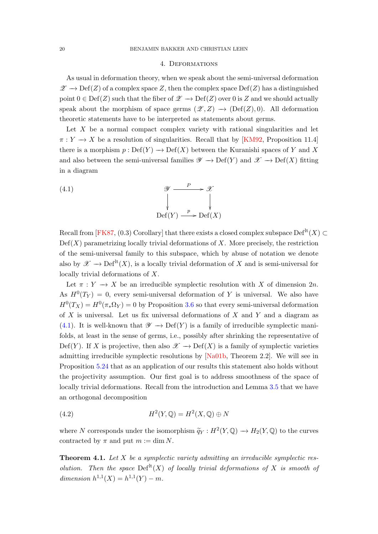### 4. Deformations

<span id="page-19-4"></span><span id="page-19-0"></span>As usual in deformation theory, when we speak about the semi-universal deformation  $\mathscr{Z} \to \mathrm{Def}(Z)$  of a complex space Z, then the complex space  $\mathrm{Def}(Z)$  has a distinguished point  $0 \in \text{Def}(Z)$  such that the fiber of  $\mathscr{Z} \to \text{Def}(Z)$  over 0 is Z and we should actually speak about the morphism of space germs  $(\mathscr{Z}, Z) \longrightarrow (Def(Z), 0)$ . All deformation theoretic statements have to be interpreted as statements about germs.

Let  $X$  be a normal compact complex variety with rational singularities and let  $\pi: Y \longrightarrow X$  be a resolution of singularities. Recall that by [\[KM92,](#page-45-2) Proposition 11.4] there is a morphism  $p : \mathrm{Def}(Y) \to \mathrm{Def}(X)$  between the Kuranishi spaces of Y and X and also between the semi-universal families  $\mathscr{Y} \to \mathrm{Def}(Y)$  and  $\mathscr{X} \to \mathrm{Def}(X)$  fitting in a diagram

<span id="page-19-2"></span>(4.1) 
$$
\mathscr{Y} \xrightarrow{P} \mathscr{X}
$$

$$
\downarrow \qquad \qquad \downarrow
$$

$$
\operatorname{Def}(Y) \xrightarrow{p} \operatorname{Def}(X)
$$

Recall from [\[FK87,](#page-44-9) (0.3) Corollary] that there exists a closed complex subspace  $Def<sup>lt</sup>(X) \subset$  $Def(X)$  parametrizing locally trivial deformations of X. More precisely, the restriction of the semi-universal family to this subspace, which by abuse of notation we denote also by  $\mathscr{X} \longrightarrow \mathrm{Def}^{\mathrm{lt}}(X)$ , is a locally trivial deformation of X and is semi-universal for locally trivial deformations of X.

Let  $\pi : Y \to X$  be an irreducible symplectic resolution with X of dimension 2n. As  $H^0(T_Y) = 0$ , every semi-universal deformation of Y is universal. We also have  $H^0(T_X) = H^0(\pi_*\Omega_Y) = 0$  by Proposition [3.6](#page-14-2) so that every semi-universal deformation of  $X$  is universal. Let us fix universal deformations of  $X$  and  $Y$  and a diagram as [\(4.1\)](#page-19-2). It is well-known that  $\mathscr{Y} \to \mathrm{Def}(Y)$  is a family of irreducible symplectic manifolds, at least in the sense of germs, i.e., possibly after shrinking the representative of Def(Y). If X is projective, then also  $\mathscr{X} \to \mathrm{Def}(X)$  is a family of symplectic varieties admitting irreducible symplectic resolutions by [\[Na01b,](#page-46-3) Theorem 2.2]. We will see in Proposition [5.24](#page-36-2) that as an application of our results this statement also holds without the projectivity assumption. Our first goal is to address smoothness of the space of locally trivial deformations. Recall from the introduction and Lemma [3.5](#page-13-2) that we have an orthogonal decomposition

<span id="page-19-3"></span>(4.2) 
$$
H^2(Y, \mathbb{Q}) = H^2(X, \mathbb{Q}) \oplus N
$$

where N corresponds under the isomorphism  $\tilde{q}_Y : H^2(Y, \mathbb{Q}) \to H_2(Y, \mathbb{Q})$  to the curves contracted by  $\pi$  and put  $m := \dim N$ .

<span id="page-19-1"></span>**Theorem 4.1.** Let  $X$  be a symplectic variety admitting an irreducible symplectic resolution. Then the space  $\mathrm{Def}^{\mathrm{lt}}(X)$  of locally trivial deformations of X is smooth of dimension  $h^{1,1}(X) = h^{1,1}(Y) - m$ .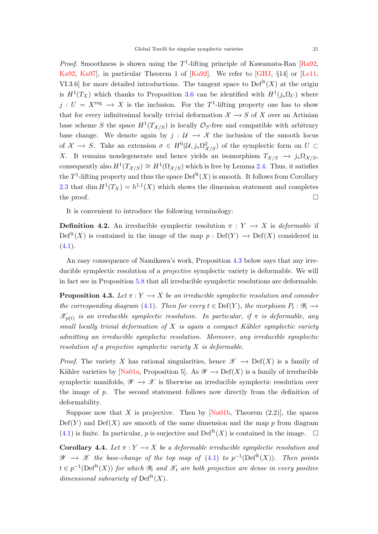<span id="page-20-3"></span>*Proof.* Smoothness is shown using the  $T^1$ -lifting principle of Kawamata-Ran [\[Ra92,](#page-46-13) [Ka92,](#page-45-5) [Ka97\]](#page-45-6), in particular Theorem 1 of [\[Ka92\]](#page-45-5). We refer to [\[GHJ,](#page-44-10) §14] or [\[Le11,](#page-45-7) VI.3.6] for more detailed introductions. The tangent space to  $\mathrm{Def}^{\mathrm{lt}}(X)$  at the origin is  $H^1(T_X)$  which thanks to Proposition [3.6](#page-14-2) can be identified with  $H^1(j_*\Omega_U)$  where  $j: U = X^{\text{reg}} \to X$  is the inclusion. For the T<sup>1</sup>-lifting property one has to show that for every infinitesimal locally trivial deformation  $\mathcal{X} \to S$  of X over an Artinian base scheme S the space  $H^1(T_{\mathcal{X}/S})$  is locally  $\mathcal{O}_S$ -free and compatible with arbitrary base change. We denote again by  $j : U \rightarrow X$  the inclusion of the smooth locus of  $\mathcal{X} \to S$ . Take an extension  $\sigma \in H^0(\mathcal{U}, j_*\Omega^2_{\mathcal{X}/S})$  of the symplectic form on  $U \subset$ X. It remains nondegenerate and hence yields an isomorphism  $T_{\mathcal{X}/S} \to j_*\Omega_{\mathcal{X}/S}$ , consequently also  $H^1(T_{\mathcal{X}/S}) \cong H^1(\Omega_{\mathcal{X}/S})$  which is free by Lemma [2.4.](#page-9-4) Thus, it satisfies the  $T^1$ -lifting property and thus the space  $\mathrm{Def}^{\mathrm{lt}}(X)$  is smooth. It follows from Corollary [2.3](#page-8-0) that dim  $H^1(T_X) = h^{1,1}(X)$  which shows the dimension statement and completes the proof.  $\Box$ 

It is convenient to introduce the following terminology:

<span id="page-20-1"></span>**Definition 4.2.** An irreducible symplectic resolution  $\pi : Y \to X$  is *deformable* if  $Def<sup>lt</sup>(X)$  is contained in the image of the map  $p : Def(Y) \longrightarrow Def(X)$  considered in  $(4.1).$  $(4.1).$ 

An easy consequence of Namikawa's work, Proposition [4.3](#page-20-0) below says that any irreducible symplectic resolution of a *projective* symplectic variety is deformable. We will in fact see in Proposition [5.8](#page-30-0) that all irreducible symplectic resolutions are deformable.

<span id="page-20-0"></span>**Proposition 4.3.** Let  $\pi: Y \to X$  be an irreducible symplectic resolution and consider the corresponding diagram [\(4.1\)](#page-19-2). Then for every  $t \in \text{Def}(Y)$ , the morphism  $P_t : \mathscr{Y}_t \longrightarrow$  $\mathscr{X}_{p(t)}$  is an irreducible symplectic resolution. In particular, if  $\pi$  is deformable, any small locally trivial deformation of  $X$  is again a compact Kähler symplectic variety admitting an irreducible symplectic resolution. Moreover, any irreducible symplectic resolution of a projective symplectic variety X is deformable.

*Proof.* The variety X has rational singularities, hence  $\mathscr{X} \to \mathrm{Def}(X)$  is a family of Kähler varieties by [\[Na01a,](#page-46-14) Proposition 5]. As  $\mathscr{Y} \to \mathrm{Def}(X)$  is a family of irreducible symplectic manifolds,  $\mathscr{Y} \to \mathscr{X}$  is fiberwise an irreducible symplectic resolution over the image of p. The second statement follows now directly from the definition of deformability.

Suppose now that X is projective. Then by  $[Na01b, Theorem (2.2)],$  the spaces  $Def(Y)$  and  $Def(X)$  are smooth of the same dimension and the map p from diagram  $(4.1)$  is finite. In particular, p is surjective and Def<sup>lt</sup> $(X)$  is contained in the image.  $\Box$ 

<span id="page-20-2"></span>Corollary 4.4. Let  $\pi: Y \to X$  be a deformable irreducible symplectic resolution and  $\mathscr{Y} \to \mathscr{X}$  the base-change of the top map of [\(4.1\)](#page-19-2) to  $p^{-1}(\text{Def}^{\text{lt}}(X))$ . Then points  $t \in p^{-1}(\text{Def}^{\text{lt}}(X))$  for which  $\mathscr{Y}_t$  and  $\mathscr{X}_t$  are both projective are dense in every positive dimensional subvariety of  $\mathrm{Def}^{\mathrm{lt}}(X)$ .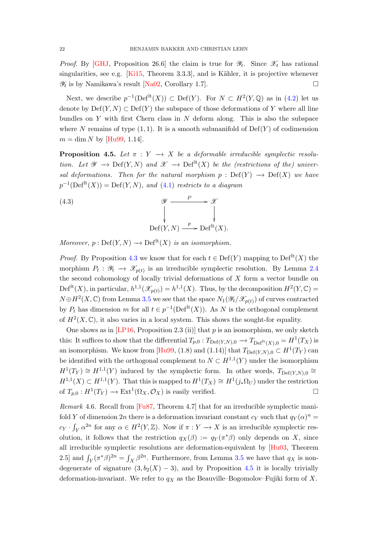<span id="page-21-3"></span>*Proof.* By [\[GHJ,](#page-44-10) Proposition 26.6] the claim is true for  $\mathscr{Y}_t$ . Since  $\mathscr{X}_t$  has rational singularities, see e.g.  $[Ki15, Theorem 3.3.3]$ , and is Kähler, it is projective whenever  $\mathscr{Y}_t$  is by Namikawa's result [\[Na02,](#page-46-15) Corollary 1.7].

Next, we describe  $p^{-1}(Def^{lt}(X)) \subset Def(Y)$ . For  $N \subset H^2(Y, \mathbb{Q})$  as in [\(4.2\)](#page-19-3) let us denote by  $Def(Y, N) \subset Def(Y)$  the subspace of those deformations of Y where all line bundles on Y with first Chern class in N deform along. This is also the subspace where N remains of type  $(1, 1)$ . It is a smooth submanifold of  $Def(Y)$  of codimension  $m = \dim N$  by [\[Hu99,](#page-44-0) 1.14].

<span id="page-21-0"></span>**Proposition 4.5.** Let  $\pi : Y \rightarrow X$  be a deformable irreducible symplectic resolution. Let  $\mathscr{Y} \longrightarrow \mathrm{Def}(Y, N)$  and  $\mathscr{X} \longrightarrow \mathrm{Def}^{\mathrm{lt}}(X)$  be the (restrictions of the) universal deformations. Then for the natural morphism  $p : Def(Y) \longrightarrow Def(X)$  we have  $p^{-1}(\text{Def}^{\text{lt}}(X)) = \text{Def}(Y, N)$ , and [\(4.1\)](#page-19-2) restricts to a diagram

<span id="page-21-1"></span>(4.3)  
\n
$$
\begin{array}{ccc}\n & \mathscr{Y} & \xrightarrow{P} & \mathscr{X} \\
 & \downarrow & \downarrow & \downarrow \\
\text{Def}(Y, N) & \xrightarrow{p} \text{Def}^{\text{lt}}(X).\n\end{array}
$$

Moreover,  $p : \mathrm{Def}(Y, N) \longrightarrow \mathrm{Def}^{\mathrm{lt}}(X)$  is an isomorphism.

*Proof.* By Proposition [4.3](#page-20-0) we know that for each  $t \in \text{Def}(Y)$  mapping to  $\text{Def}^{\text{lt}}(X)$  the morphism  $P_t : \mathscr{Y}_t \to \mathscr{X}_{p(t)}$  is an irreducible symplectic resolution. By Lemma [2.4](#page-9-4) the second cohomology of locally trivial deformations of  $X$  form a vector bundle on Def<sup>lt</sup> $(X)$ , in particular,  $h^{1,1}(\mathscr{X}_{p(t)}) = h^{1,1}(X)$ . Thus, by the decomposition  $H^2(Y, \mathbb{C}) =$  $N \oplus H^2(X, \mathbb{C})$  from Lemma [3.5](#page-13-2) we see that the space  $N_1(\mathscr{Y}_t|\mathscr{X}_{p(t)})$  of curves contracted by  $P_t$  has dimension m for all  $t \in p^{-1}(\text{Def}^{\text{lt}}(X))$ . As N is the orthogonal complement of  $H^2(X,\mathbb{C})$ , it also varies in a local system. This shows the sought-for equality.

One shows as in  $[LP16, Proposition 2.3 (ii)]$  that p is an isomorphism, we only sketch this: It suffices to show that the differential  $T_{p,0}: T_{\text{Def}(Y,N),0} \to T_{\text{Def}^{\text{It}}(X),0} = H^1(T_X)$  is an isomorphism. We know from [\[Hu99,](#page-44-0) (1.8) and (1.14)] that  $T_{\text{Def}(Y,N),0} \subset H^1(T_Y)$  can be identified with the orthogonal complement to  $N \subset H^{1,1}(Y)$  under the isomorphism  $H^1(T_Y) \cong H^{1,1}(Y)$  induced by the symplectic form. In other words,  $T_{\text{Def}(Y,N),0} \cong$  $H^{1,1}(X) \subset H^{1,1}(Y)$ . That this is mapped to  $H^1(T_X) \cong H^1(j_*\Omega_U)$  under the restriction of  $T_{p,0}: H^1(T_Y) \to \text{Ext}^1(\Omega_X, \mathcal{O}_X)$  is easily verified.

<span id="page-21-2"></span>Remark 4.6. Recall from [\[Fu87,](#page-44-11) Theorem 4.7] that for an irreducible symplectic manifold Y of dimension 2n there is a deformation invariant constant  $c_Y$  such that  $q_Y(\alpha)^n =$  $c_Y \cdot \int_Y \alpha^{2n}$  for any  $\alpha \in H^2(Y,\mathbb{Z})$ . Now if  $\pi : Y \to X$  is an irreducible symplectic resolution, it follows that the restriction  $q_X(\beta) := q_Y(\pi^*\beta)$  only depends on X, since all irreducible symplectic resolutions are deformation-equivalent by [\[Hu03,](#page-44-3) Theorem 2.5] and  $\int_Y (\pi^* \beta)^{2n} = \int_X \beta^{2n}$ . Furthermore, from Lemma [3.5](#page-13-2) we have that  $q_X$  is nondegenerate of signature  $(3, b_2(X) - 3)$ , and by Proposition [4.5](#page-21-0) it is locally trivially deformation-invariant. We refer to  $q_X$  as the Beauville–Bogomolov–Fujiki form of X.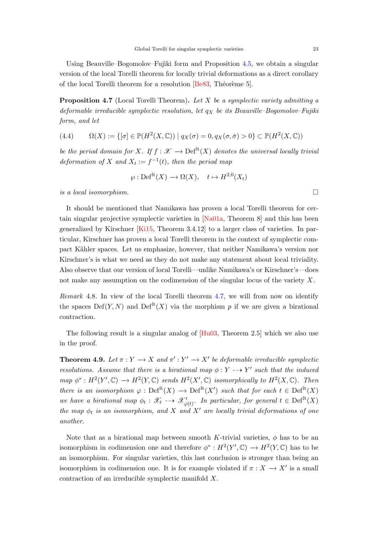<span id="page-22-2"></span>Using Beauville–Bogomolov–Fujiki form and Proposition [4.5,](#page-21-0) we obtain a singular version of the local Torelli theorem for locally trivial deformations as a direct corollary of the local Torelli theorem for a resolution  $[Be83, Théor\`eme 5]$ .

<span id="page-22-1"></span>**Proposition 4.7** (Local Torelli Theorem). Let  $X$  be a symplectic variety admitting a deformable irreducible symplectic resolution, let  $q_X$  be its Beauville–Bogomolov–Fujiki form, and let

(4.4) 
$$
\Omega(X) := \{ [\sigma] \in \mathbb{P}(H^2(X, \mathbb{C})) \mid q_X(\sigma) = 0, q_X(\sigma, \bar{\sigma}) > 0 \} \subset \mathbb{P}(H^2(X, \mathbb{C}))
$$

be the period domain for X. If  $f : \mathcal{X} \to \mathrm{Def}^{\mathrm{lt}}(X)$  denotes the universal locally trivial deformation of X and  $X_t := f^{-1}(t)$ , then the period map

$$
\wp: \mathrm{Def}^{\mathrm{lt}}(X) \longrightarrow \Omega(X), \quad t \mapsto H^{2,0}(X_t)
$$

is a local isomorphism.  $\square$ 

It should be mentioned that Namikawa has proven a local Torelli theorem for certain singular projective symplectic varieties in [\[Na01a,](#page-46-14) Theorem 8] and this has been generalized by Kirschner [\[Ki15,](#page-45-8) Theorem 3.4.12] to a larger class of varieties. In particular, Kirschner has proven a local Torelli theorem in the context of symplectic compact K¨ahler spaces. Let us emphasize, however, that neither Namikawa's version nor Kirschner's is what we need as they do not make any statement about local triviality. Also observe that our version of local Torelli—unlike Namikawa's or Kirschner's—does not make any assumption on the codimension of the singular locus of the variety X.

Remark 4.8. In view of the local Torelli theorem [4.7,](#page-22-1) we will from now on identify the spaces  $Def(Y, N)$  and  $Def<sup>lt</sup>(X)$  via the morphism p if we are given a birational contraction.

The following result is a singular analog of [\[Hu03,](#page-44-3) Theorem 2.5] which we also use in the proof.

<span id="page-22-0"></span>**Theorem 4.9.** Let  $\pi: Y \to X$  and  $\pi': Y' \to X'$  be deformable irreducible symplectic resolutions. Assume that there is a birational map  $\phi: Y \dashrightarrow Y'$  such that the induced map  $\phi^*: H^2(Y', \mathbb{C}) \to H^2(Y, \mathbb{C})$  sends  $H^2(X', \mathbb{C})$  isomorphically to  $H^2(X, \mathbb{C})$ . Then there is an isomorphism  $\varphi : \mathrm{Def}^{\mathrm{lt}}(X) \to \mathrm{Def}^{\mathrm{lt}}(X')$  such that for each  $t \in \mathrm{Def}^{\mathrm{lt}}(X)$ we have a birational map  $\phi_t : \mathscr{X}_t \dashrightarrow \mathscr{X}'_{\varphi(t)}$ . In particular, for general  $t \in \mathrm{Def}^{\mathrm{lt}}(X)$ the map  $\phi_t$  is an isomorphism, and X and X' are locally trivial deformations of one another.

Note that as a birational map between smooth K-trivial varieties,  $\phi$  has to be an isomorphism in codimension one and therefore  $\phi^*: H^2(Y', \mathbb{C}) \to H^2(Y, \mathbb{C})$  has to be an isomorphism. For singular varieties, this last conclusion is stronger than being an isomorphism in codimension one. It is for example violated if  $\pi : X \to X'$  is a small contraction of an irreducible symplectic manifold X.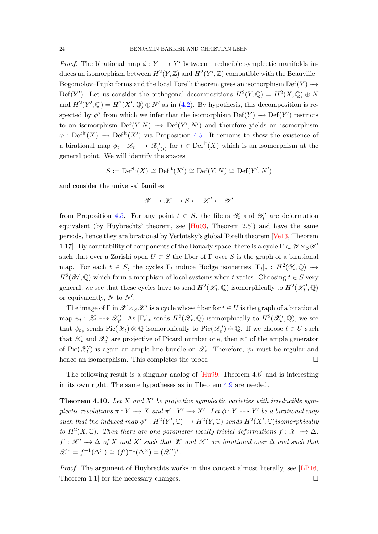<span id="page-23-0"></span>*Proof.* The birational map  $\phi: Y \dashrightarrow Y'$  between irreducible symplectic manifolds induces an isomorphism between  $H^2(Y, \mathbb{Z})$  and  $H^2(Y', \mathbb{Z})$  compatible with the Beauville-Bogomolov–Fujiki forms and the local Torelli theorem gives an isomorphism  $\mathrm{Def}(Y) \to$ Def(Y'). Let us consider the orthogonal decompositions  $H^2(Y, \mathbb{Q}) = H^2(X, \mathbb{Q}) \oplus N$ and  $H^2(Y',\mathbb{Q}) = H^2(X',\mathbb{Q}) \oplus N'$  as in [\(4.2\)](#page-19-3). By hypothesis, this decomposition is respected by  $\phi^*$  from which we infer that the isomorphism  $\mathrm{Def}(Y) \to \mathrm{Def}(Y')$  restricts to an isomorphism  $Def(Y, N) \rightarrow Def(Y', N')$  and therefore yields an isomorphism  $\varphi : \mathrm{Def}^{\mathrm{lt}}(X) \to \mathrm{Def}^{\mathrm{lt}}(X')$  via Proposition [4.5.](#page-21-0) It remains to show the existence of a birational map  $\phi_t : \mathscr{X}_t \dashrightarrow \mathscr{X}'_{\varphi(t)}$  for  $t \in \text{Def}^{\text{lt}}(X)$  which is an isomorphism at the general point. We will identify the spaces

$$
S := \mathrm{Def}^{\mathrm{lt}}(X) \cong \mathrm{Def}^{\mathrm{lt}}(X') \cong \mathrm{Def}(Y, N) \cong \mathrm{Def}(Y', N')
$$

and consider the universal families

$$
\mathscr{Y} \to \mathscr{X} \to S \leftarrow \mathscr{X}' \leftarrow \mathscr{Y}'
$$

from Proposition [4.5.](#page-21-0) For any point  $t \in S$ , the fibers  $\mathscr{Y}_t$  and  $\mathscr{Y}'_t$  are deformation equivalent (by Huybrechts' theorem, see [\[Hu03,](#page-44-3) Theorem 2.5]) and have the same periods, hence they are birational by Verbitsky's global Torelli theorem [\[Ve13,](#page-47-0) Theorem 1.17]. By countability of components of the Douady space, there is a cycle  $\Gamma \subset \mathscr{Y} \times_S \mathscr{Y}'$ such that over a Zariski open  $U \subset S$  the fiber of  $\Gamma$  over S is the graph of a birational map. For each  $t \in S$ , the cycles  $\Gamma_t$  induce Hodge isometries  $[\Gamma_t]_* : H^2(\mathscr{Y}_t, \mathbb{Q}) \longrightarrow$  $H^2(\mathscr{Y}_t', \mathbb{Q})$  which form a morphism of local systems when t varies. Choosing  $t \in S$  very general, we see that these cycles have to send  $H^2(\mathscr{X}_t, \mathbb{Q})$  isomorphically to  $H^2(\mathscr{X}'_t, \mathbb{Q})$ or equivalently,  $N$  to  $N'$ .

The image of  $\Gamma$  in  $\mathscr{X} \times_S \mathscr{X}'$  is a cycle whose fiber for  $t \in U$  is the graph of a birational map  $\psi_t : \mathscr{X}_t \dashrightarrow \mathscr{X}'_t$ . As  $[\Gamma_t]_*$  sends  $H^2(\mathscr{X}_t, \mathbb{Q})$  isomorphically to  $H^2(\mathscr{X}'_t, \mathbb{Q})$ , we see that  $\psi_{t*}$  sends  $\text{Pic}(\mathcal{X}_t) \otimes \mathbb{Q}$  isomorphically to  $\text{Pic}(\mathcal{X}_t') \otimes \mathbb{Q}$ . If we choose  $t \in U$  such that  $\mathcal{X}_t$  and  $\mathcal{X}_t'$  are projective of Picard number one, then  $\psi^*$  of the ample generator of Pic $(\mathcal{X}'_t)$  is again an ample line bundle on  $\mathcal{X}_t$ . Therefore,  $\psi_t$  must be regular and hence an isomorphism. This completes the proof.

The following result is a singular analog of [\[Hu99,](#page-44-0) Theorem 4.6] and is interesting in its own right. The same hypotheses as in Theorem [4.9](#page-22-0) are needed.

**Theorem 4.10.** Let X and X' be projective symplectic varieties with irreducible symplectic resolutions  $\pi: Y \longrightarrow X$  and  $\pi': Y' \longrightarrow X'$ . Let  $\phi: Y \dashrightarrow Y'$  be a birational map such that the induced map  $\phi^*: H^2(Y', \mathbb{C}) \to H^2(Y, \mathbb{C})$  sends  $H^2(X', \mathbb{C})$  isomorphically to  $H^2(X,\mathbb{C})$ . Then there are one parameter locally trivial deformations  $f: \mathscr{X} \to \Delta$ ,  $f': \mathscr{X}' \to \Delta$  of X and X' such that X' and X' are birational over  $\Delta$  and such that  $\mathscr{X}^* = f^{-1}(\Delta^\times) \cong (f')^{-1}(\Delta^\times) = (\mathscr{X}')^*.$ 

Proof. The argument of Huybrechts works in this context almost literally, see [\[LP16,](#page-45-1) Theorem 1.1] for the necessary changes.  $\Box$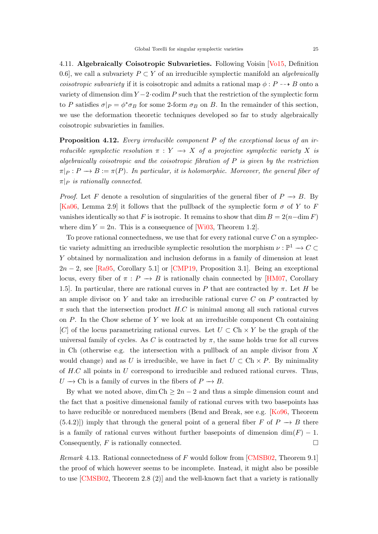<span id="page-24-1"></span>4.11. Algebraically Coisotropic Subvarieties. Following Voisin [\[Vo15,](#page-47-5) Definition 0.6], we call a subvariety  $P \subset Y$  of an irreducible symplectic manifold an *algebraically coisotropic subvariety* if it is coisotropic and admits a rational map  $\phi: P \dashrightarrow B$  onto a variety of dimension dim  $Y - 2 \cdot \text{codim } P$  such that the restriction of the symplectic form to P satisfies  $\sigma|_P = \phi^* \sigma_B$  for some 2-form  $\sigma_B$  on B. In the remainder of this section, we use the deformation theoretic techniques developed so far to study algebraically coisotropic subvarieties in families.

<span id="page-24-0"></span>**Proposition 4.12.** Every irreducible component  $P$  of the exceptional locus of an irreducible symplectic resolution  $\pi : Y \longrightarrow X$  of a projective symplectic variety X is algebraically coisotropic and the coisotropic fibration of  $P$  is given by the restriction  $\pi|_P : P \longrightarrow B := \pi(P)$ . In particular, it is holomorphic. Moreover, the general fiber of  $\pi|_P$  is rationally connected.

*Proof.* Let F denote a resolution of singularities of the general fiber of  $P \to B$ . By [\[Ka06,](#page-45-9) Lemma 2.9] it follows that the pullback of the symplectic form  $\sigma$  of Y to F vanishes identically so that F is isotropic. It remains to show that dim  $B = 2(n - \dim F)$ where dim  $Y = 2n$ . This is a consequence of [\[Wi03,](#page-47-6) Theorem 1.2].

To prove rational connectedness, we use that for every rational curve  $C$  on a symplectic variety admitting an irreducible symplectic resolution the morphism  $\nu: \mathbb{P}^1 \to C \subset$ Y obtained by normalization and inclusion deforms in a family of dimension at least  $2n-2$ , see [\[Ra95,](#page-46-16) Corollary 5.1] or [\[CMP19,](#page-43-4) Proposition 3.1]. Being an exceptional locus, every fiber of  $\pi : P \to B$  is rationally chain connected by [\[HM07,](#page-44-12) Corollary 1.5]. In particular, there are rational curves in P that are contracted by  $\pi$ . Let H be an ample divisor on Y and take an irreducible rational curve  $C$  on P contracted by  $\pi$  such that the intersection product H.C is minimal among all such rational curves on  $P$ . In the Chow scheme of Y we look at an irreducible component Ch containing [C] of the locus parametrizing rational curves. Let  $U \subset Ch \times Y$  be the graph of the universal family of cycles. As C is contracted by  $\pi$ , the same holds true for all curves in Ch (otherwise e.g. the intersection with a pullback of an ample divisor from  $X$ would change) and as U is irreducible, we have in fact  $U \subset Ch \times P$ . By minimality of  $H.C$  all points in  $U$  correspond to irreducible and reduced rational curves. Thus,  $U \to \text{Ch}$  is a family of curves in the fibers of  $P \to B$ .

By what we noted above, dim Ch  $\geq 2n-2$  and thus a simple dimension count and the fact that a positive dimensional family of rational curves with two basepoints has to have reducible or nonreduced members (Bend and Break, see e.g. [\[Ko96,](#page-45-10) Theorem (5.4.2)]) imply that through the general point of a general fiber F of  $P \to B$  there is a family of rational curves without further basepoints of dimension  $\dim(F) - 1$ . Consequently,  $F$  is rationally connected.

Remark 4.13. Rational connectedness of F would follow from [\[CMSB02,](#page-43-15) Theorem 9.1] the proof of which however seems to be incomplete. Instead, it might also be possible to use [\[CMSB02,](#page-43-15) Theorem 2.8 (2)] and the well-known fact that a variety is rationally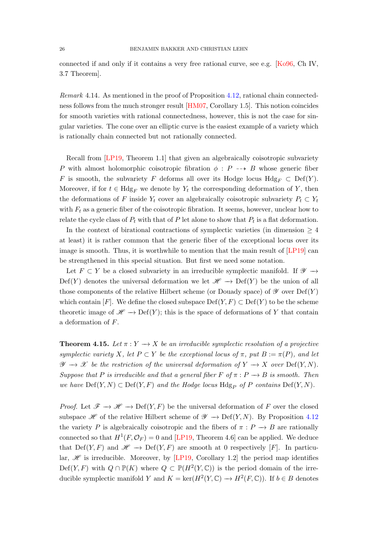<span id="page-25-1"></span>connected if and only if it contains a very free rational curve, see e.g. [\[Ko96,](#page-45-10) Ch IV, 3.7 Theorem].

Remark 4.14. As mentioned in the proof of Proposition [4.12,](#page-24-0) rational chain connectedness follows from the much stronger result [\[HM07,](#page-44-12) Corollary 1.5]. This notion coincides for smooth varieties with rational connectedness, however, this is not the case for singular varieties. The cone over an elliptic curve is the easiest example of a variety which is rationally chain connected but not rationally connected.

Recall from [\[LP19,](#page-45-11) Theorem 1.1] that given an algebraically coisotropic subvariety P with almost holomorphic coisotropic fibration  $\phi : P \dashrightarrow B$  whose generic fiber F is smooth, the subvariety F deforms all over its Hodge locus  $Hdg_F \subset Def(Y)$ . Moreover, if for  $t \in Hdg_F$  we denote by  $Y_t$  the corresponding deformation of Y, then the deformations of F inside  $Y_t$  cover an algebraically coisotropic subvariety  $P_t \subset Y_t$ with  $F_t$  as a generic fiber of the coisotropic fibration. It seems, however, unclear how to relate the cycle class of  $P_t$  with that of P let alone to show that  $P_t$  is a flat deformation.

In the context of birational contractions of symplectic varieties (in dimension  $\geq 4$ at least) it is rather common that the generic fiber of the exceptional locus over its image is smooth. Thus, it is worthwhile to mention that the main result of [\[LP19\]](#page-45-11) can be strengthened in this special situation. But first we need some notation.

Let  $F \subset Y$  be a closed subvariety in an irreducible symplectic manifold. If  $\mathscr{Y} \to$ Def(Y) denotes the universal deformation we let  $\mathscr{H} \to \mathrm{Def}(Y)$  be the union of all those components of the relative Hilbert scheme (or Douady space) of  $\mathscr Y$  over  $\mathrm{Def}(Y)$ which contain  $[F]$ . We define the closed subspace  $Def(Y, F) \subset Def(Y)$  to be the scheme theoretic image of  $\mathscr{H} \to \mathrm{Def}(Y)$ ; this is the space of deformations of Y that contain a deformation of F.

<span id="page-25-0"></span>**Theorem 4.15.** Let  $\pi: Y \to X$  be an irreducible symplectic resolution of a projective symplectic variety X, let  $P \subset Y$  be the exceptional locus of  $\pi$ , put  $B := \pi(P)$ , and let  $\mathscr{Y} \to \mathscr{X}$  be the restriction of the universal deformation of  $Y \to X$  over Def(Y, N). Suppose that P is irreducible and that a general fiber F of  $\pi : P \longrightarrow B$  is smooth. Then we have  $Def(Y, N) \subset Def(Y, F)$  and the Hodge locus  $Hdg_P$  of P contains  $Def(Y, N)$ .

*Proof.* Let  $\mathscr{F} \to \mathscr{H} \to \mathrm{Def}(Y, F)$  be the universal deformation of F over the closed subspace  $\mathscr H$  of the relative Hilbert scheme of  $\mathscr Y \to \mathrm{Def}(Y,N)$ . By Proposition [4.12](#page-24-0) the variety P is algebraically coisotropic and the fibers of  $\pi : P \to B$  are rationally connected so that  $H^1(F, \mathcal{O}_F) = 0$  and [\[LP19,](#page-45-11) Theorem 4.6] can be applied. We deduce that Def(Y, F) and  $\mathscr{H} \to \mathrm{Def}(Y, F)$  are smooth at 0 respectively [F]. In particular,  $\mathscr H$  is irreducible. Moreover, by [\[LP19,](#page-45-11) Corollary 1.2] the period map identifies Def(Y, F) with  $Q \cap \mathbb{P}(K)$  where  $Q \subset \mathbb{P}(H^2(Y, \mathbb{C}))$  is the period domain of the irreducible symplectic manifold Y and  $K = \ker(H^2(Y, \mathbb{C}) \to H^2(F, \mathbb{C}))$ . If  $b \in B$  denotes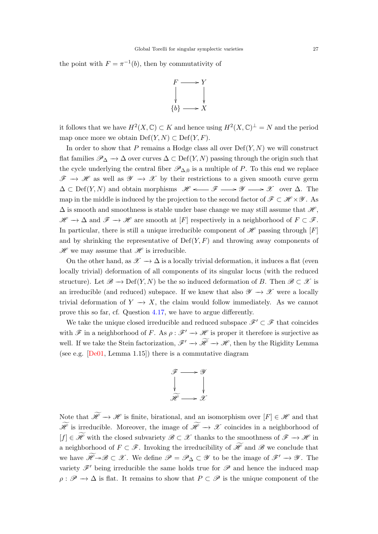<span id="page-26-0"></span>the point with  $F = \pi^{-1}(b)$ , then by commutativity of



it follows that we have  $H^2(X,\mathbb{C}) \subset K$  and hence using  $H^2(X,\mathbb{C})^{\perp} = N$  and the period map once more we obtain  $Def(Y, N) \subset Def(Y, F)$ .

In order to show that P remains a Hodge class all over  $\mathrm{Def}(Y, N)$  we will construct flat families  $\mathscr{P}_{\Delta} \to \Delta$  over curves  $\Delta \subset \mathrm{Def}(Y, N)$  passing through the origin such that the cycle underlying the central fiber  $\mathscr{P}_{\Delta,0}$  is a multiple of P. To this end we replace  $\mathscr{F} \to \mathscr{H}$  as well as  $\mathscr{Y} \to \mathscr{X}$  by their restrictions to a given smooth curve germ  $\Delta \subset \mathrm{Def}(Y, N)$  and obtain morphisms  $\mathscr{H} \longleftrightarrow \mathscr{F} \longrightarrow \mathscr{Y} \longrightarrow \mathscr{X}$  over  $\Delta$ . The map in the middle is induced by the projection to the second factor of  $\mathscr{F} \subset \mathscr{H} \times \mathscr{Y}$ . As  $\Delta$  is smooth and smoothness is stable under base change we may still assume that  $\mathcal{H}$ .  $\mathscr{H} \to \Delta$  and  $\mathscr{F} \to \mathscr{H}$  are smooth at [F] respectively in a neighborhood of  $F \subset \mathscr{F}$ . In particular, there is still a unique irreducible component of  $\mathscr H$  passing through  $[F]$ and by shrinking the representative of  $Def(Y, F)$  and throwing away components of  $\mathscr H$  we may assume that  $\mathscr H$  is irreducible.

On the other hand, as  $\mathscr{X} \to \Delta$  is a locally trivial deformation, it induces a flat (even locally trivial) deformation of all components of its singular locus (with the reduced structure). Let  $\mathscr{B} \to \mathrm{Def}(Y, N)$  be the so induced deformation of B. Then  $\mathscr{B} \subset \mathscr{X}$  is an irreducible (and reduced) subspace. If we knew that also  $\mathscr{Y} \to \mathscr{X}$  were a locally trivial deformation of  $Y \to X$ , the claim would follow immediately. As we cannot prove this so far, cf. Question [4.17,](#page-27-1) we have to argue differently.

We take the unique closed irreducible and reduced subspace  $\mathscr{F}' \subset \mathscr{F}$  that coincides with  $\mathscr F$  in a neighborhood of F. As  $\rho : \mathscr F' \to \mathscr H$  is proper it therefore is surjective as well. If we take the Stein factorization,  $\mathscr{F}' \to \mathscr{H} \to \mathscr{H}$ , then by the Rigidity Lemma (see e.g.  $[De01, Lemma 1.15]$ ) there is a commutative diagram



Note that  $\widetilde{\mathscr{H}}\to\mathscr{H}$  is finite, birational, and an isomorphism over  $[F]\in\mathscr{H}$  and that  $\widetilde{\mathscr{H}}$  is irreducible. Moreover, the image of  $\widetilde{\mathscr{H}} \to \mathscr{X}$  coincides in a neighborhood of  $[f] \in \widetilde{\mathscr{H}}$  with the closed subvariety  $\mathscr{B} \subset \mathscr{X}$  thanks to the smoothness of  $\mathscr{F} \to \mathscr{H}$  in a neighborhood of  $F \subset \mathscr{F}$ . Invoking the irreducibility of  $\widetilde{\mathscr{H}}$  and  $\mathscr{B}$  we conclude that we have  $\widetilde{\mathscr{H}} \rightarrow \mathscr{B} \subset \mathscr{X}$ . We define  $\mathscr{P} = \mathscr{P}_{\Delta} \subset \mathscr{Y}$  to be the image of  $\mathscr{F}' \rightarrow \mathscr{Y}$ . The variety  $\mathscr{F}'$  being irreducible the same holds true for  $\mathscr{P}$  and hence the induced map  $\rho : \mathscr{P} \to \Delta$  is flat. It remains to show that  $P \subset \mathscr{P}$  is the unique component of the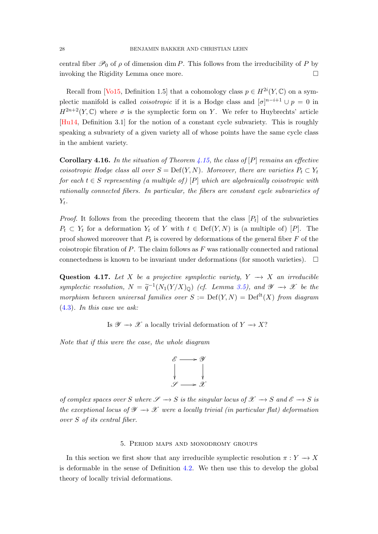<span id="page-27-2"></span>central fiber  $\mathscr{P}_0$  of  $\rho$  of dimension dim P. This follows from the irreducibility of P by invoking the Rigidity Lemma once more.

Recall from [\[Vo15,](#page-47-5) Definition 1.5] that a cohomology class  $p \in H^{2i}(Y, \mathbb{C})$  on a symplectic manifold is called *coisotropic* if it is a Hodge class and  $[\sigma]^{n-i+1} \cup p = 0$  in  $H^{2n+2}(Y,\mathbb{C})$  where  $\sigma$  is the symplectic form on Y. We refer to Huybrechts' article [\[Hu14,](#page-45-12) Definition 3.1] for the notion of a constant cycle subvariety. This is roughly speaking a subvariety of a given variety all of whose points have the same cycle class in the ambient variety.

**Corollary 4.16.** In the situation of Theorem [4.15,](#page-25-0) the class of  $[P]$  remains an effective coisotropic Hodge class all over  $S = \text{Def}(Y, N)$ . Moreover, there are varieties  $P_t \subset Y_t$ for each  $t \in S$  representing (a multiple of)  $[P]$  which are algebraically coisotropic with rationally connected fibers. In particular, the fibers are constant cycle subvarieties of  $Y_t$ .

*Proof.* It follows from the preceding theorem that the class  $[P_t]$  of the subvarieties  $P_t \subset Y_t$  for a deformation  $Y_t$  of Y with  $t \in Def(Y, N)$  is (a multiple of) [P]. The proof showed moreover that  $P_t$  is covered by deformations of the general fiber  $F$  of the coisotropic fibration of  $P$ . The claim follows as  $F$  was rationally connected and rational connectedness is known to be invariant under deformations (for smooth varieties).  $\Box$ 

<span id="page-27-1"></span>Question 4.17. Let X be a projective symplectic variety,  $Y \rightarrow X$  an irreducible symplectic resolution,  $N = \tilde{q}^{-1}(N_1(Y/X)_\mathbb{Q})$  (cf. Lemma [3.5\)](#page-13-2), and  $\mathscr{Y} \to \mathscr{X}$  be the morphism between universal families over  $S := \mathrm{Def}(Y, N) = \mathrm{Def}^{\mathrm{lt}}(X)$  from diagram [\(4.3\)](#page-21-1). In this case we ask:

Is  $\mathscr{Y} \to \mathscr{X}$  a locally trivial deformation of  $Y \to X$ ?

Note that if this were the case, the whole diagram



of complex spaces over S where  $S \to S$  is the singular locus of  $\mathcal{X} \to S$  and  $\mathcal{E} \to S$  is the exceptional locus of  $\mathscr{Y} \longrightarrow \mathscr{X}$  were a locally trivial (in particular flat) deformation over S of its central fiber.

# 5. Period maps and monodromy groups

<span id="page-27-0"></span>In this section we first show that any irreducible symplectic resolution  $\pi: Y \to X$ is deformable in the sense of Definition [4.2.](#page-20-1) We then use this to develop the global theory of locally trivial deformations.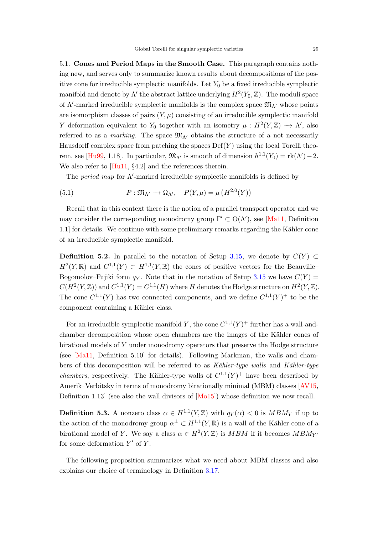<span id="page-28-2"></span>5.1. Cones and Period Maps in the Smooth Case. This paragraph contains nothing new, and serves only to summarize known results about decompositions of the positive cone for irreducible symplectic manifolds. Let  $Y_0$  be a fixed irreducible symplectic manifold and denote by  $\Lambda'$  the abstract lattice underlying  $H^2(Y_0, \mathbb{Z})$ . The moduli space of  $\Lambda'$ -marked irreducible symplectic manifolds is the complex space  $\mathfrak{M}_{\Lambda'}$  whose points are isomorphism classes of pairs  $(Y, \mu)$  consisting of an irreducible symplectic manifold Y deformation equivalent to Y<sub>0</sub> together with an isometry  $\mu : H^2(Y, \mathbb{Z}) \to \Lambda'$ , also referred to as a marking. The space  $\mathfrak{M}_{\Lambda}$  obtains the structure of a not necessarily Hausdorff complex space from patching the spaces  $Def(Y)$  using the local Torelli theo-rem, see [\[Hu99,](#page-44-0) 1.18]. In particular,  $\mathfrak{M}_{\Lambda'}$  is smooth of dimension  $h^{1,1}(Y_0) = \text{rk}(\Lambda') - 2$ . We also refer to [\[Hu11,](#page-44-1) §4.2] and the references therein.

<span id="page-28-1"></span>The period map for  $\Lambda'$ -marked irreducible symplectic manifolds is defined by

(5.1) 
$$
P: \mathfrak{M}_{\Lambda'} \to \Omega_{\Lambda'}, \quad P(Y, \mu) = \mu\left(H^{2,0}(Y)\right)
$$

Recall that in this context there is the notion of a parallel transport operator and we may consider the corresponding monodromy group  $\Gamma' \subset O(\Lambda')$ , see [\[Ma11,](#page-46-2) Definition 1.1] for details. We continue with some preliminary remarks regarding the Kähler cone of an irreducible symplectic manifold.

<span id="page-28-0"></span>**Definition 5.2.** In parallel to the notation of Setup [3.15,](#page-15-3) we denote by  $C(Y)$  ⊂  $H^2(Y,\mathbb{R})$  and  $C^{1,1}(Y) \subset H^{1,1}(Y,\mathbb{R})$  the cones of positive vectors for the Beauville-Bogomolov–Fujiki form  $q_Y$ . Note that in the notation of Setup [3.15](#page-15-3) we have  $C(Y)$  =  $C(H^2(Y,\mathbb{Z}))$  and  $C^{1,1}(Y) = C^{1,1}(H)$  where H denotes the Hodge structure on  $H^2(Y,\mathbb{Z})$ . The cone  $C^{1,1}(Y)$  has two connected components, and we define  $C^{1,1}(Y)^+$  to be the component containing a Kähler class.

For an irreducible symplectic manifold Y, the cone  $C^{1,1}(Y)^+$  further has a wall-andchamber decomposition whose open chambers are the images of the Kähler cones of birational models of Y under monodromy operators that preserve the Hodge structure (see [\[Ma11,](#page-46-2) Definition 5.10] for details). Following Markman, the walls and chambers of this decomposition will be referred to as Kähler-type walls and Kähler-type *chambers*, respectively. The Kähler-type walls of  $C^{1,1}(Y)^+$  have been described by Amerik–Verbitsky in terms of monodromy birationally minimal (MBM) classes [\[AV15,](#page-42-2) Definition 1.13] (see also the wall divisors of [\[Mo15\]](#page-46-17)) whose definition we now recall.

**Definition 5.3.** A nonzero class  $\alpha \in H^{1,1}(Y,\mathbb{Z})$  with  $q_Y(\alpha) < 0$  is  $MBM_Y$  if up to the action of the monodromy group  $\alpha^{\perp} \subset H^{1,1}(Y,\mathbb{R})$  is a wall of the Kähler cone of a birational model of Y. We say a class  $\alpha \in H^2(Y,\mathbb{Z})$  is  $MBM$  if it becomes  $MBM_{Y'}$ for some deformation  $Y'$  of  $Y$ .

The following proposition summarizes what we need about MBM classes and also explains our choice of terminology in Definition [3.17.](#page-16-3)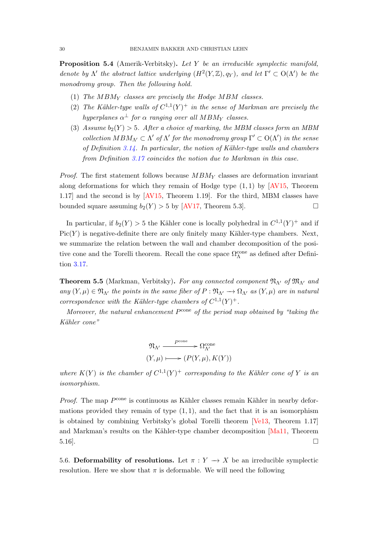<span id="page-29-1"></span>**Proposition 5.4** (Amerik-Verbitsky). Let Y be an irreducible symplectic manifold, denote by  $\Lambda'$  the abstract lattice underlying  $(H^2(Y,\mathbb{Z}), q_Y)$ , and let  $\Gamma' \subset O(\Lambda')$  be the monodromy group. Then the following hold.

- (1) The  $MBM<sub>Y</sub>$  classes are precisely the Hodge MBM classes.
- (2) The Kähler-type walls of  $C^{1,1}(Y)^+$  in the sense of Markman are precisely the hyperplanes  $\alpha^{\perp}$  for  $\alpha$  ranging over all  $MBM_Y$  classes.
- (3) Assume  $b_2(Y) > 5$ . After a choice of marking, the MBM classes form an MBM collection  $MBM_{\Lambda'} \subset \Lambda'$  of  $\Lambda'$  for the monodromy group  $\Gamma' \subset O(\Lambda')$  in the sense of Definition  $3.14$ . In particular, the notion of Kähler-type walls and chambers from Definition [3.17](#page-16-3) coincides the notion due to Markman in this case.

*Proof.* The first statement follows because  $MBM<sub>Y</sub>$  classes are deformation invariant along deformations for which they remain of Hodge type  $(1,1)$  by [\[AV15,](#page-42-2) Theorem 1.17] and the second is by [\[AV15,](#page-42-2) Theorem 1.19]. For the third, MBM classes have bounded square assuming  $b_2(Y) > 5$  by [\[AV17,](#page-42-3) Theorem 5.3].

In particular, if  $b_2(Y) > 5$  the Kähler cone is locally polyhedral in  $C^{1,1}(Y)^+$  and if  $Pic(Y)$  is negative-definite there are only finitely many Kähler-type chambers. Next, we summarize the relation between the wall and chamber decomposition of the positive cone and the Torelli theorem. Recall the cone space  $\Omega_\Lambda^{\rm cone}$  as defined after Definition [3.17.](#page-16-3)

<span id="page-29-0"></span>**Theorem 5.5** (Markman, Verbitsky). For any connected component  $\mathfrak{N}_{\Lambda}$  of  $\mathfrak{M}_{\Lambda}$  and any  $(Y, \mu) \in \mathfrak{N}_{\Lambda'}$  the points in the same fiber of  $P : \mathfrak{N}_{\Lambda'} \to \Omega_{\Lambda'}$  as  $(Y, \mu)$  are in natural correspondence with the Kähler-type chambers of  $C^{1,1}(Y)^+$ .

Moreover, the natural enhancement  $P^{\rm cone}$  of the period map obtained by "taking the Kähler cone"

$$
\mathfrak{N}_{\Lambda'} \xrightarrow{P^{\text{cone}}} \Omega_{\Lambda'}^{\text{cone}} (Y, \mu) \longmapsto (P(Y, \mu), K(Y))
$$

where  $K(Y)$  is the chamber of  $C^{1,1}(Y)^+$  corresponding to the Kähler cone of Y is an isomorphism.

*Proof.* The map  $P^{\text{cone}}$  is continuous as Kähler classes remain Kähler in nearby deformations provided they remain of type  $(1, 1)$ , and the fact that it is an isomorphism is obtained by combining Verbitsky's global Torelli theorem [\[Ve13,](#page-47-0) Theorem 1.17] and Markman's results on the Kähler-type chamber decomposition [\[Ma11,](#page-46-2) Theorem  $5.16$ .

5.6. Deformability of resolutions. Let  $\pi : Y \to X$  be an irreducible symplectic resolution. Here we show that  $\pi$  is deformable. We will need the following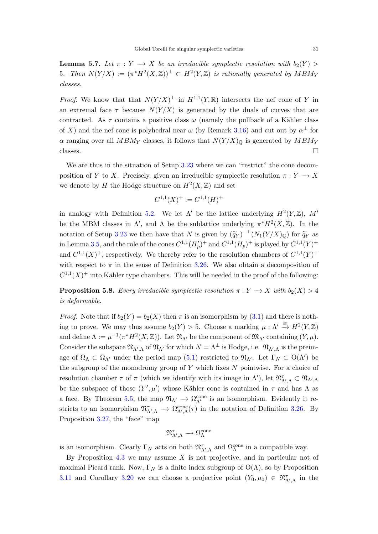<span id="page-30-1"></span>**Lemma 5.7.** Let  $\pi : Y \to X$  be an irreducible symplectic resolution with  $b_2(Y)$ 5. Then  $N(Y/X) := (\pi^*H^2(X,\mathbb{Z}))^{\perp} \subset H^2(Y,\mathbb{Z})$  is rationally generated by  $MBM_Y$ classes.

*Proof.* We know that that  $N(Y/X)^{\perp}$  in  $H^{1,1}(Y,\mathbb{R})$  intersects the nef cone of Y in an extremal face  $\tau$  because  $N(Y/X)$  is generated by the duals of curves that are contracted. As  $\tau$  contains a positive class  $\omega$  (namely the pullback of a Kähler class of X) and the nef cone is polyhedral near  $\omega$  (by Remark [3.16\)](#page-16-0) and cut out by  $\alpha^{\perp}$  for  $\alpha$  ranging over all MBM<sub>Y</sub> classes, it follows that  $N(Y/X)_{\mathbb{Q}}$  is generated by  $MBM_Y$ classes.

We are thus in the situation of Setup [3.23](#page-17-1) where we can "restrict" the cone decomposition of Y to X. Precisely, given an irreducible symplectic resolution  $\pi: Y \to X$ we denote by H the Hodge structure on  $H^2(X,\mathbb{Z})$  and set

$$
C^{1,1}(X)^+ := C^{1,1}(H)^+
$$

in analogy with Definition [5.2.](#page-28-0) We let  $\Lambda'$  be the lattice underlying  $H^2(Y,\mathbb{Z})$ , M' be the MBM classes in  $\Lambda'$ , and  $\Lambda$  be the sublattice underlying  $\pi^* H^2(X,\mathbb{Z})$ . In the notation of Setup [3.23](#page-17-1) we then have that N is given by  $(\widetilde{q}_Y)^{-1}(N_1(Y/X)_{\mathbb{Q}})$  for  $\widetilde{q}_Y$  as in Lemma [3.5,](#page-13-2) and the role of the cones  $C^{1,1}(H_p')^+$  and  $C^{1,1}(H_p)^+$  is played by  $C^{1,1}(Y)^+$ and  $C^{1,1}(X)^+$ , respectively. We thereby refer to the resolution chambers of  $C^{1,1}(Y)^+$ with respect to  $\pi$  in the sense of Definition [3.26.](#page-18-1) We also obtain a decomposition of  $C^{1,1}(X)^+$  into Kähler type chambers. This will be needed in the proof of the following:

<span id="page-30-0"></span>**Proposition 5.8.** Every irreducible symplectic resolution  $\pi: Y \to X$  with  $b_2(X) > 4$ is deformable.

*Proof.* Note that if  $b_2(Y) = b_2(X)$  then  $\pi$  is an isomorphism by [\(3.1\)](#page-13-1) and there is nothing to prove. We may thus assume  $b_2(Y) > 5$ . Choose a marking  $\mu : \Lambda' \stackrel{\cong}{\to} H^2(Y, \mathbb{Z})$ and define  $\Lambda := \mu^{-1}(\pi^*H^2(X,\mathbb{Z}))$ . Let  $\mathfrak{N}_{\Lambda'}$  be the component of  $\mathfrak{M}_{\Lambda'}$  containing  $(Y,\mu)$ . Consider the subspace  $\mathfrak{N}_{\Lambda',\Lambda}$  of  $\mathfrak{N}_{\Lambda'}$  for which  $N=\Lambda^{\perp}$  is Hodge, i.e.  $\mathfrak{N}_{\Lambda',\Lambda}$  is the preimage of  $\Omega_{\Lambda} \subset \Omega_{\Lambda}$  under the period map [\(5.1\)](#page-28-1) restricted to  $\mathfrak{N}_{\Lambda}$ . Let  $\Gamma_N \subset O(\Lambda)$  be the subgroup of the monodromy group of  $Y$  which fixes  $N$  pointwise. For a choice of resolution chamber  $\tau$  of  $\pi$  (which we identify with its image in  $\Lambda'$ ), let  $\mathfrak{N}_{\Lambda',\Lambda}^{\tau} \subset \mathfrak{N}_{\Lambda',\Lambda}$ be the subspace of those  $(Y', \mu')$  whose Kähler cone is contained in  $\tau$  and has  $\Lambda$  as a face. By Theorem [5.5,](#page-29-0) the map  $\mathfrak{N}_{\Lambda'} \to \Omega_{\Lambda'}^{\text{cone}}$  is an isomorphism. Evidently it restricts to an isomorphism  $\mathfrak{N}_{\Lambda',\Lambda}^{\tau} \to \Omega_{\Lambda',\Lambda}^{\text{cone}}(\tau)$  in the notation of Definition [3.26.](#page-18-1) By Proposition [3.27,](#page-18-2) the "face" map

$$
\mathfrak{N}_{\Lambda',\Lambda}^{\tau} \longrightarrow \Omega_{\Lambda}^{\mathrm{cone}}
$$

is an isomorphism. Clearly  $\Gamma_N$  acts on both  $\mathfrak{N}_{\Lambda',\Lambda}^{\tau}$  and  $\Omega_{\Lambda}^{\text{cone}}$  in a compatible way.

By Proposition  $4.3$  we may assume X is not projective, and in particular not of maximal Picard rank. Now,  $\Gamma_N$  is a finite index subgroup of  $O(\Lambda)$ , so by Proposition [3.11](#page-15-0) and Corollary [3.20](#page-17-2) we can choose a projective point  $(Y_0, \mu_0) \in \mathfrak{N}_{\Lambda',\Lambda}^{\tau}$  in the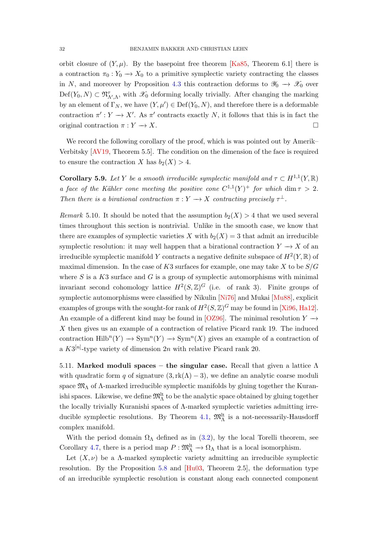<span id="page-31-2"></span>orbit closure of  $(Y, \mu)$ . By the basepoint free theorem [\[Ka85,](#page-45-13) Theorem 6.1] there is a contraction  $\pi_0 : Y_0 \to X_0$  to a primitive symplectic variety contracting the classes in N, and moreover by Proposition [4.3](#page-20-0) this contraction deforms to  $\mathscr{Y}_0 \to \mathscr{X}_0$  over  $Def(Y_0, N) \subset \mathfrak{N}_{\Lambda', \Lambda}^{\tau}$ , with  $\mathscr{X}_0$  deforming locally trivially. After changing the marking by an element of  $\Gamma_N$ , we have  $(Y, \mu') \in \text{Def}(Y_0, N)$ , and therefore there is a deformable contraction  $\pi': Y \to X'$ . As  $\pi'$  contracts exactly N, it follows that this is in fact the original contraction  $\pi: Y \to X$ .

We record the following corollary of the proof, which is was pointed out by Amerik– Verbitsky [\[AV19,](#page-43-6) Theorem 5.5]. The condition on the dimension of the face is required to ensure the contraction X has  $b_2(X) > 4$ .

<span id="page-31-1"></span>**Corollary 5.9.** Let Y be a smooth irreducible symplectic manifold and  $\tau \subset H^{1,1}(Y,\mathbb{R})$ a face of the Kähler cone meeting the positive cone  $C^{1,1}(Y)^+$  for which dim  $\tau > 2$ . Then there is a birational contraction  $\pi: Y \to X$  contracting precisely  $\tau^{\perp}$ .

<span id="page-31-0"></span>Remark 5.10. It should be noted that the assumption  $b_2(X) > 4$  that we used several times throughout this section is nontrivial. Unlike in the smooth case, we know that there are examples of symplectic varieties X with  $b_2(X) = 3$  that admit an irreducible symplectic resolution: it may well happen that a birational contraction  $Y \to X$  of an irreducible symplectic manifold Y contracts a negative definite subspace of  $H^2(Y,\mathbb{R})$  of maximal dimension. In the case of  $K3$  surfaces for example, one may take X to be  $S/G$ where  $S$  is a  $K3$  surface and  $G$  is a group of symplectic automorphisms with minimal invariant second cohomology lattice  $H^2(S,\mathbb{Z})^G$  (i.e. of rank 3). Finite groups of symplectic automorphisms were classified by Nikulin [\[Ni76\]](#page-46-18) and Mukai [\[Mu88\]](#page-46-19), explicit examples of groups with the sought-for rank of  $H^2(S,\mathbb{Z})^G$  may be found in [\[Xi96,](#page-47-7) [Ha12\]](#page-44-13). An example of a different kind may be found in [\[OZ96\]](#page-46-20). The minimal resolution  $Y \rightarrow$ X then gives us an example of a contraction of relative Picard rank 19. The induced contraction  $\text{Hilb}^n(Y) \to \text{Sym}^n(Y) \to \text{Sym}^n(X)$  gives an example of a contraction of a  $K3^{[n]}$ -type variety of dimension  $2n$  with relative Picard rank 20.

5.11. Marked moduli spaces – the singular case. Recall that given a lattice  $\Lambda$ with quadratic form q of signature  $(3, \text{rk}(\Lambda) - 3)$ , we define an analytic coarse moduli space  $\mathfrak{M}_{\Lambda}$  of  $\Lambda$ -marked irreducible symplectic manifolds by gluing together the Kuranishi spaces. Likewise, we define  $\mathfrak{M}^{\text{lt}}_{\Lambda}$  to be the analytic space obtained by gluing together the locally trivially Kuranishi spaces of Λ-marked symplectic varieties admitting irre-ducible symplectic resolutions. By Theorem [4.1,](#page-19-1)  $\mathfrak{M}^{\text{lt}}_{\Lambda}$  is a not-necessarily-Hausdorff complex manifold.

With the period domain  $\Omega_{\Lambda}$  defined as in [\(3.2\)](#page-14-3), by the local Torelli theorem, see Corollary [4.7,](#page-22-1) there is a period map  $P : \mathfrak{M}_{\Lambda}^{\mathfrak{lt}} \to \Omega_{\Lambda}$  that is a local isomorphism.

Let  $(X, \nu)$  be a *Λ*-marked symplectic variety admitting an irreducible symplectic resolution. By the Proposition [5.8](#page-30-0) and  $[Hu03,$  Theorem 2.5, the deformation type of an irreducible symplectic resolution is constant along each connected component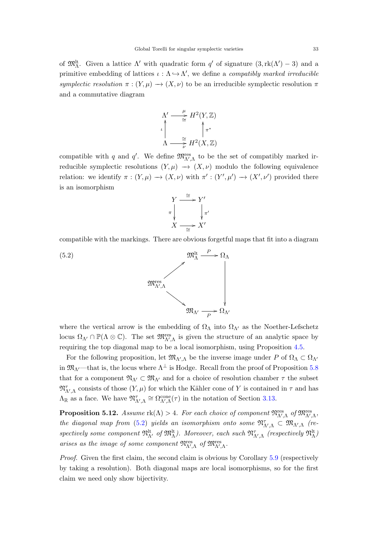of  $\mathfrak{M}^{\text{lt}}_{\Lambda}$ . Given a lattice  $\Lambda'$  with quadratic form q' of signature  $(3, \text{rk}(\Lambda') - 3)$  and a primitive embedding of lattices  $\iota : \Lambda \hookrightarrow \Lambda'$ , we define a *compatibly marked irreducible* symplectic resolution  $\pi : (Y, \mu) \to (X, \nu)$  to be an irreducible symplectic resolution  $\pi$ and a commutative diagram

$$
\Lambda' \longrightarrow^{\mu} H^2(Y, \mathbb{Z})
$$
  

$$
\downarrow^{\mu} \qquad \qquad \uparrow^{\pi^*}
$$
  

$$
\Lambda \longrightarrow^{\cong}_{\nu} H^2(X, \mathbb{Z})
$$

compatible with q and q'. We define  $\mathfrak{M}^{\text{res}}_{\Lambda',\Lambda}$  to be the set of compatibly marked irreducible symplectic resolutions  $(Y, \mu) \rightarrow (X, \nu)$  modulo the following equivalence relation: we identify  $\pi : (Y, \mu) \to (X, \nu)$  with  $\pi' : (Y', \mu') \to (X', \nu')$  provided there is an isomorphism

<span id="page-32-0"></span>

compatible with the markings. There are obvious forgetful maps that fit into a diagram



where the vertical arrow is the embedding of  $\Omega_{\Lambda}$  into  $\Omega_{\Lambda'}$  as the Noether-Lefschetz locus  $\Omega_{\Lambda'} \cap \mathbb{P}(\Lambda \otimes \mathbb{C})$ . The set  $\mathfrak{M}_{\Lambda',\Lambda}^{\text{res}}$  is given the structure of an analytic space by requiring the top diagonal map to be a local isomorphism, using Proposition [4.5.](#page-21-0)

For the following proposition, let  $\mathfrak{M}_{\Lambda',\Lambda}$  be the inverse image under P of  $\Omega_\Lambda \subset \Omega_{\Lambda'}$ in  $\mathfrak{M}_{\Lambda}$ —that is, the locus where  $\Lambda^{\perp}$  is Hodge. Recall from the proof of Proposition [5.8](#page-30-0) that for a component  $\mathfrak{N}_{\Lambda'} \subset \mathfrak{M}_{\Lambda'}$  and for a choice of resolution chamber  $\tau$  the subset  $\mathfrak{N}_{\Lambda',\Lambda}^{\tau}$  consists of those  $(Y,\mu)$  for which the Kähler cone of Y is contained in  $\tau$  and has  $\Lambda_{\mathbb{R}}$  as a face. We have  $\mathfrak{N}_{\Lambda',\Lambda}^{\tau} \cong \Omega_{\Lambda',\Lambda}^{\text{cone}}(\tau)$  in the notation of Section [3.13.](#page-15-1)

<span id="page-32-1"></span>**Proposition 5.12.** Assume  $\text{rk}(\Lambda) > 4$ . For each choice of component  $\mathfrak{N}^{\text{res}}_{\Lambda',\Lambda}$  of  $\mathfrak{M}^{\text{res}}_{\Lambda',\Lambda}$ , the diagonal map from [\(5.2\)](#page-32-0) yields an isomorphism onto some  $\mathfrak{N}_{\Lambda',\Lambda}^{\tau} \subset \mathfrak{M}_{\Lambda',\Lambda}$  (respectively some component  $\mathfrak{N}^{\text{lt}}_{\Lambda'}$  of  $\mathfrak{M}^{\text{lt}}_{\Lambda}$ ). Moreover, each such  $\mathfrak{N}^{\tau}_{\Lambda',\Lambda}$  (respectively  $\mathfrak{N}^{\text{lt}}_{\Lambda}$ ) arises as the image of some component  $\mathfrak{N}_{\Lambda',\Lambda}^{\text{res}}$  of  $\mathfrak{M}_{\Lambda',\Lambda}^{\text{res}}$ .

Proof. Given the first claim, the second claim is obvious by Corollary [5.9](#page-31-1) (respectively by taking a resolution). Both diagonal maps are local isomorphisms, so for the first claim we need only show bijectivity.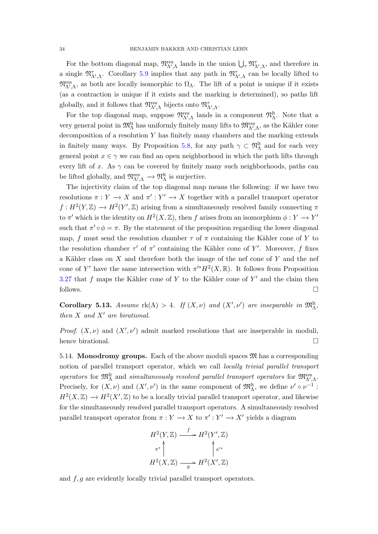For the bottom diagonal map,  $\mathfrak{N}^{\text{res}}_{\Lambda',\Lambda}$  lands in the union  $\bigcup_{\tau} \mathfrak{N}^{\tau}_{\Lambda',\Lambda}$ , and therefore in a single  $\mathfrak{N}_{\Lambda',\Lambda}^{\tau}$ . Corollary [5.9](#page-31-1) implies that any path in  $\mathfrak{N}_{\Lambda',\Lambda}^{\tau}$  can be locally lifted to  $\mathfrak{N}^{\text{res}}_{\Lambda',\Lambda}$ , as both are locally isomorphic to  $\Omega_{\Lambda}$ . The lift of a point is unique if it exists (as a contraction is unique if it exists and the marking is determined), so paths lift globally, and it follows that  $\mathfrak{N}^{\text{res}}_{\Lambda',\Lambda}$  bijects onto  $\mathfrak{N}^{\tau}_{\Lambda',\Lambda}$ .

For the top diagonal map, suppose  $\mathfrak{N}_{\Lambda',\Lambda}^{res}$  lands in a component  $\mathfrak{N}_{\Lambda}^{lt}$ . Note that a very general point in  $\mathfrak{M}^{\text{lt}}_{\Lambda}$  has uniformly finitely many lifts to  $\mathfrak{M}^{\text{res}}_{\Lambda',\Lambda}$ , as the Kähler cone decomposition of a resolution Y has finitely many chambers and the marking extends in finitely many ways. By Proposition [5.8,](#page-30-0) for any path  $\gamma \subset \mathfrak{N}_{\Lambda}^{lt}$  and for each very general point  $x \in \gamma$  we can find an open neighborhood in which the path lifts through every lift of x. As  $\gamma$  can be covered by finitely many such neighborhoods, paths can be lifted globally, and  $\mathfrak{N}^{\text{res}}_{\Lambda',\Lambda} \to \mathfrak{N}^{\text{lt}}_{\Lambda}$  is surjective.

The injectivity claim of the top diagonal map means the following: if we have two resolutions  $\pi: Y \to X$  and  $\pi': Y' \to X$  together with a parallel transport operator  $f: H^2(Y, \mathbb{Z}) \longrightarrow H^2(Y', \mathbb{Z})$  arising from a simultaneously resolved family connecting  $\pi$ to  $\pi'$  which is the identity on  $H^2(X,\mathbb{Z})$ , then f arises from an isomorphism  $\phi: Y \to Y'$ such that  $\pi' \circ \phi = \pi$ . By the statement of the proposition regarding the lower diagonal map, f must send the resolution chamber  $\tau$  of  $\pi$  containing the Kähler cone of Y to the resolution chamber  $\tau'$  of  $\pi'$  containing the Kähler cone of Y'. Moreover, f fixes a Kähler class on  $X$  and therefore both the image of the nef cone of  $Y$  and the nef cone of Y' have the same intersection with  $\pi'^* H^2(X, \mathbb{R})$ . It follows from Proposition [3.27](#page-18-2) that f maps the Kähler cone of Y to the Kähler cone of Y' and the claim then follows.

<span id="page-33-0"></span>Corollary 5.13. Assume  $rk(\Lambda) > 4$ . If  $(X, \nu)$  and  $(X', \nu')$  are inseparable in  $\mathfrak{M}^{\mathfrak{lt}}_{\Lambda}$ , then  $X$  and  $X'$  are birational.

*Proof.*  $(X, \nu)$  and  $(X', \nu')$  admit marked resolutions that are inseperable in moduli, hence birational.

5.14. **Monodromy groups.** Each of the above moduli spaces  $\mathfrak{M}$  has a corresponding notion of parallel transport operator, which we call locally trivial parallel transport operators for  $\mathfrak{M}^{\text{lt}}_{\Lambda}$  and simultaneously resolved parallel transport operators for  $\mathfrak{M}^{\text{res}}_{\Lambda',\Lambda}$ . Precisely, for  $(X, \nu)$  and  $(X', \nu')$  in the same component of  $\mathfrak{M}^{\text{lt}}_{\Lambda}$ , we define  $\nu' \circ \nu^{-1}$ :  $H^2(X,\mathbb{Z}) \longrightarrow H^2(X',\mathbb{Z})$  to be a locally trivial parallel transport operator, and likewise for the simultaneously resolved parallel transport operators. A simultaneously resolved parallel transport operator from  $\pi : Y \to X$  to  $\pi' : Y' \to X'$  yields a diagram

$$
H^{2}(Y,\mathbb{Z}) \xrightarrow{f} H^{2}(Y',\mathbb{Z})
$$

$$
\pi^* \downarrow \qquad \qquad \uparrow \pi'^*
$$

$$
H^{2}(X,\mathbb{Z}) \xrightarrow{g} H^{2}(X',\mathbb{Z})
$$

and  $f, g$  are evidently locally trivial parallel transport operators.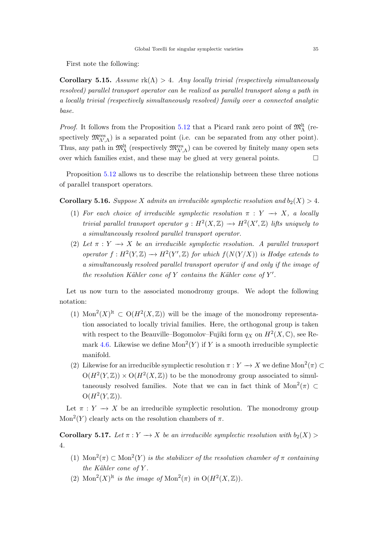First note the following:

Corollary 5.15. Assume  $rk(\Lambda) > 4$ . Any locally trivial (respectively simultaneously resolved) parallel transport operator can be realized as parallel transport along a path in a locally trivial (respectively simultaneously resolved) family over a connected analytic base.

*Proof.* It follows from the Proposition [5.12](#page-32-1) that a Picard rank zero point of  $\mathfrak{M}^{\text{lt}}_{\Lambda}$  (respectively  $\mathfrak{M}^{\text{res}}_{\Lambda',\Lambda}$  is a separated point (i.e. can be separated from any other point). Thus, any path in  $\mathfrak{M}^{\text{lt}}_{\Lambda}$  (respectively  $\mathfrak{M}^{\text{res}}_{\Lambda',\Lambda}$ ) can be covered by finitely many open sets over which families exist, and these may be glued at very general points.  $\Box$ 

Proposition [5.12](#page-32-1) allows us to describe the relationship between these three notions of parallel transport operators.

<span id="page-34-0"></span>**Corollary 5.16.** Suppose X admits an irreducible symplectic resolution and  $b_2(X) > 4$ .

- (1) For each choice of irreducible symplectic resolution  $\pi : Y \longrightarrow X$ , a locally trivial parallel transport operator  $g: H^2(X, \mathbb{Z}) \longrightarrow H^2(X', \mathbb{Z})$  lifts uniquely to a simultaneously resolved parallel transport operator.
- (2) Let  $\pi : Y \longrightarrow X$  be an irreducible symplectic resolution. A parallel transport operator  $f: H^2(Y, \mathbb{Z}) \longrightarrow H^2(Y', \mathbb{Z})$  for which  $f(N(Y/X))$  is Hodge extends to a simultaneously resolved parallel transport operator if and only if the image of the resolution Kähler cone of Y contains the Kähler cone of  $Y'$ .

Let us now turn to the associated monodromy groups. We adopt the following notation:

- (1) Mon<sup>2</sup>(X)<sup>It</sup>  $\subset$  O(H<sup>2</sup>(X, Z)) will be the image of the monodromy representation associated to locally trivial families. Here, the orthogonal group is taken with respect to the Beauville–Bogomolov–Fujiki form  $q_X$  on  $H^2(X, \mathbb{C})$ , see Re-mark [4.6.](#page-21-2) Likewise we define  $Mon^2(Y)$  if Y is a smooth irreducible symplectic manifold.
- (2) Likewise for an irreducible symplectic resolution  $\pi: Y \to X$  we define Mon<sup>2</sup>( $\pi$ ) ⊂  $O(H^2(Y,\mathbb{Z})) \times O(H^2(X,\mathbb{Z}))$  to be the monodromy group associated to simultaneously resolved families. Note that we can in fact think of  $Mon^2(\pi) \subset$  $O(H^2(Y,\mathbb{Z}))$ .

Let  $\pi : Y \longrightarrow X$  be an irreducible symplectic resolution. The monodromy group Mon<sup>2</sup> $(Y)$  clearly acts on the resolution chambers of  $\pi$ .

Corollary 5.17. Let  $\pi: Y \to X$  be an irreducible symplectic resolution with  $b_2(X)$ 4.

- (1)  $\text{Mon}^2(\pi) \subset \text{Mon}^2(Y)$  is the stabilizer of the resolution chamber of  $\pi$  containing the Kähler cone of  $Y$ .
- (2) Mon<sup>2</sup>(X)<sup>lt</sup> is the image of Mon<sup>2</sup>( $\pi$ ) in O(H<sup>2</sup>(X, Z)).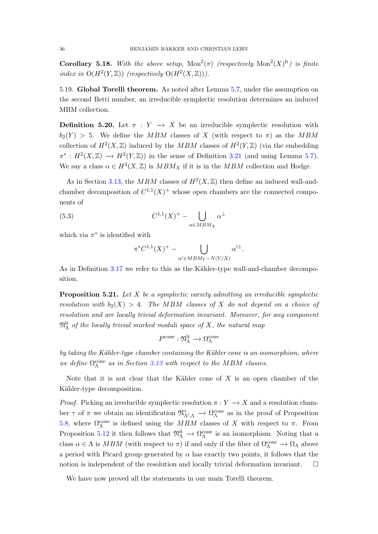<span id="page-35-1"></span>**Corollary 5.18.** With the above setup,  $Mon^2(\pi)$  (respectively  $Mon^2(X)^{lt}$ ) is finite index in  $O(H^2(Y, \mathbb{Z}))$  (respectively  $O(H^2(X, \mathbb{Z})).$ 

5.19. Global Torelli theorem. As noted after Lemma [5.7,](#page-30-1) under the assumption on the second Betti number, an irreducible symplectic resolution determines an induced MBM collection.

**Definition 5.20.** Let  $\pi : Y \to X$  be an irreducible symplectic resolution with  $b_2(Y) > 5$ . We define the MBM classes of X (with respect to  $\pi$ ) as the MBM collection of  $H^2(X,\mathbb{Z})$  induced by the MBM classes of  $H^2(Y,\mathbb{Z})$  (via the embedding  $\pi^*: H^2(X,\mathbb{Z}) \longrightarrow H^2(Y,\mathbb{Z})$  in the sense of Definition [3.21](#page-17-0) (and using Lemma [5.7\)](#page-30-1). We say a class  $\alpha \in H^2(X,\mathbb{Z})$  is  $MBM_X$  if it is in the  $MBM$  collection and Hodge.

As in Section [3.13,](#page-15-1) the MBM classes of  $H^2(X,\mathbb{Z})$  then define an induced wall-andchamber decomposition of  $C^{1,1}(X)^+$  whose open chambers are the connected components of

(5.3) 
$$
C^{1,1}(X)^{+} - \bigcup_{\alpha \in MBM_X} \alpha^{\perp}
$$

which via  $\pi^*$  is identified with

$$
\pi^* C^{1,1}(X)^+ - \bigcup_{\alpha' \in MBM_Y - N(Y/X)} \alpha'^\perp.
$$

As in Definition  $3.17$  we refer to this as the Kähler-type wall-and-chamber decomposition.

<span id="page-35-0"></span>**Proposition 5.21.** Let  $X$  be a symplectic variety admitting an irreducible symplectic resolution with  $b_2(X) > 4$ . The MBM classes of X do not depend on a choice of resolution and are locally trivial deformation invariant. Moreover, for any component  $\mathfrak{N}^{\rm{lt}}_{\Lambda}$  of the locally trivial marked moduli space of X, the natural map

$$
P^{\mathrm{cone}}: \mathfrak{N}_{\Lambda}^{\mathrm{lt}} \longrightarrow \Omega_{\Lambda}^{\mathrm{cone}}
$$

by taking the Kähler-type chamber containing the Kähler cone is an isomorphism, where we define  $\Omega_{\Lambda}^{\rm cone}$  as in Section [3.13](#page-15-1) with respect to the MBM classes.

Note that it is not clear that the Kähler cone of  $X$  is an open chamber of the Kähler-type decomposition.

*Proof.* Picking an irreducible symplectic resolution  $\pi: Y \to X$  and a resolution chamber  $\tau$  of  $\pi$  we obtain an identification  $\mathfrak{N}_{\Lambda',\Lambda}^{\tau} \to \Omega_{\Lambda}^{\text{cone}}$  as in the proof of Proposition [5.8,](#page-30-0) where  $\Omega_{\Lambda}^{\text{cone}}$  is defined using the  $MBM$  classes of X with respect to  $\pi$ . From Proposition [5.12](#page-32-1) it then follows that  $\mathfrak{N}_{\Lambda}^{lt} \to \Omega_{\Lambda}^{cone}$  is an isomorphism. Noting that a class  $\alpha \in \Lambda$  is  $MBM$  (with respect to  $\pi$ ) if and only if the fiber of  $\Omega_{\Lambda}^{\text{cone}} \to \Omega_{\Lambda}$  above a period with Picard group generated by  $\alpha$  has exactly two points, it follows that the notion is independent of the resolution and locally trivial deformation invariant.  $\Box$ 

We have now proved all the statements in our main Torelli theorem.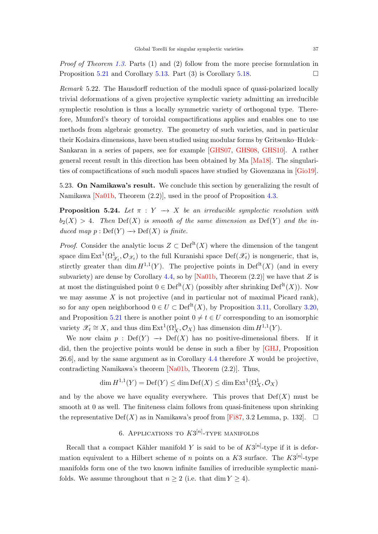<span id="page-36-3"></span>Proof of Theorem [1.3.](#page-2-1) Parts (1) and (2) follow from the more precise formulation in Proposition [5.21](#page-35-0) and Corollary [5.13.](#page-33-0) Part (3) is Corollary [5.18.](#page-35-1)

<span id="page-36-1"></span>Remark 5.22. The Hausdorff reduction of the moduli space of quasi-polarized locally trivial deformations of a given projective symplectic variety admitting an irreducible symplectic resolution is thus a locally symmetric variety of orthogonal type. Therefore, Mumford's theory of toroidal compactifications applies and enables one to use methods from algebraic geometry. The geometry of such varieties, and in particular their Kodaira dimensions, have been studied using modular forms by Gritsenko–Hulek– Sankaran in a series of papers, see for example [\[GHS07,](#page-44-14) [GHS08,](#page-44-15) [GHS10\]](#page-44-16). A rather general recent result in this direction has been obtained by Ma [\[Ma18\]](#page-45-14). The singularities of compactifications of such moduli spaces have studied by Giovenzana in [\[Gio19\]](#page-44-17).

5.23. On Namikawa's result. We conclude this section by generalizing the result of Namikawa [\[Na01b,](#page-46-3) Theorem (2.2)], used in the proof of Proposition [4.3.](#page-20-0)

<span id="page-36-2"></span>**Proposition 5.24.** Let  $\pi : Y \to X$  be an irreducible symplectic resolution with  $b_2(X) > 4$ . Then  $Def(X)$  is smooth of the same dimension as  $Def(Y)$  and the induced map  $p : Def(Y) \longrightarrow Def(X)$  is finite.

*Proof.* Consider the analytic locus  $Z \subset \mathrm{Def}^{\mathrm{lt}}(X)$  where the dimension of the tangent space dim  $Ext^1(\Omega^1_{\mathscr{X}_t}, \mathcal{O}_{\mathscr{X}_t})$  to the full Kuranishi space  $Def(\mathscr{X}_t)$  is nongeneric, that is, stirctly greater than dim  $H^{1,1}(Y)$ . The projective points in Def<sup>lt</sup> $(X)$  (and in every subvariety) are dense by Corollary [4.4,](#page-20-2) so by [\[Na01b,](#page-46-3) Theorem  $(2.2)$ ] we have that Z is at most the distinguished point  $0 \in \text{Def}^{\text{lt}}(X)$  (possibly after shrinking  $\text{Def}^{\text{lt}}(X)$ ). Now we may assume  $X$  is not projective (and in particular not of maximal Picard rank), so for any open neighborhood  $0 \in U \subset \text{Def}^{\text{lt}}(X)$ , by Proposition [3.11,](#page-15-0) Corollary [3.20,](#page-17-2) and Proposition [5.21](#page-35-0) there is another point  $0 \neq t \in U$  corresponding to an isomorphic variety  $\mathscr{X}_t \cong X$ , and thus dim Ext<sup>1</sup> $(\Omega^1_X, \mathcal{O}_X)$  has dimension dim  $H^{1,1}(Y)$ .

We now claim  $p : Def(Y) \longrightarrow Def(X)$  has no positive-dimensional fibers. If it did, then the projective points would be dense in such a fiber by [\[GHJ,](#page-44-10) Proposition 26.6], and by the same argument as in Corollary [4.4](#page-20-2) therefore X would be projective, contradicting Namikawa's theorem [\[Na01b,](#page-46-3) Theorem (2.2)]. Thus,

$$
\dim H^{1,1}(Y) = \mathrm{Def}(Y) \le \dim \mathrm{Def}(X) \le \dim \mathrm{Ext}^1(\Omega^1_X, \mathcal{O}_X)
$$

and by the above we have equality everywhere. This proves that  $\mathrm{Def}(X)$  must be smooth at 0 as well. The finiteness claim follows from quasi-finiteness upon shrinking the representative Def(X) as in Namikawa's proof from [\[Fi87,](#page-44-18) 3.2 Lemma, p. 132].  $\square$ 

# 6. Applications to  $K3^{[n]}$ -type manifolds

<span id="page-36-0"></span>Recall that a compact Kähler manifold Y is said to be of  $K3^{[n]}$ -type if it is deformation equivalent to a Hilbert scheme of n points on a K3 surface. The  $K3^{[n]}$ -type manifolds form one of the two known infinite families of irreducible symplectic manifolds. We assume throughout that  $n \geq 2$  (i.e. that dim  $Y \geq 4$ ).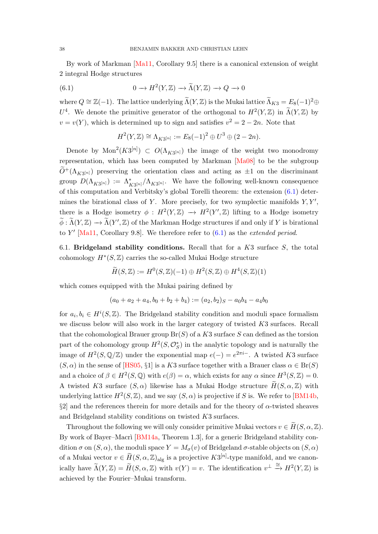<span id="page-37-1"></span>By work of Markman [\[Ma11,](#page-46-2) Corollary 9.5] there is a canonical extension of weight 2 integral Hodge structures

(6.1) 
$$
0 \to H^2(Y, \mathbb{Z}) \to \widetilde{\Lambda}(Y, \mathbb{Z}) \to Q \to 0
$$

where  $Q \cong \mathbb{Z}(-1)$ . The lattice underlying  $\widetilde{\Lambda}(Y, \mathbb{Z})$  is the Mukai lattice  $\widetilde{\Lambda}_{K3} = E_8(-1)^2 \oplus$  $U^4$ . We denote the primitive generator of the orthogonal to  $H^2(Y,\mathbb{Z})$  in  $\widetilde{\Lambda}(Y,\mathbb{Z})$  by  $v = v(Y)$ , which is determined up to sign and satisfies  $v^2 = 2 - 2n$ . Note that

<span id="page-37-0"></span>
$$
H^{2}(Y,\mathbb{Z}) \cong \Lambda_{K3^{[n]}} := E_{8}(-1)^{2} \oplus U^{3} \oplus (2-2n).
$$

Denote by  $Mon^2(K3^{[n]}) \subset O(\Lambda_{K3^{[n]}})$  the image of the weight two monodromy representation, which has been computed by Markman [\[Ma08\]](#page-45-15) to be the subgroup  $\tilde{O}^{+}(\Lambda_{K3^{[n]}})$  preserving the orientation class and acting as  $\pm 1$  on the discriminant group  $D(\Lambda_{K3^{[n]}}) := \Lambda_{K3^{[n]}}^*/ \Lambda_{K3^{[n]}}$ . We have the following well-known consequence of this computation and Verbitsky's global Torelli theorem: the extension [\(6.1\)](#page-37-0) determines the birational class of Y. More precisely, for two symplectic manifolds  $Y, Y',$ there is a Hodge isometry  $\phi : H^2(Y, \mathbb{Z}) \to H^2(Y', \mathbb{Z})$  lifting to a Hodge isometry  $\widetilde{\phi} : \widetilde{\Lambda}(Y, \mathbb{Z}) \to \widetilde{\Lambda}(Y', \mathbb{Z})$  of the Markman Hodge structures if and only if Y is birational to Y' [\[Ma11,](#page-46-2) Corollary 9.8]. We therefore refer to  $(6.1)$  as the *extended period*.

6.1. Bridgeland stability conditions. Recall that for a  $K3$  surface  $S$ , the total cohomology  $H^*(S, \mathbb{Z})$  carries the so-called Mukai Hodge structure

$$
\widetilde{H}(S,\mathbb{Z}) := H^0(S,\mathbb{Z})(-1) \oplus H^2(S,\mathbb{Z}) \oplus H^4(S,\mathbb{Z})(1)
$$

which comes equipped with the Mukai pairing defined by

$$
(a_0 + a_2 + a_4, b_0 + b_2 + b_4) := (a_2, b_2)_{S} - a_0b_4 - a_4b_0
$$

for  $a_i, b_i \in H^i(S, \mathbb{Z})$ . The Bridgeland stability condition and moduli space formalism we discuss below will also work in the larger category of twisted K3 surfaces. Recall that the cohomological Brauer group  $Br(S)$  of a K3 surface S can defined as the torsion part of the cohomology group  $H^2(S, \mathcal{O}_{S}^*)$  in the analytic topology and is naturally the image of  $H^2(S, \mathbb{Q}/\mathbb{Z})$  under the exponential map  $e(-) = e^{2\pi i}$ . A twisted K3 surface  $(S, \alpha)$  in the sense of [\[HS05,](#page-45-16) §1] is a K3 surface together with a Brauer class  $\alpha \in Br(S)$ and a choice of  $\beta \in H^2(S, \mathbb{Q})$  with  $e(\beta) = \alpha$ , which exists for any  $\alpha$  since  $H^3(S, \mathbb{Z}) = 0$ . A twisted K3 surface  $(S, \alpha)$  likewise has a Mukai Hodge structure  $\widetilde{H}(S, \alpha, \mathbb{Z})$  with underlying lattice  $H^2(S, \mathbb{Z})$ , and we say  $(S, \alpha)$  is projective if S is. We refer to [\[BM14b,](#page-43-7)  $\S2$  and the references therein for more details and for the theory of  $\alpha$ -twisted sheaves and Bridgeland stability conditions on twisted K3 surfaces.

Throughout the following we will only consider primitive Mukai vectors  $v \in H(S, \alpha, \mathbb{Z})$ . By work of Bayer–Macri [\[BM14a,](#page-43-17) Theorem 1.3], for a generic Bridgeland stability condition  $\sigma$  on  $(S, \alpha)$ , the moduli space  $Y = M_{\sigma}(v)$  of Bridgeland  $\sigma$ -stable objects on  $(S, \alpha)$ of a Mukai vector  $v \in \widetilde{H}(S, \alpha, \mathbb{Z})_{\text{alg}}$  is a projective  $K3^{[n]}$ -type manifold, and we canonically have  $\widetilde{\Lambda}(Y,\mathbb{Z}) = \widetilde{H}(S,\alpha,\mathbb{Z})$  with  $v(Y) = v$ . The identification  $v^{\perp} \stackrel{\cong}{\to} H^2(Y,\mathbb{Z})$  is achieved by the Fourier–Mukai transform.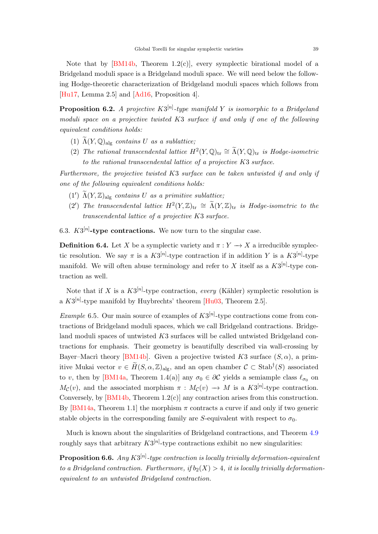<span id="page-38-2"></span>Note that by  $[BM14b, Theorem 1.2(c)],$  every symplectic birational model of a Bridgeland moduli space is a Bridgeland moduli space. We will need below the following Hodge-theoretic characterization of Bridgeland moduli spaces which follows from [\[Hu17,](#page-45-17) Lemma 2.5] and [\[Ad16,](#page-42-4) Proposition 4].

<span id="page-38-1"></span>**Proposition 6.2.** A projective  $K3^{[n]}$ -type manifold Y is isomorphic to a Bridgeland moduli space on a projective twisted K3 surface if and only if one of the following equivalent conditions holds:

- (1)  $\Lambda(Y, \mathbb{Q})_{\text{alg}}$  contains U as a sublattice;
- (2) The rational transcendental lattice  $H^2(Y, \mathbb{Q})_{\text{tr}} \cong \widetilde{\Lambda}(Y, \mathbb{Q})_{\text{tr}}$  is Hodge-isometric to the rational transcendental lattice of a projective K3 surface.

Furthermore, the projective twisted K3 surface can be taken untwisted if and only if one of the following equivalent conditions holds:

- (1')  $\widetilde{\Lambda}(Y,\mathbb{Z})_{\text{alg}}$  contains U as a primitive sublattice;
- (2') The transcendental lattice  $H^2(Y,\mathbb{Z})_{\text{tr}} \cong \widetilde{\Lambda}(Y,\mathbb{Z})_{\text{tr}}$  is Hodge-isometric to the transcendental lattice of a projective K3 surface.

6.3.  $K3^{[n]}$ -type contractions. We now turn to the singular case.

**Definition 6.4.** Let X be a symplectic variety and  $\pi: Y \to X$  a irreducible symplectic resolution. We say  $\pi$  is a  $K3^{[n]}$ -type contraction if in addition Y is a  $K3^{[n]}$ -type manifold. We will often abuse terminology and refer to X itself as a  $K3^{[n]}$ -type contraction as well.

Note that if X is a  $K3^{[n]}$ -type contraction, every (Kähler) symplectic resolution is a  $K3^{[n]}$ -type manifold by Huybrechts' theorem [\[Hu03,](#page-44-3) Theorem 2.5].

*Example* 6.5. Our main source of examples of  $K3^{[n]}$ -type contractions come from contractions of Bridgeland moduli spaces, which we call Bridgeland contractions. Bridgeland moduli spaces of untwisted K3 surfaces will be called untwisted Bridgeland contractions for emphasis. Their geometry is beautifully described via wall-crossing by Bayer–Macri theory [\[BM14b\]](#page-43-7). Given a projective twisted K3 surface  $(S, \alpha)$ , a primitive Mukai vector  $v \in \widetilde{H}(S, \alpha, \mathbb{Z})_{\text{alg}}$ , and an open chamber  $C \subset \text{Stab}^{\dagger}(S)$  associated to v, then by [\[BM14a,](#page-43-17) Theorem 1.4(a)] any  $\sigma_0 \in \partial C$  yields a semiample class  $\ell_{\sigma_0}$  on  $M_{\mathcal{C}}(v)$ , and the associated morphism  $\pi : M_{\mathcal{C}}(v) \to M$  is a  $K3^{[n]}$ -type contraction. Conversely, by [\[BM14b,](#page-43-7) Theorem 1.2(c)] any contraction arises from this construction. By  $[BM14a, Theorem 1.1]$  the morphism  $\pi$  contracts a curve if and only if two generic stable objects in the corresponding family are S-equivalent with respect to  $\sigma_0$ .

Much is known about the singularities of Bridgeland contractions, and Theorem [4.9](#page-22-0) roughly says that arbitrary  $K3^{[n]}$ -type contractions exhibit no new singularities:

<span id="page-38-0"></span>**Proposition 6.6.** Any  $K3^{[n]}$ -type contraction is locally trivially deformation-equivalent to a Bridgeland contraction. Furthermore, if  $b_2(X) > 4$ , it is locally trivially deformationequivalent to an untwisted Bridgeland contraction.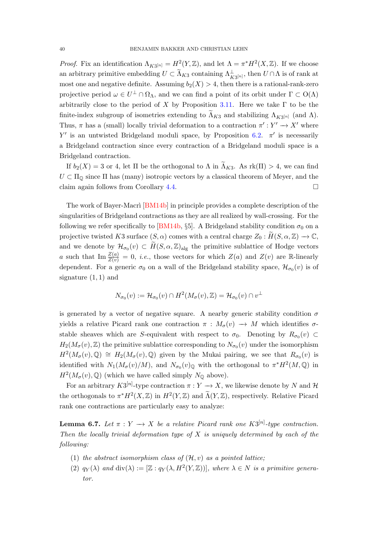<span id="page-39-1"></span>*Proof.* Fix an identification  $\Lambda_{K3^{[n]}} = H^2(Y, \mathbb{Z})$ , and let  $\Lambda = \pi^* H^2(X, \mathbb{Z})$ . If we choose an arbitrary primitive embedding  $U \subset \widetilde{\Lambda}_{K3}$  containing  $\Lambda_{K3}^{\perp}$ , then  $U \cap \Lambda$  is of rank at most one and negative definite. Assuming  $b_2(X) > 4$ , then there is a rational-rank-zero projective period  $\omega \in U^{\perp} \cap \Omega_{\Lambda}$ , and we can find a point of its orbit under  $\Gamma \subset O(\Lambda)$ arbitrarily close to the period of X by Proposition [3.11.](#page-15-0) Here we take  $\Gamma$  to be the finite-index subgroup of isometries extending to  $\Lambda_{K3}$  and stabilizing  $\Lambda_{K3}[n]$  (and  $\Lambda$ ). Thus,  $\pi$  has a (small) locally trivial deformation to a contraction  $\pi': Y' \to X'$  where Y' is an untwisted Bridgeland moduli space, by Proposition [6.2.](#page-38-1)  $\pi'$  is necessarily a Bridgeland contraction since every contraction of a Bridgeland moduli space is a Bridgeland contraction.

If  $b_2(X) = 3$  or 4, let  $\Pi$  be the orthogonal to  $\Lambda$  in  $\widetilde{\Lambda}_{K3}$ . As  $rk(\Pi) > 4$ , we can find  $U \subset \Pi_{\mathbb{Q}}$  since  $\Pi$  has (many) isotropic vectors by a classical theorem of Meyer, and the claim again follows from Corollary [4.4.](#page-20-2)

The work of Bayer-Macri [\[BM14b\]](#page-43-7) in principle provides a complete description of the singularities of Bridgeland contractions as they are all realized by wall-crossing. For the following we refer specifically to [\[BM14b,](#page-43-7) §5]. A Bridgeland stability condition  $\sigma_0$  on a projective twisted K3 surface  $(S, \alpha)$  comes with a central charge  $Z_0 : \widetilde{H}(S, \alpha, \mathbb{Z}) \to \mathbb{C}$ , and we denote by  $\mathcal{H}_{\sigma_0}(v) \subset \widetilde{H}(S, \alpha, \mathbb{Z})_{\text{alg}}$  the primitive sublattice of Hodge vectors a such that  $\text{Im}\frac{Z(a)}{Z(v)}=0$ , *i.e.*, those vectors for which  $Z(a)$  and  $Z(v)$  are R-linearly dependent. For a generic  $\sigma_0$  on a wall of the Bridgeland stability space,  $\mathcal{H}_{\sigma_0}(v)$  is of signature  $(1, 1)$  and

$$
N_{\sigma_0}(v) := \mathcal{H}_{\sigma_0}(v) \cap H^2(M_\sigma(v), \mathbb{Z}) = \mathcal{H}_{\sigma_0}(v) \cap v^\perp
$$

is generated by a vector of negative square. A nearby generic stability condition  $\sigma$ yields a relative Picard rank one contraction  $\pi : M_{\sigma}(v) \longrightarrow M$  which identifies  $\sigma$ stable sheaves which are S-equivalent with respect to  $\sigma_0$ . Denoting by  $R_{\sigma_0}(v) \subset$  $H_2(M_{\sigma}(v),\mathbb{Z})$  the primitive sublattice corresponding to  $N_{\sigma_0}(v)$  under the isomorphism  $H^2(M_{\sigma}(v),\mathbb{Q}) \cong H_2(M_{\sigma}(v),\mathbb{Q})$  given by the Mukai pairing, we see that  $R_{\sigma(0)}(v)$  is identified with  $N_1(M_\sigma(v)/M)$ , and  $N_{\sigma_0}(v)_{\mathbb{Q}}$  with the orthogonal to  $\pi^*H^2(M,\mathbb{Q})$  in  $H^2(M_{\sigma}(v),\mathbb{Q})$  (which we have called simply  $N_{\mathbb{Q}}$  above).

For an arbitrary  $K3^{[n]}$ -type contraction  $\pi: Y \to X$ , we likewise denote by N and H the orthogonals to  $\pi^* H^2(X,\mathbb{Z})$  in  $H^2(Y,\mathbb{Z})$  and  $\widetilde{\Lambda}(Y,\mathbb{Z})$ , respectively. Relative Picard rank one contractions are particularly easy to analyze:

<span id="page-39-0"></span>**Lemma 6.7.** Let  $\pi : Y \to X$  be a relative Picard rank one  $K3^{[n]}$ -type contraction. Then the locally trivial deformation type of  $X$  is uniquely determined by each of the following:

- (1) the abstract isomorphism class of  $(\mathcal{H}, v)$  as a pointed lattice;
- (2)  $q_Y(\lambda)$  and  $\text{div}(\lambda) := [\mathbb{Z} : q_Y(\lambda, H^2(Y, \mathbb{Z}))],$  where  $\lambda \in N$  is a primitive generator.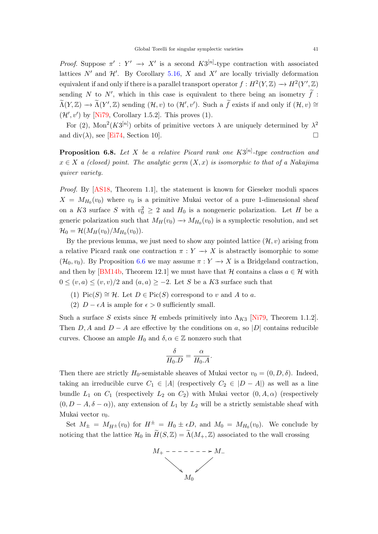<span id="page-40-1"></span>*Proof.* Suppose  $\pi' : Y' \to X'$  is a second  $K3^{[n]}$ -type contraction with associated lattices  $N'$  and  $\mathcal{H}'$ . By Corollary [5.16,](#page-34-0) X and X' are locally trivially deformation equivalent if and only if there is a parallel transport operator  $f: H^2(Y, \mathbb{Z}) \to H^2(Y', \mathbb{Z})$ sending N to N', which in this case is equivalent to there being an isometry  $\tilde{f}$ :  $\widetilde{\Lambda}(Y,\mathbb{Z}) \longrightarrow \widetilde{\Lambda}(Y',\mathbb{Z})$  sending  $(\mathcal{H},v)$  to  $(\mathcal{H}',v')$ . Such a  $\widetilde{f}$  exists if and only if  $(\mathcal{H},v) \cong$  $(\mathcal{H}', v')$  by [\[Ni79,](#page-46-21) Corollary 1.5.2]. This proves (1).

For (2), Mon<sup>2</sup>(K3<sup>[n]</sup>) orbits of primitive vectors  $\lambda$  are uniquely determined by  $\lambda^2$ and div( $\lambda$ ), see [\[Ei74,](#page-43-18) Section 10].

<span id="page-40-0"></span>**Proposition 6.8.** Let X be a relative Picard rank one  $K3^{[n]}$ -type contraction and  $x \in X$  a (closed) point. The analytic germ  $(X, x)$  is isomorphic to that of a Nakajima quiver variety.

Proof. By [\[AS18,](#page-43-8) Theorem 1.1], the statement is known for Gieseker moduli spaces  $X = M_{H_0}(v_0)$  where  $v_0$  is a primitive Mukai vector of a pure 1-dimensional sheaf on a K3 surface S with  $v_0^2 \geq 2$  and  $H_0$  is a nongeneric polarization. Let H be a generic polarization such that  $M_H(v_0) \to M_{H_0}(v_0)$  is a symplectic resolution, and set  $\mathcal{H}_0 = \mathcal{H}(M_H(v_0)/M_{H_0}(v_0)).$ 

By the previous lemma, we just need to show any pointed lattice  $(\mathcal{H}, v)$  arising from a relative Picard rank one contraction  $\pi: Y \to X$  is abstractly isomorphic to some  $(\mathcal{H}_0, v_0)$ . By Proposition [6.6](#page-38-0) we may assume  $\pi : Y \to X$  is a Bridgeland contraction, and then by [\[BM14b,](#page-43-7) Theorem 12.1] we must have that H contains a class  $a \in \mathcal{H}$  with  $0 \leq (v, a) \leq (v, v)/2$  and  $(a, a) \geq -2$ . Let S be a K3 surface such that

- (1) Pic(S)  $\cong$  H. Let  $D \in Pic(S)$  correspond to v and A to a.
- (2)  $D \epsilon A$  is ample for  $\epsilon > 0$  sufficiently small.

Such a surface S exists since H embeds primitively into  $\Lambda_{K3}$  [\[Ni79,](#page-46-21) Theorem 1.1.2]. Then  $D, A$  and  $D - A$  are effective by the conditions on a, so |D| contains reducible curves. Choose an ample  $H_0$  and  $\delta, \alpha \in \mathbb{Z}$  nonzero such that

$$
\frac{\delta}{H_0.D} = \frac{\alpha}{H_0.A}.
$$

Then there are strictly  $H_0$ -semistable sheaves of Mukai vector  $v_0 = (0, D, \delta)$ . Indeed, taking an irreducible curve  $C_1 \in |A|$  (respectively  $C_2 \in |D - A|$ ) as well as a line bundle  $L_1$  on  $C_1$  (respectively  $L_2$  on  $C_2$ ) with Mukai vector  $(0, A, \alpha)$  (respectively  $(0, D - A, \delta - \alpha)$ , any extension of  $L_1$  by  $L_2$  will be a strictly semistable sheaf with Mukai vector  $v_0$ .

Set  $M_{\pm} = M_{H^{\pm}}(v_0)$  for  $H^{\pm} = H_0 \pm \epsilon D$ , and  $M_0 = M_{H_0}(v_0)$ . We conclude by noticing that the lattice  $\mathcal{H}_0$  in  $\widetilde{H}(S,\mathbb{Z})=\widetilde{\Lambda}(M_+,\mathbb{Z})$  associated to the wall crossing

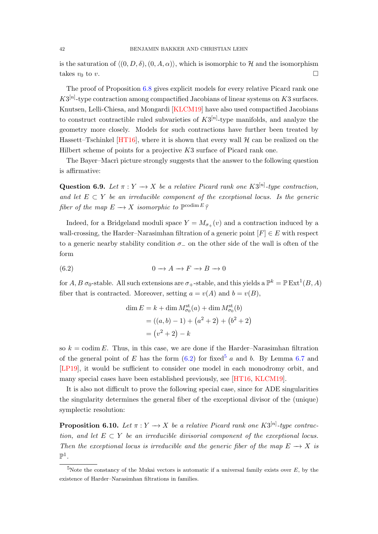<span id="page-41-2"></span>is the saturation of  $\langle (0, D, \delta), (0, A, \alpha) \rangle$ , which is isomorphic to H and the isomorphism takes  $v_0$  to v.

The proof of Proposition [6.8](#page-40-0) gives explicit models for every relative Picard rank one  $K3^{[n]}$ -type contraction among compactified Jacobians of linear systems on  $K3$  surfaces. Knutsen, Lelli-Chiesa, and Mongardi [\[KLCM19\]](#page-45-18) have also used compactified Jacobians to construct contractible ruled subvarieties of  $K3^{[n]}$ -type manifolds, and analyze the geometry more closely. Models for such contractions have further been treated by Hassett–Tschinkel  $[HT16]$ , where it is shown that every wall  $H$  can be realized on the Hilbert scheme of points for a projective K3 surface of Picard rank one.

The Bayer–Macri picture strongly suggests that the answer to the following question is affirmative:

**Question 6.9.** Let  $\pi: Y \to X$  be a relative Picard rank one  $K3^{[n]}$ -type contraction, and let  $E \subset Y$  be an irreducible component of the exceptional locus. Is the generic fiber of the map  $E \longrightarrow X$  isomorphic to  $\mathbb{P}^{\text{codim } E}$ ?

Indeed, for a Bridgeland moduli space  $Y = M_{\sigma+}(v)$  and a contraction induced by a wall-crossing, the Harder–Narasimhan filtration of a generic point  $[F] \in E$  with respect to a generic nearby stability condition  $\sigma_-\,$  on the other side of the wall is often of the form

$$
(6.2) \t\t 0 \to A \to F \to B \to 0
$$

for  $A, B$   $\sigma_0$ -stable. All such extensions are  $\sigma_+$ -stable, and this yields a  $\mathbb{P}^k = \mathbb{P} \text{Ext}^1(B, A)$ fiber that is contracted. Moreover, setting  $a = v(A)$  and  $b = v(B)$ ,

<span id="page-41-0"></span>
$$
\dim E = k + \dim M_{\sigma_0}^{\text{st}}(a) + \dim M_{\sigma_0}^{\text{st}}(b)
$$
  
= ((a, b) - 1) + (a<sup>2</sup> + 2) + (b<sup>2</sup> + 2)  
= (v<sup>2</sup> + 2) - k

so  $k = \text{codim } E$ . Thus, in this case, we are done if the Harder–Narasimhan filtration of the general point of E has the form  $(6.2)$  for fixed<sup>[5](#page-41-1)</sup> a and b. By Lemma [6.7](#page-39-0) and [\[LP19\]](#page-45-11), it would be sufficient to consider one model in each monodromy orbit, and many special cases have been established previously, see [\[HT16,](#page-44-19) [KLCM19\]](#page-45-18).

It is also not difficult to prove the following special case, since for ADE singularities the singularity determines the general fiber of the exceptional divisor of the (unique) symplectic resolution:

**Proposition 6.10.** Let  $\pi: Y \to X$  be a relative Picard rank one  $K3^{[n]}$ -type contraction, and let  $E \subset Y$  be an irreducible divisorial component of the exceptional locus. Then the exceptional locus is irreducible and the generic fiber of the map  $E \to X$  is  $\mathbb{P}^1$  .

<span id="page-41-1"></span><sup>&</sup>lt;sup>5</sup>Note the constancy of the Mukai vectors is automatic if a universal family exists over  $E$ , by the existence of Harder–Narasimhan filtrations in families.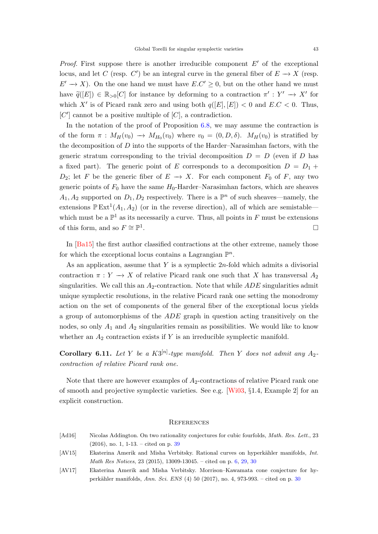<span id="page-42-5"></span>*Proof.* First suppose there is another irreducible component  $E'$  of the exceptional locus, and let C (resp. C') be an integral curve in the general fiber of  $E \to X$  (resp.  $E' \to X$ ). On the one hand we must have  $E.C' \geq 0$ , but on the other hand we must have  $\widetilde{q}([E]) \in \mathbb{R}_{>0}[C]$  for instance by deforming to a contraction  $\pi' : Y' \to X'$  for which X' is of Picard rank zero and using both  $q([E], [E]) < 0$  and  $E.C < 0$ . Thus,  $[C']$  cannot be a positive multiple of  $[C]$ , a contradiction.

In the notation of the proof of Proposition [6.8,](#page-40-0) we may assume the contraction is of the form  $\pi : M_H(v_0) \longrightarrow M_{H_0}(v_0)$  where  $v_0 = (0, D, \delta)$ .  $M_H(v_0)$  is stratified by the decomposition of  $D$  into the supports of the Harder–Narasimhan factors, with the generic stratum corresponding to the trivial decomposition  $D = D$  (even if D has a fixed part). The generic point of E corresponds to a decomposition  $D = D_1 + D_2$  $D_2$ ; let F be the generic fiber of  $E \to X$ . For each component  $F_0$  of F, any two generic points of  $F_0$  have the same  $H_0$ -Harder–Narasimhan factors, which are sheaves  $A_1, A_2$  supported on  $D_1, D_2$  respectively. There is a  $\mathbb{P}^n$  of such sheaves—namely, the extensions  $\mathbb{P} \text{Ext}^1(A_1, A_2)$  (or in the reverse direction), all of which are semistable which must be a  $\mathbb{P}^1$  as its necessarily a curve. Thus, all points in F must be extensions of this form, and so  $F \cong \mathbb{P}^1$ .

In [\[Ba15\]](#page-43-14) the first author classified contractions at the other extreme, namely those for which the exceptional locus contains a Lagrangian  $\mathbb{P}^n$ .

As an application, assume that Y is a symplectic 2n-fold which admits a divisorial contraction  $\pi: Y \to X$  of relative Picard rank one such that X has transversal  $A_2$ singularities. We call this an  $A_2$ -contraction. Note that while  $ADE$  singularities admit unique symplectic resolutions, in the relative Picard rank one setting the monodromy action on the set of components of the general fiber of the exceptional locus yields a group of automorphisms of the ADE graph in question acting transitively on the nodes, so only  $A_1$  and  $A_2$  singularities remain as possibilities. We would like to know whether an  $A_2$  contraction exists if Y is an irreducible symplectic manifold.

<span id="page-42-1"></span>**Corollary 6.11.** Let Y be a  $K3^{[n]}$ -type manifold. Then Y does not admit any  $A_2$ contraction of relative Picard rank one.

Note that there are however examples of  $A_2$ -contractions of relative Picard rank one of smooth and projective symplectic varieties. See e.g. [\[Wi03,](#page-47-6) §1.4, Example 2] for an explicit construction.

### <span id="page-42-0"></span>**REFERENCES**

- <span id="page-42-4"></span>[Ad16] Nicolas Addington. On two rationality conjectures for cubic fourfolds, Math. Res. Lett., 23 (2016), no. 1, 1-13. – cited on p. [39](#page-38-2)
- <span id="page-42-2"></span>[AV15] Ekaterina Amerik and Misha Verbitsky. Rational curves on hyperkähler manifolds, Int. Math Res Notices, 23 (2015), 13009-13045. – cited on p. [6,](#page-5-0) [29,](#page-28-2) [30](#page-29-1)
- <span id="page-42-3"></span>[AV17] Ekaterina Amerik and Misha Verbitsky. Morrison–Kawamata cone conjecture for hy-perkähler manifolds, Ann. Sci. ENS (4) 50 (2017), no. 4, 973-993. – cited on p. [30](#page-29-1)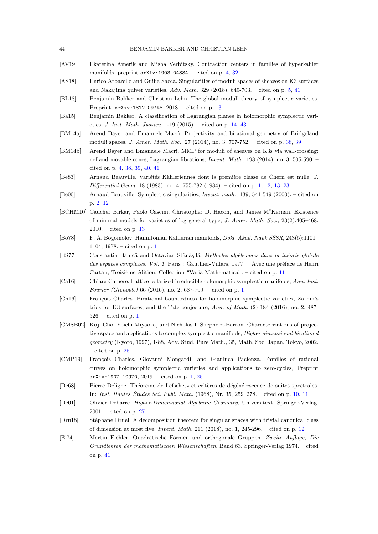- <span id="page-43-6"></span>[AV19] Ekaterina Amerik and Misha Verbitsky. Contraction centers in families of hyperkahler manifolds, preprint  $arXiv:1903.04884. - cited on p. 4, 32$  $arXiv:1903.04884. - cited on p. 4, 32$  $arXiv:1903.04884. - cited on p. 4, 32$  $arXiv:1903.04884. - cited on p. 4, 32$
- <span id="page-43-8"></span>[AS18] Enrico Arbarello and Guilia Saccà. Singularities of moduli spaces of sheaves on K3 surfaces and Nakajima quiver varieties,  $Adv. Math. 329 (2018), 649-703. - cited on p. 5, 41$  $Adv. Math. 329 (2018), 649-703. - cited on p. 5, 41$  $Adv. Math. 329 (2018), 649-703. - cited on p. 5, 41$  $Adv. Math. 329 (2018), 649-703. - cited on p. 5, 41$
- <span id="page-43-12"></span>[BL18] Benjamin Bakker and Christian Lehn. The global moduli theory of symplectic varieties, Preprint arXiv:1812.09748, 2018. – cited on p. [13](#page-12-1)
- <span id="page-43-14"></span>[Ba15] Benjamin Bakker. A classification of Lagrangian planes in holomorphic symplectic varieties, *J. Inst. Math. Jussieu*,  $1-19$  (2015). – cited on p. [14,](#page-13-3) [43](#page-42-5)
- <span id="page-43-17"></span>[BM14a] Arend Bayer and Emanuele Macri. Projectivity and birational geometry of Bridgeland moduli spaces, J. Amer. Math. Soc., 27 (2014), no. 3, 707-752. – cited on p. [38,](#page-37-1) [39](#page-38-2)
- <span id="page-43-7"></span>[BM14b] Arend Bayer and Emanuele Macri. MMP for moduli of sheaves on K3s via wall-crossing: nef and movable cones, Lagrangian fibrations, Invent. Math., 198 (2014), no. 3, 505-590. – cited on p. [4,](#page-3-2) [38,](#page-37-1) [39,](#page-38-2) [40,](#page-39-1) [41](#page-40-1)
- <span id="page-43-1"></span>[Be83] Arnaud Beauville. Variétés Kähleriennes dont la première classe de Chern est nulle, J. Differential Geom. 18 (1983), no. 4, 755-782 (1984). – cited on p. [1,](#page-0-1) [12,](#page-11-2) [13,](#page-12-1) [23](#page-22-2)
- <span id="page-43-5"></span>[Be00] Arnaud Beauville. Symplectic singularities, Invent. math., 139, 541-549 (2000). – cited on p. [2,](#page-1-1) [12](#page-11-2)
- <span id="page-43-13"></span>[BCHM10] Caucher Birkar, Paolo Cascini, Christopher D. Hacon, and James M<sup>c</sup>Kernan. Existence of minimal models for varieties of log general type, J. Amer. Math. Soc.,  $23(2):405-468$ , 2010. – cited on p. [13](#page-12-1)
- <span id="page-43-0"></span>[Bo78] F. A. Bogomolov. Hamiltonian Kählerian manifolds, *Dokl. Akad. Nauk SSSR*, 243(5):1101– 1104, 1978. – cited on p. [1](#page-0-1)
- <span id="page-43-10"></span>[BS77] Constantin Bănică and Octavian Stănăşilă. Méthodes algébriques dans la théorie globale des espaces complexes. Vol. 1, Paris : Gauthier-Villars, 1977. – Avec une préface de Henri Cartan, Troisième édition, Collection "Varia Mathematica". – cited on p. [11](#page-10-2)
- <span id="page-43-3"></span>[Ca16] Chiara Camere. Lattice polarized irreducible holomorphic symplectic manifolds, Ann. Inst. Fourier (Grenoble) 66 (2016), no. 2, 687-709. – cited on p. [1](#page-0-1)
- <span id="page-43-2"></span>[Ch16] François Charles. Birational boundedness for holomorphic symplectic varieties, Zarhin's trick for K3 surfaces, and the Tate conjecture, Ann. of Math. (2) 184 (2016), no. 2, 487- 526. – cited on p. [1](#page-0-1)
- <span id="page-43-15"></span>[CMSB02] Koji Cho, Yoichi Miyaoka, and Nicholas I. Shepherd-Barron. Characterizations of projective space and applications to complex symplectic manifolds, Higher dimensional birational geometry (Kyoto, 1997), 1-88, Adv. Stud. Pure Math., 35, Math. Soc. Japan, Tokyo, 2002. – cited on p. [25](#page-24-1)
- <span id="page-43-4"></span>[CMP19] François Charles, Giovanni Mongardi, and Gianluca Pacienza. Families of rational curves on holomorphic symplectic varieties and applications to zero-cycles, Preprint  $arXiv:1907.10970, 2019. - cited on p. 1, 25$  $arXiv:1907.10970, 2019. - cited on p. 1, 25$  $arXiv:1907.10970, 2019. - cited on p. 1, 25$  $arXiv:1907.10970, 2019. - cited on p. 1, 25$
- <span id="page-43-9"></span>[De68] Pierre Deligne. Théorème de Lefschetz et critères de dégénérescence de suites spectrales, In: Inst. Hautes Études Sci. Publ. Math.  $(1968)$ , Nr. 35, 259–278. – cited on p. [10,](#page-9-5) [11](#page-10-2)
- <span id="page-43-16"></span>[De01] Olivier Debarre. Higher-Dimensional Algebraic Geometry, Universitext, Springer-Verlag, 2001. – cited on p. [27](#page-26-0)
- <span id="page-43-11"></span>[Dru18] Stéphane Druel. A decomposition theorem for singular spaces with trivial canonical class of dimension at most five, Invent. Math. 211 (2018), no. 1, 245-296. – cited on p. [12](#page-11-2)
- <span id="page-43-18"></span>[Ei74] Martin Eichler. Quadratische Formen und orthogonale Gruppen, Zweite Auflage, Die Grundlehren der mathematischen Wissenschaften, Band 63, Springer-Verlag 1974. – cited on p. [41](#page-40-1)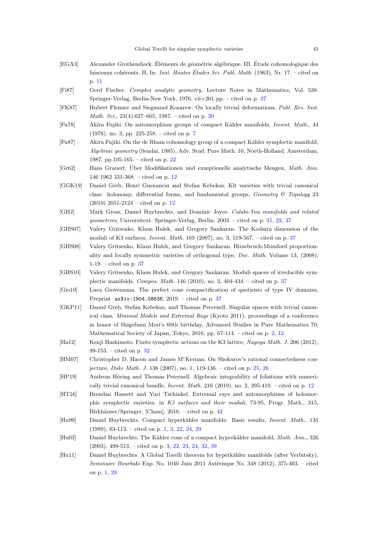- <span id="page-44-5"></span>[EGA3] Alexander Grothendieck. Eléments de géométrie algébrique. III. Étude cohomologique des faisceaux cohérents. II, In: Inst. Hautes Études Sci. Publ. Math.  $(1963)$ , Nr. 17. – cited on p. [11](#page-10-2)
- <span id="page-44-18"></span>[Fi87] Gerd Fischer. Complex analytic geometry, Lecture Notes in Mathematics, Vol. 538. Springer-Verlag, Berlin-New York, 1976. vii+201 pp. – cited on p. [37](#page-36-3)
- <span id="page-44-9"></span>[FK87] Hubert Flenner and Siegmund Kosarew. On locally trivial deformations, Publ. Res. Inst. Math. Sci., 23(4):627–665, 1987. – cited on p. [20](#page-19-4)
- <span id="page-44-4"></span>[Fu78] Akira Fujiki. On automorphism groups of compact Kähler manifolds, *Invent. Math.*, 44 (1978), no. 3, pp. 225-258. – cited on p. [7](#page-6-3)
- <span id="page-44-11"></span>[Fu87] Akira Fujiki. On the de Rham cohomology group of a compact Kähler symplectic manifold, Algebraic geometry (Sendai, 1985), Adv. Stud. Pure Math. 10, North-Holland, Amsterdam, 1987, pp.105-165. – cited on p. [22](#page-21-3)
- <span id="page-44-6"></span>[Gr62] Hans Grauert. Über Modifikationen und exzeptionelle analytische Mengen, Math. Ann. 146 1962 331-368. – cited on p. [12](#page-11-2)
- <span id="page-44-8"></span>[GGK19] Daniel Greb, Henri Guenancia and Stefan Kebekus. Klt varieties with trivial canonical class: holonomy, differential forms, and fundamental groups,  $Geometry \& Topology 23$ (2019) 2051-2124 – cited on p. [12](#page-11-2)
- <span id="page-44-10"></span>[GHJ] Mark Gross, Daniel Huybrechts, and Dominic Joyce. Calabi-Yau manifolds and related geometries, Universitext. Springer-Verlag, Berlin, 2003. – cited on p. [21,](#page-20-3) [22,](#page-21-3) [37](#page-36-3)
- <span id="page-44-14"></span>[GHS07] Valery Gritsenko, Klaus Hulek, and Gregory Sankaran. The Kodaira dimension of the moduli of K3 surfaces, Invent. Math. 169 (2007), no. 3, 519-567. – cited on p. [37](#page-36-3)
- <span id="page-44-15"></span>[GHS08] Valery Gritsenko, Klaus Hulek, and Gregory Sankaran. Hirzebruch-Mumford proportionality and locally symmetric varieties of orthogonal type, Doc. Math. Volume 13, (2008), 1-19. – cited on p. [37](#page-36-3)
- <span id="page-44-16"></span>[GHS10] Valery Gritsenko, Klaus Hulek, and Gregory Sankaran. Moduli spaces of irreducible symplectic manifolds, Compos. Math. 146 (2010), no. 2, 404-434. – cited on p. [37](#page-36-3)
- <span id="page-44-17"></span>[Gio19] Luca Giovenzana. The perfect cone compactification of quotients of type IV domains, Preprint arXiv:1904.08638, 2019. – cited on p. [37](#page-36-3)
- <span id="page-44-2"></span>[GKP11] Daniel Greb, Stefan Kebekus, and Thomas Peternell. Singular spaces with trivial canonical class, Minimal Models and Extremal Rays (Kyoto 2011), proceedings of a conference in honor of Shigefumi Mori's 60th birthday, Advanced Studies in Pure Mathematics 70, Mathematical Society of Japan, Tokyo, 2016, pp. 67-114. – cited on p. [2,](#page-1-1) [12](#page-11-2)
- <span id="page-44-13"></span>[Ha12] Kenji Hashimoto. Finite symplectic actions on the K3 lattice, Nagoya Math. J. 206 (2012), 99-153. – cited on p. [32](#page-31-2)
- <span id="page-44-12"></span>[HM07] Christopher D. Hacon and James M<sup>c</sup>Kernan. On Shokurov's rational connectedness conjecture, Duke Math. J. 138 (2007), no. 1, 119-136. – cited on p. [25,](#page-24-1) [26](#page-25-1)
- <span id="page-44-7"></span>[HP19] Andreas Höring and Thomas Peternell. Algebraic integrability of foliations with numerically trivial canonical bundle, *Invent. Math.* 216 (2019), no. 2,  $395-419$ . – cited on p. [12](#page-11-2)
- <span id="page-44-19"></span>[HT16] Brendan Hassett and Yuri Tschinkel. Extremal rays and automorphisms of holomorphic symplectic varieties, in K3 surfaces and their moduli, 73-95, Progr. Math., 315, Birkhäuser/Springer, [Cham],  $2016.$  – cited on p.  $42$
- <span id="page-44-0"></span>[Hu99] Daniel Huybrechts. Compact hyperkähler manifolds: Basic results, *Invent. Math.*, 135 (1999), 63-113. – cited on p. [1,](#page-0-1) [3,](#page-2-2) [22,](#page-21-3) [24,](#page-23-0) [29](#page-28-2)
- <span id="page-44-3"></span>[Hu03] Daniel Huybrechts. The Kähler cone of a compact hyperkähler manifold, Math. Ann., 326 (2003), 499-513. – cited on p. [3,](#page-2-2) [22,](#page-21-3) [23,](#page-22-2) [24,](#page-23-0) [32,](#page-31-2) [39](#page-38-2)
- <span id="page-44-1"></span>[Hu11] Daniel Huybrechts. A Global Torelli theorem for hyperkähler manifolds (after Verbitsky), Seminaire Bourbaki Exp. No. 1040 Juin 2011 Astérisque No. 348 (2012), 375-403. – cited on p. [1,](#page-0-1) [29](#page-28-2)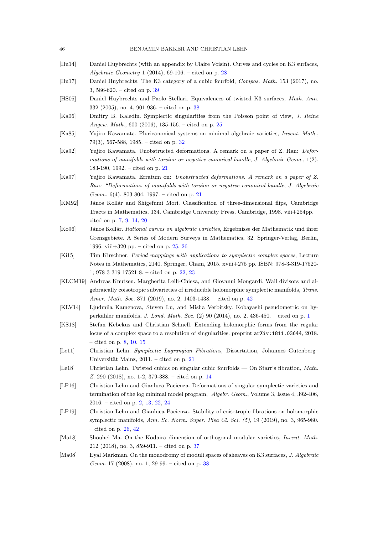- <span id="page-45-12"></span>[Hu14] Daniel Huybrechts (with an appendix by Claire Voisin). Curves and cycles on K3 surfaces, Algebraic Geometry 1 (2014), 69-106. – cited on p. [28](#page-27-2)
- <span id="page-45-17"></span>[Hu17] Daniel Huybrechts. The K3 category of a cubic fourfold, Compos. Math. 153 (2017), no. 3, 586-620. – cited on p. [39](#page-38-2)
- <span id="page-45-16"></span>[HS05] Daniel Huybrechts and Paolo Stellari. Equivalences of twisted K3 surfaces, Math. Ann. 332 (2005), no. 4, 901-936. – cited on p. [38](#page-37-1)
- <span id="page-45-9"></span>[Ka06] Dmitry B. Kaledin. Symplectic singularities from the Poisson point of view, J. Reine Angew. Math., 600 (2006), 135-156. – cited on p. [25](#page-24-1)
- <span id="page-45-13"></span>[Ka85] Yujiro Kawamata. Pluricanonical systems on minimal algebraic varieties, Invent. Math., 79(3), 567-588, 1985. – cited on p. [32](#page-31-2)
- <span id="page-45-5"></span>[Ka92] Yujiro Kawamata. Unobstructed deformations. A remark on a paper of Z. Ran: Deformations of manifolds with torsion or negative canonical bundle, J. Algebraic Geom.,  $1(2)$ , 183-190, 1992. – cited on p. [21](#page-20-3)
- <span id="page-45-6"></span>[Ka97] Yujiro Kawamata. Erratum on: Unobstructed deformations. A remark on a paper of Z. Ran: "Deformations of manifolds with torsion or negative canonical bundle, J. Algebraic Geom., 6(4), 803-804, 1997. – cited on p. [21](#page-20-3)
- <span id="page-45-2"></span>[KM92] János Kollár and Shigefumi Mori. Classification of three-dimensional flips, Cambridge Tracts in Mathematics, 134. Cambridge University Press, Cambridge, 1998. viii+254pp. – cited on p. [7,](#page-6-3) [9,](#page-8-1) [14,](#page-13-3) [20](#page-19-4)
- <span id="page-45-10"></span>[Ko96] János Kollár. Rational curves on algebraic varieties, Ergebnisse der Mathematik und ihrer Grenzgebiete. A Series of Modern Surveys in Mathematics, 32. Springer-Verlag, Berlin, 1996. viii+320 pp. – cited on p. [25,](#page-24-1) [26](#page-25-1)
- <span id="page-45-8"></span>[Ki15] Tim Kirschner. Period mappings with applications to symplectic complex spaces, Lecture Notes in Mathematics, 2140. Springer, Cham, 2015. xviii+275 pp. ISBN: 978-3-319-17520- 1; 978-3-319-17521-8. – cited on p. [22,](#page-21-3) [23](#page-22-2)
- <span id="page-45-18"></span>[KLCM19] Andreas Knutsen, Margherita Lelli-Chiesa, and Giovanni Mongardi. Wall divisors and algebraically coisotropic subvarieties of irreducible holomorphic symplectic manifolds, Trans. Amer. Math. Soc. 371 (2019), no. 2, 1403-1438. – cited on p. [42](#page-41-2)
- <span id="page-45-0"></span>[KLV14] Ljudmila Kamenova, Steven Lu, and Misha Verbitsky. Kobayashi pseudometric on hyperkähler manifolds, *J. Lond. Math. Soc.* (2) 90 (20[1](#page-0-1)4), no. 2, 436-450. – cited on p. 1
- <span id="page-45-3"></span>[KS18] Stefan Kebekus and Christian Schnell. Extending holomorphic forms from the regular locus of a complex space to a resolution of singularities. preprint arXiv:1811.03644, 2018. – cited on p. [8,](#page-7-5) [10,](#page-9-5) [15](#page-14-4)
- <span id="page-45-7"></span>[Le11] Christian Lehn. Symplectic Lagrangian Fibrations, Dissertation, Johannes–Gutenberg– Universität Mainz,  $2011. -$  cited on p.  $21$
- <span id="page-45-4"></span>[Le18] Christian Lehn. Twisted cubics on singular cubic fourfolds — On Starr's fibration, Math. Z. 290 (2018), no. 1-2, 379-388. – cited on p. [14](#page-13-3)
- <span id="page-45-1"></span>[LP16] Christian Lehn and Gianluca Pacienza. Deformations of singular symplectic varieties and termination of the log minimal model program, Algebr. Geom., Volume 3, Issue 4, 392-406, 2016. – cited on p. [2,](#page-1-1) [13,](#page-12-1) [22,](#page-21-3) [24](#page-23-0)
- <span id="page-45-11"></span>[LP19] Christian Lehn and Gianluca Pacienza. Stability of coisotropic fibrations on holomorphic symplectic manifolds,  $Ann. Sc. Norm. Super. Pisa Cl. Sci. (5), 19 (2019), no. 3, 965-980.$ – cited on p. [26,](#page-25-1) [42](#page-41-2)
- <span id="page-45-14"></span>[Ma18] Shouhei Ma. On the Kodaira dimension of orthogonal modular varieties, Invent. Math. 212 (2018), no. 3, 859-911. – cited on p. [37](#page-36-3)
- <span id="page-45-15"></span>[Ma08] Eyal Markman. On the monodromy of moduli spaces of sheaves on K3 surfaces, J. Algebraic Geom. 17 (2008), no. 1, 29-99. – cited on p. [38](#page-37-1)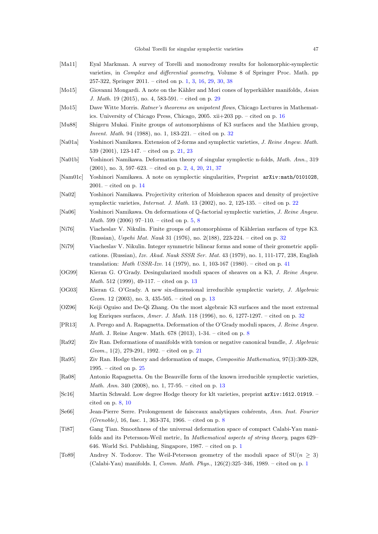- <span id="page-46-2"></span>[Ma11] Eyal Markman. A survey of Torelli and monodromy results for holomorphic-symplectic varieties, in Complex and differential geometry, Volume 8 of Springer Proc. Math. pp 257-322, Springer 2011. – cited on p. [1,](#page-0-1) [3,](#page-2-2) [16,](#page-15-4) [29,](#page-28-2) [30,](#page-29-1) [38](#page-37-1)
- <span id="page-46-17"></span>[Mo15] Giovanni Mongardi. A note on the Kähler and Mori cones of hyperkähler manifolds, Asian J. Math. 19 (2015), no. 4, 583-591. – cited on p. [29](#page-28-2)
- <span id="page-46-12"></span>[Mo15] Dave Witte Morris. Ratner's theorems on unipotent flows, Chicago Lectures in Mathematics. University of Chicago Press, Chicago, 2005. xii+203 pp. – cited on p. [16](#page-15-4)
- <span id="page-46-19"></span>[Mu88] Shigeru Mukai. Finite groups of automorphisms of K3 surfaces and the Mathieu group, Invent. Math. 94 (1988), no. 1, 183-221. – cited on p. [32](#page-31-2)
- <span id="page-46-14"></span>[Na01a] Yoshinori Namikawa. Extension of 2-forms and symplectic varieties, J. Reine Angew. Math. 539 (2001), 123-147. – cited on p. [21,](#page-20-3) [23](#page-22-2)
- <span id="page-46-3"></span>[Na01b] Yoshinori Namikawa. Deformation theory of singular symplectic n-folds, Math. Ann., 319 (2001), no. 3, 597–623. – cited on p. [2,](#page-1-1) [4,](#page-3-2) [20,](#page-19-4) [21,](#page-20-3) [37](#page-36-3)
- <span id="page-46-11"></span>[Nam01c] Yoshinori Namikawa. A note on symplectic singularities, Preprint arXiv:math/0101028, 2001. – cited on p. [14](#page-13-3)
- <span id="page-46-15"></span>[Na02] Yoshinori Namikawa. Projectivity criterion of Moishezon spaces and density of projective symplectic varieties, *Internat. J. Math.* 13 (2002), no. 2, 125-135. – cited on p. [22](#page-21-3)
- <span id="page-46-4"></span>[Na06] Yoshinori Namikawa. On deformations of Q-factorial symplectic varieties, J. Reine Angew. *Math.* 599 (2006) 97-110. – cited on p. [5,](#page-4-0) [8](#page-7-5)
- <span id="page-46-18"></span>[Ni76] Viacheslav V. Nikulin. Finite groups of automorphisms of Kählerian surfaces of type K3. (Russian), Uspehi Mat. Nauk 31 (1976), no. 2(188), 223-224. – cited on p. [32](#page-31-2)
- <span id="page-46-21"></span>[Ni79] Viacheslav V. Nikulin. Integer symmetric bilinear forms and some of their geometric applications. (Russian), Izv. Akad. Nauk SSSR Ser. Mat. 43 (1979), no. 1, 111-177, 238, English translation: Math USSR-Izv. 14 (1979), no. 1, 103-167 (1980). – cited on p. [41](#page-40-1)
- <span id="page-46-8"></span>[OG99] Kieran G. O'Grady. Desingularized moduli spaces of sheaves on a K3, J. Reine Angew. Math. 512 (1999), 49-117. – cited on p. [13](#page-12-1)
- <span id="page-46-10"></span>[OG03] Kieran G. O'Grady. A new six-dimensional irreducible symplectic variety, J. Algebraic Geom. 12 (2003), no. 3, 435-505. – cited on p. [13](#page-12-1)
- <span id="page-46-20"></span>[OZ96] Keiji Oguiso and De-Qi Zhang. On the most algebraic K3 surfaces and the most extremal log Enriques surfaces, Amer. J. Math. 118 (1996), no. 6, 1277-1297. – cited on p. [32](#page-31-2)
- <span id="page-46-6"></span>[PR13] A. Perego and A. Rapagnetta. Deformation of the O'Grady moduli spaces, J. Reine Angew. Math. J. Reine Angew. Math. 678 (2013), 1-34. – cited on p. [8](#page-7-5)
- <span id="page-46-13"></span>[Ra92] Ziv Ran. Deformations of manifolds with torsion or negative canonical bundle, J. Algebraic Geom.,  $1(2)$ , 279-291, 1992. – cited on p. [21](#page-20-3)
- <span id="page-46-16"></span>[Ra95] Ziv Ran. Hodge theory and deformation of maps, Compositio Mathematica, 97(3):309-328, 1995. – cited on p. [25](#page-24-1)
- <span id="page-46-9"></span>[Ra08] Antonio Rapagnetta. On the Beauville form of the known irreducible symplectic varieties, Math. Ann. 340 (2008), no. 1, 77-95. – cited on p. [13](#page-12-1)
- <span id="page-46-5"></span>[Sc16] Martin Schwald. Low degree Hodge theory for klt varieties, preprint arXiv:1612.01919. – cited on p. [8,](#page-7-5) [10](#page-9-5)
- <span id="page-46-7"></span>[Se66] Jean-Pierre Serre. Prolongement de faisceaux analytiques cohérents, Ann. Inst. Fourier (Grenoble), 16, fasc. 1, 363-374, 1966. – cited on p. [8](#page-7-5)
- <span id="page-46-0"></span>[Ti87] Gang Tian. Smoothness of the universal deformation space of compact Calabi-Yau manifolds and its Petersson-Weil metric, In Mathematical aspects of string theory, pages 629– 646. World Sci. Publishing, Singapore, 1987. – cited on p. [1](#page-0-1)
- <span id="page-46-1"></span>[To89] Andrey N. Todorov. The Weil-Petersson geometry of the moduli space of  $SU(n > 3)$ ] (Calabi-Yau) manifolds. I, Comm. Math. Phys., 126(2):325–346, 1989. – cited on p. [1](#page-0-1)